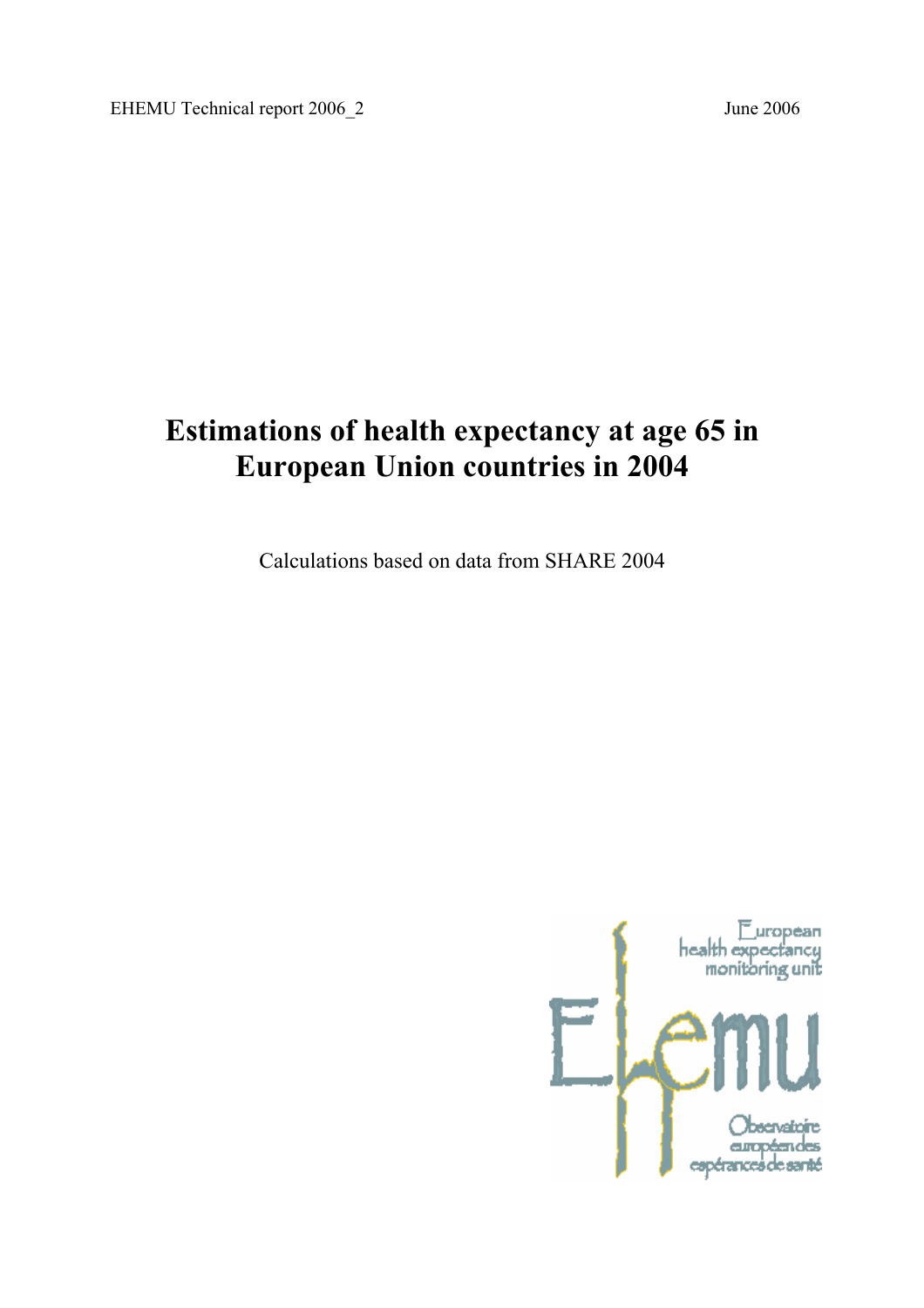# **Estimations of health expectancy at age 65 in European Union countries in 2004**

Calculations based on data from SHARE 2004

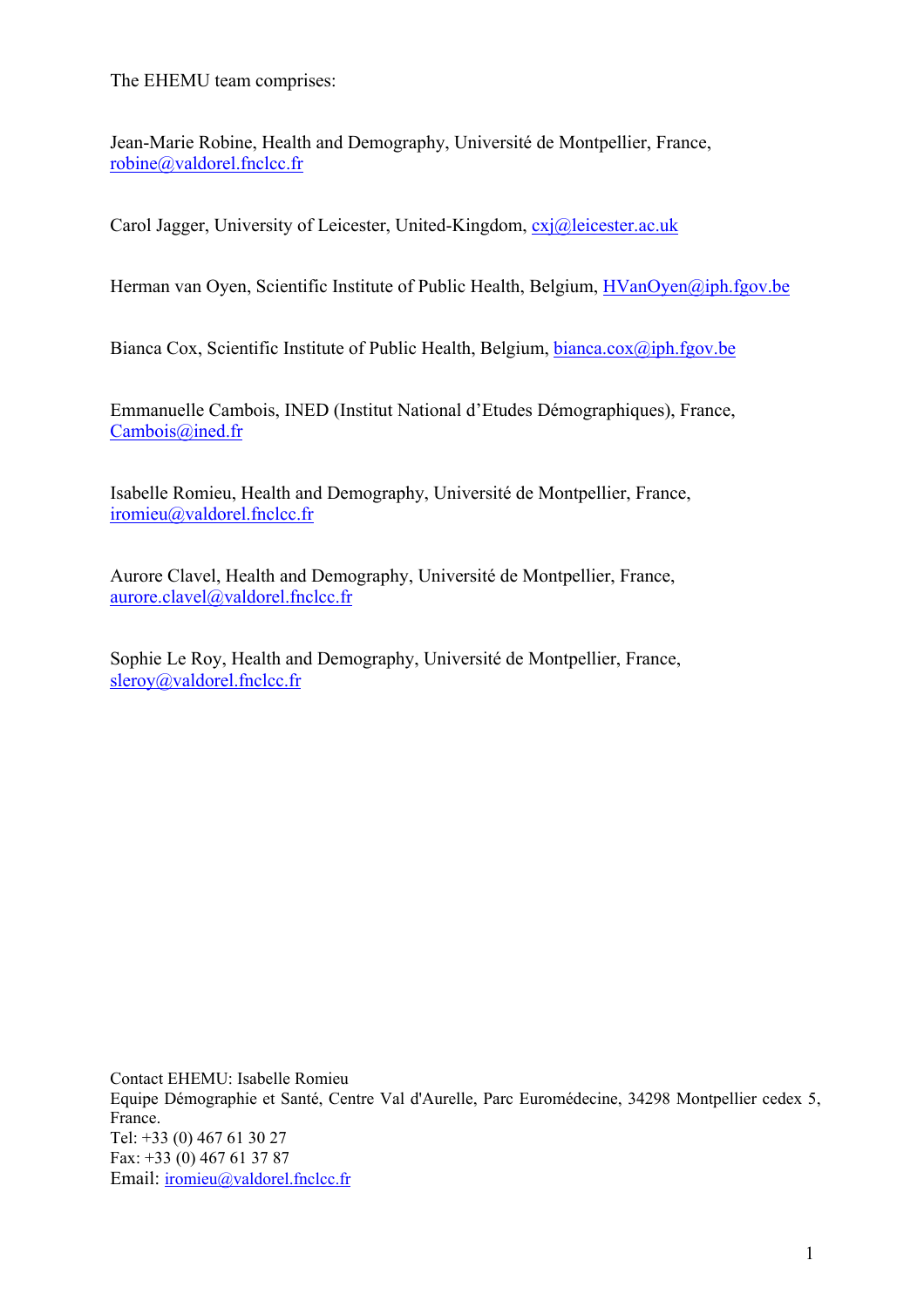The EHEMU team comprises:

Jean-Marie Robine, Health and Demography, Université de Montpellier, France, robine@valdorel.fnclcc.fr

Carol Jagger, University of Leicester, United-Kingdom, cxj@leicester.ac.uk

Herman van Oyen, Scientific Institute of Public Health, Belgium, HVanOyen@iph.fgov.be

Bianca Cox, Scientific Institute of Public Health, Belgium, bianca.cox@iph.fgov.be

Emmanuelle Cambois, INED (Institut National d'Etudes Démographiques), France, Cambois@ined.fr

Isabelle Romieu, Health and Demography, Université de Montpellier, France, iromieu@valdorel.fnclcc.fr

Aurore Clavel, Health and Demography, Université de Montpellier, France, aurore.clavel@valdorel.fnclcc.fr

Sophie Le Roy, Health and Demography, Université de Montpellier, France, sleroy@valdorel.fnclcc.fr

Contact EHEMU: Isabelle Romieu Equipe Démographie et Santé, Centre Val d'Aurelle, Parc Euromédecine, 34298 Montpellier cedex 5, France. Tel: +33 (0) 467 61 30 27 Fax: +33 (0) 467 61 37 87 Email: iromieu@valdorel.fnclcc.fr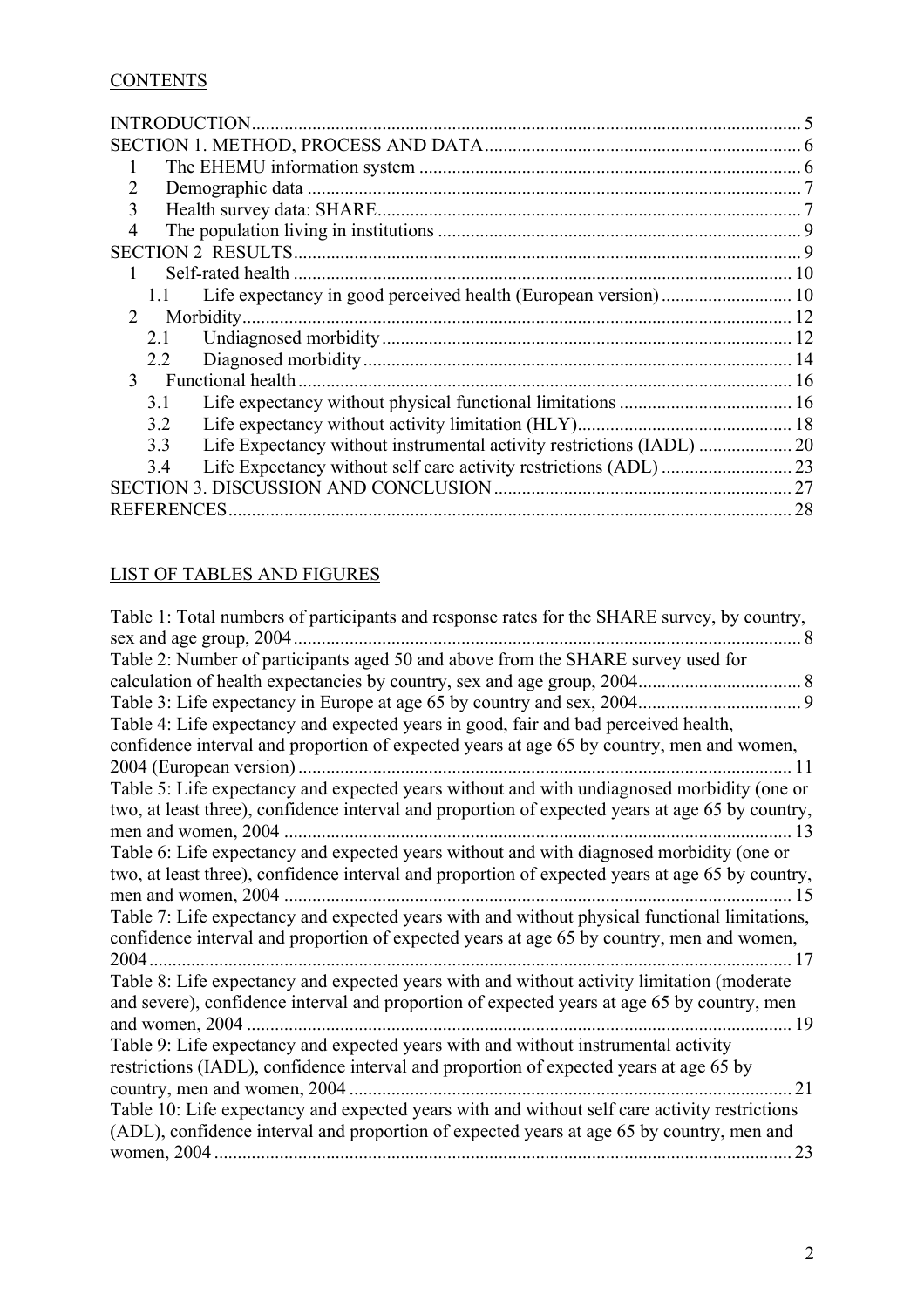# **CONTENTS**

|               |                   | INTRODUCTION.     |    |
|---------------|-------------------|-------------------|----|
|               |                   |                   |    |
|               |                   |                   |    |
| 2             |                   |                   |    |
| 3             |                   |                   |    |
| 4             |                   |                   |    |
|               |                   |                   |    |
|               |                   |                   |    |
|               |                   |                   |    |
| $\mathcal{D}$ |                   | Morbidity         |    |
|               | 2.1               |                   |    |
|               | 2.2               |                   |    |
| $\mathcal{E}$ |                   | Functional health |    |
|               | 3.1               |                   |    |
|               | 3.2               |                   |    |
|               | 3.3               |                   |    |
|               | 3.4               |                   |    |
|               |                   |                   | 27 |
|               | <b>REFERENCES</b> |                   | 28 |

# LIST OF TABLES AND FIGURES

| Table 2: Number of participants aged 50 and above from the SHARE survey used for<br>Table 3: Life expectancy in Europe at age 65 by country and sex, 2004.<br>9<br>Table 4: Life expectancy and expected years in good, fair and bad perceived health,<br>confidence interval and proportion of expected years at age 65 by country, men and women,<br>2004 (European version).<br>11<br>Table 5: Life expectancy and expected years without and with undiagnosed morbidity (one or<br>13<br>15<br>confidence interval and proportion of expected years at age 65 by country, men and women,<br>17<br>and severe), confidence interval and proportion of expected years at age 65 by country, men<br>and women, 2004.<br>19<br>Table 9: Life expectancy and expected years with and without instrumental activity<br>restrictions (IADL), confidence interval and proportion of expected years at age 65 by<br>country, men and women, 2004.<br>21<br>Table 10: Life expectancy and expected years with and without self care activity restrictions | Table 1: Total numbers of participants and response rates for the SHARE survey, by country,      |
|-----------------------------------------------------------------------------------------------------------------------------------------------------------------------------------------------------------------------------------------------------------------------------------------------------------------------------------------------------------------------------------------------------------------------------------------------------------------------------------------------------------------------------------------------------------------------------------------------------------------------------------------------------------------------------------------------------------------------------------------------------------------------------------------------------------------------------------------------------------------------------------------------------------------------------------------------------------------------------------------------------------------------------------------------------|--------------------------------------------------------------------------------------------------|
|                                                                                                                                                                                                                                                                                                                                                                                                                                                                                                                                                                                                                                                                                                                                                                                                                                                                                                                                                                                                                                                     | sex and age group, 2004.<br>8                                                                    |
|                                                                                                                                                                                                                                                                                                                                                                                                                                                                                                                                                                                                                                                                                                                                                                                                                                                                                                                                                                                                                                                     |                                                                                                  |
|                                                                                                                                                                                                                                                                                                                                                                                                                                                                                                                                                                                                                                                                                                                                                                                                                                                                                                                                                                                                                                                     |                                                                                                  |
|                                                                                                                                                                                                                                                                                                                                                                                                                                                                                                                                                                                                                                                                                                                                                                                                                                                                                                                                                                                                                                                     |                                                                                                  |
|                                                                                                                                                                                                                                                                                                                                                                                                                                                                                                                                                                                                                                                                                                                                                                                                                                                                                                                                                                                                                                                     |                                                                                                  |
|                                                                                                                                                                                                                                                                                                                                                                                                                                                                                                                                                                                                                                                                                                                                                                                                                                                                                                                                                                                                                                                     |                                                                                                  |
|                                                                                                                                                                                                                                                                                                                                                                                                                                                                                                                                                                                                                                                                                                                                                                                                                                                                                                                                                                                                                                                     |                                                                                                  |
|                                                                                                                                                                                                                                                                                                                                                                                                                                                                                                                                                                                                                                                                                                                                                                                                                                                                                                                                                                                                                                                     |                                                                                                  |
|                                                                                                                                                                                                                                                                                                                                                                                                                                                                                                                                                                                                                                                                                                                                                                                                                                                                                                                                                                                                                                                     | two, at least three), confidence interval and proportion of expected years at age 65 by country, |
|                                                                                                                                                                                                                                                                                                                                                                                                                                                                                                                                                                                                                                                                                                                                                                                                                                                                                                                                                                                                                                                     | men and women, 2004                                                                              |
|                                                                                                                                                                                                                                                                                                                                                                                                                                                                                                                                                                                                                                                                                                                                                                                                                                                                                                                                                                                                                                                     | Table 6: Life expectancy and expected years without and with diagnosed morbidity (one or         |
|                                                                                                                                                                                                                                                                                                                                                                                                                                                                                                                                                                                                                                                                                                                                                                                                                                                                                                                                                                                                                                                     | two, at least three), confidence interval and proportion of expected years at age 65 by country, |
|                                                                                                                                                                                                                                                                                                                                                                                                                                                                                                                                                                                                                                                                                                                                                                                                                                                                                                                                                                                                                                                     | men and women, 2004                                                                              |
|                                                                                                                                                                                                                                                                                                                                                                                                                                                                                                                                                                                                                                                                                                                                                                                                                                                                                                                                                                                                                                                     | Table 7: Life expectancy and expected years with and without physical functional limitations,    |
|                                                                                                                                                                                                                                                                                                                                                                                                                                                                                                                                                                                                                                                                                                                                                                                                                                                                                                                                                                                                                                                     |                                                                                                  |
|                                                                                                                                                                                                                                                                                                                                                                                                                                                                                                                                                                                                                                                                                                                                                                                                                                                                                                                                                                                                                                                     | 2004.                                                                                            |
|                                                                                                                                                                                                                                                                                                                                                                                                                                                                                                                                                                                                                                                                                                                                                                                                                                                                                                                                                                                                                                                     | Table 8: Life expectancy and expected years with and without activity limitation (moderate       |
|                                                                                                                                                                                                                                                                                                                                                                                                                                                                                                                                                                                                                                                                                                                                                                                                                                                                                                                                                                                                                                                     |                                                                                                  |
|                                                                                                                                                                                                                                                                                                                                                                                                                                                                                                                                                                                                                                                                                                                                                                                                                                                                                                                                                                                                                                                     |                                                                                                  |
|                                                                                                                                                                                                                                                                                                                                                                                                                                                                                                                                                                                                                                                                                                                                                                                                                                                                                                                                                                                                                                                     |                                                                                                  |
|                                                                                                                                                                                                                                                                                                                                                                                                                                                                                                                                                                                                                                                                                                                                                                                                                                                                                                                                                                                                                                                     |                                                                                                  |
|                                                                                                                                                                                                                                                                                                                                                                                                                                                                                                                                                                                                                                                                                                                                                                                                                                                                                                                                                                                                                                                     |                                                                                                  |
|                                                                                                                                                                                                                                                                                                                                                                                                                                                                                                                                                                                                                                                                                                                                                                                                                                                                                                                                                                                                                                                     |                                                                                                  |
|                                                                                                                                                                                                                                                                                                                                                                                                                                                                                                                                                                                                                                                                                                                                                                                                                                                                                                                                                                                                                                                     | (ADL), confidence interval and proportion of expected years at age 65 by country, men and        |
|                                                                                                                                                                                                                                                                                                                                                                                                                                                                                                                                                                                                                                                                                                                                                                                                                                                                                                                                                                                                                                                     | women, 2004<br>23                                                                                |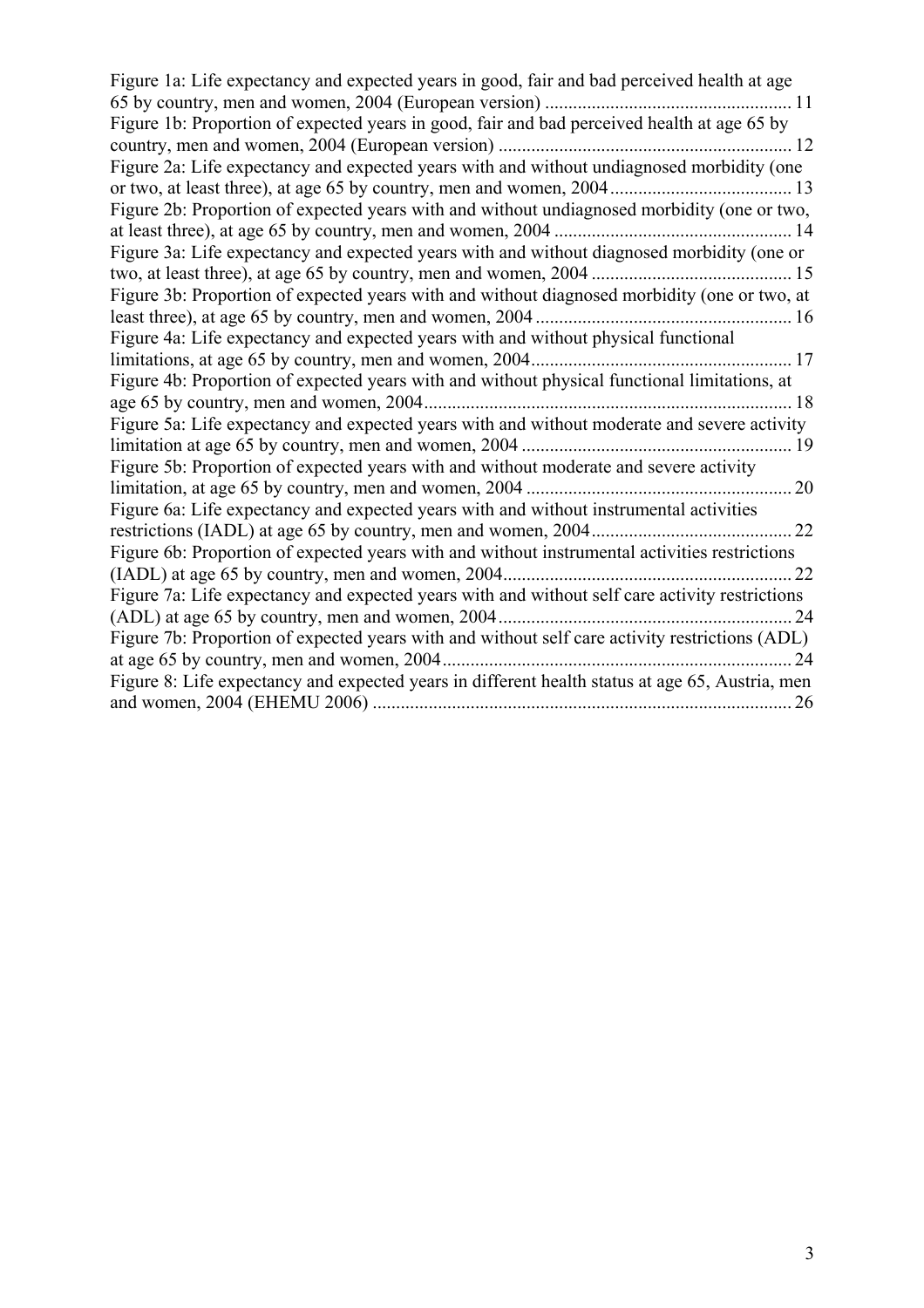| Figure 1a: Life expectancy and expected years in good, fair and bad perceived health at age     |
|-------------------------------------------------------------------------------------------------|
| Figure 1b: Proportion of expected years in good, fair and bad perceived health at age 65 by     |
|                                                                                                 |
| Figure 2a: Life expectancy and expected years with and without undiagnosed morbidity (one       |
|                                                                                                 |
| Figure 2b: Proportion of expected years with and without undiagnosed morbidity (one or two,     |
|                                                                                                 |
| Figure 3a: Life expectancy and expected years with and without diagnosed morbidity (one or      |
|                                                                                                 |
| Figure 3b: Proportion of expected years with and without diagnosed morbidity (one or two, at    |
|                                                                                                 |
| Figure 4a: Life expectancy and expected years with and without physical functional              |
|                                                                                                 |
| Figure 4b: Proportion of expected years with and without physical functional limitations, at    |
|                                                                                                 |
| Figure 5a: Life expectancy and expected years with and without moderate and severe activity     |
|                                                                                                 |
| Figure 5b: Proportion of expected years with and without moderate and severe activity           |
|                                                                                                 |
| Figure 6a: Life expectancy and expected years with and without instrumental activities          |
|                                                                                                 |
| Figure 6b: Proportion of expected years with and without instrumental activities restrictions   |
|                                                                                                 |
| Figure 7a: Life expectancy and expected years with and without self care activity restrictions  |
|                                                                                                 |
|                                                                                                 |
| 24                                                                                              |
| Figure 8: Life expectancy and expected years in different health status at age 65, Austria, men |
|                                                                                                 |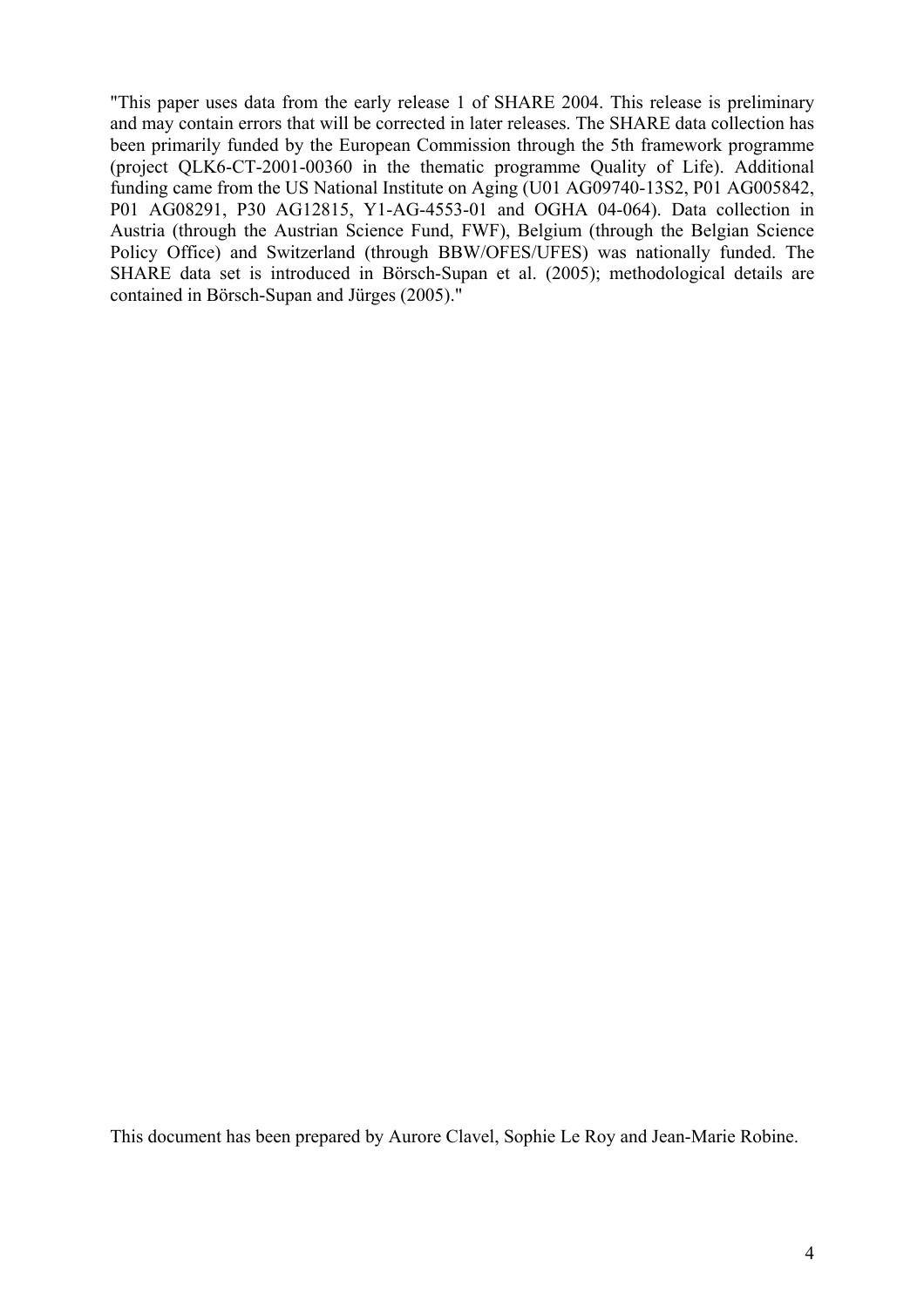"This paper uses data from the early release 1 of SHARE 2004. This release is preliminary and may contain errors that will be corrected in later releases. The SHARE data collection has been primarily funded by the European Commission through the 5th framework programme (project QLK6-CT-2001-00360 in the thematic programme Quality of Life). Additional funding came from the US National Institute on Aging (U01 AG09740-13S2, P01 AG005842, P01 AG08291, P30 AG12815, Y1-AG-4553-01 and OGHA 04-064). Data collection in Austria (through the Austrian Science Fund, FWF), Belgium (through the Belgian Science Policy Office) and Switzerland (through BBW/OFES/UFES) was nationally funded. The SHARE data set is introduced in Börsch-Supan et al. (2005); methodological details are contained in Börsch-Supan and Jürges (2005)."

This document has been prepared by Aurore Clavel, Sophie Le Roy and Jean-Marie Robine.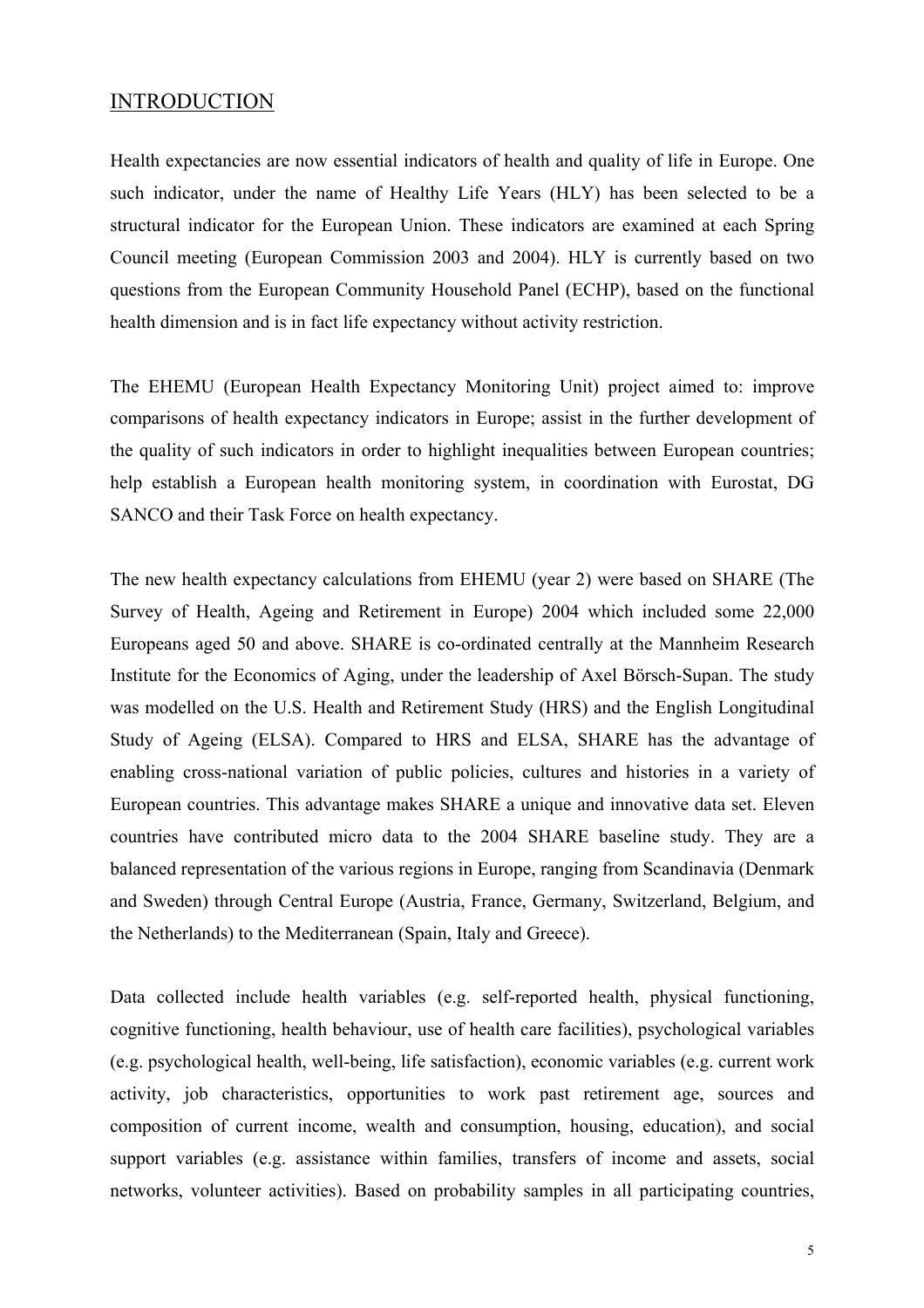# INTRODUCTION

Health expectancies are now essential indicators of health and quality of life in Europe. One such indicator, under the name of Healthy Life Years (HLY) has been selected to be a structural indicator for the European Union. These indicators are examined at each Spring Council meeting (European Commission 2003 and 2004). HLY is currently based on two questions from the European Community Household Panel (ECHP), based on the functional health dimension and is in fact life expectancy without activity restriction.

The EHEMU (European Health Expectancy Monitoring Unit) project aimed to: improve comparisons of health expectancy indicators in Europe; assist in the further development of the quality of such indicators in order to highlight inequalities between European countries; help establish a European health monitoring system, in coordination with Eurostat, DG SANCO and their Task Force on health expectancy.

The new health expectancy calculations from EHEMU (year 2) were based on SHARE (The Survey of Health, Ageing and Retirement in Europe) 2004 which included some 22,000 Europeans aged 50 and above. SHARE is co-ordinated centrally at the Mannheim Research Institute for the Economics of Aging, under the leadership of Axel Börsch-Supan. The study was modelled on the U.S. Health and Retirement Study (HRS) and the English Longitudinal Study of Ageing (ELSA). Compared to HRS and ELSA, SHARE has the advantage of enabling cross-national variation of public policies, cultures and histories in a variety of European countries. This advantage makes SHARE a unique and innovative data set. Eleven countries have contributed micro data to the 2004 SHARE baseline study. They are a balanced representation of the various regions in Europe, ranging from Scandinavia (Denmark and Sweden) through Central Europe (Austria, France, Germany, Switzerland, Belgium, and the Netherlands) to the Mediterranean (Spain, Italy and Greece).

Data collected include health variables (e.g. self-reported health, physical functioning, cognitive functioning, health behaviour, use of health care facilities), psychological variables (e.g. psychological health, well-being, life satisfaction), economic variables (e.g. current work activity, job characteristics, opportunities to work past retirement age, sources and composition of current income, wealth and consumption, housing, education), and social support variables (e.g. assistance within families, transfers of income and assets, social networks, volunteer activities). Based on probability samples in all participating countries,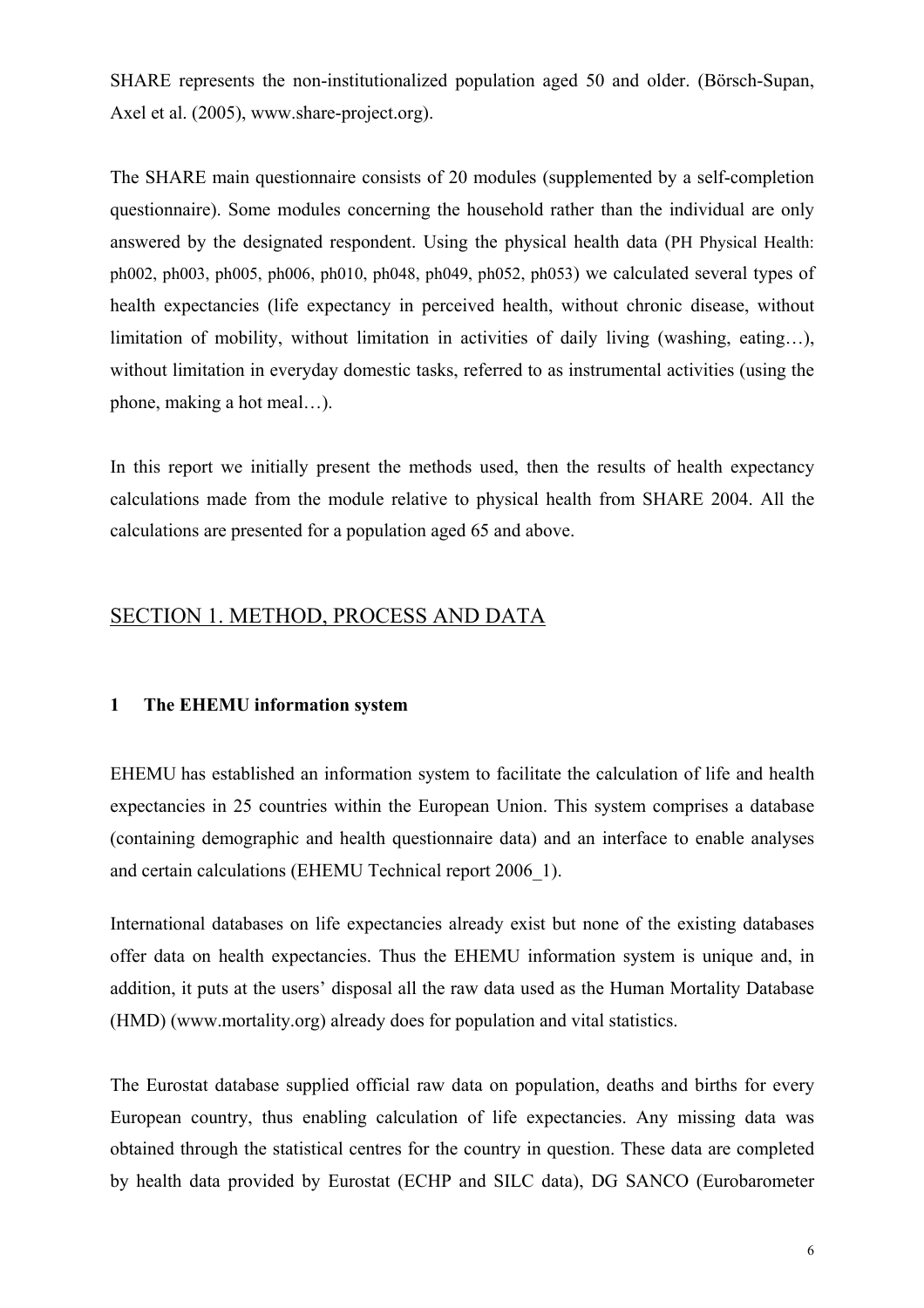SHARE represents the non-institutionalized population aged 50 and older. (Börsch-Supan, Axel et al. (2005), www.share-project.org).

The SHARE main questionnaire consists of 20 modules (supplemented by a self-completion questionnaire). Some modules concerning the household rather than the individual are only answered by the designated respondent. Using the physical health data (PH Physical Health: ph002, ph003, ph005, ph006, ph010, ph048, ph049, ph052, ph053) we calculated several types of health expectancies (life expectancy in perceived health, without chronic disease, without limitation of mobility, without limitation in activities of daily living (washing, eating…), without limitation in everyday domestic tasks, referred to as instrumental activities (using the phone, making a hot meal…).

In this report we initially present the methods used, then the results of health expectancy calculations made from the module relative to physical health from SHARE 2004. All the calculations are presented for a population aged 65 and above.

# SECTION 1. METHOD, PROCESS AND DATA

#### **1 The EHEMU information system**

EHEMU has established an information system to facilitate the calculation of life and health expectancies in 25 countries within the European Union. This system comprises a database (containing demographic and health questionnaire data) and an interface to enable analyses and certain calculations (EHEMU Technical report 2006\_1).

International databases on life expectancies already exist but none of the existing databases offer data on health expectancies. Thus the EHEMU information system is unique and, in addition, it puts at the users' disposal all the raw data used as the Human Mortality Database (HMD) (www.mortality.org) already does for population and vital statistics.

The Eurostat database supplied official raw data on population, deaths and births for every European country, thus enabling calculation of life expectancies. Any missing data was obtained through the statistical centres for the country in question. These data are completed by health data provided by Eurostat (ECHP and SILC data), DG SANCO (Eurobarometer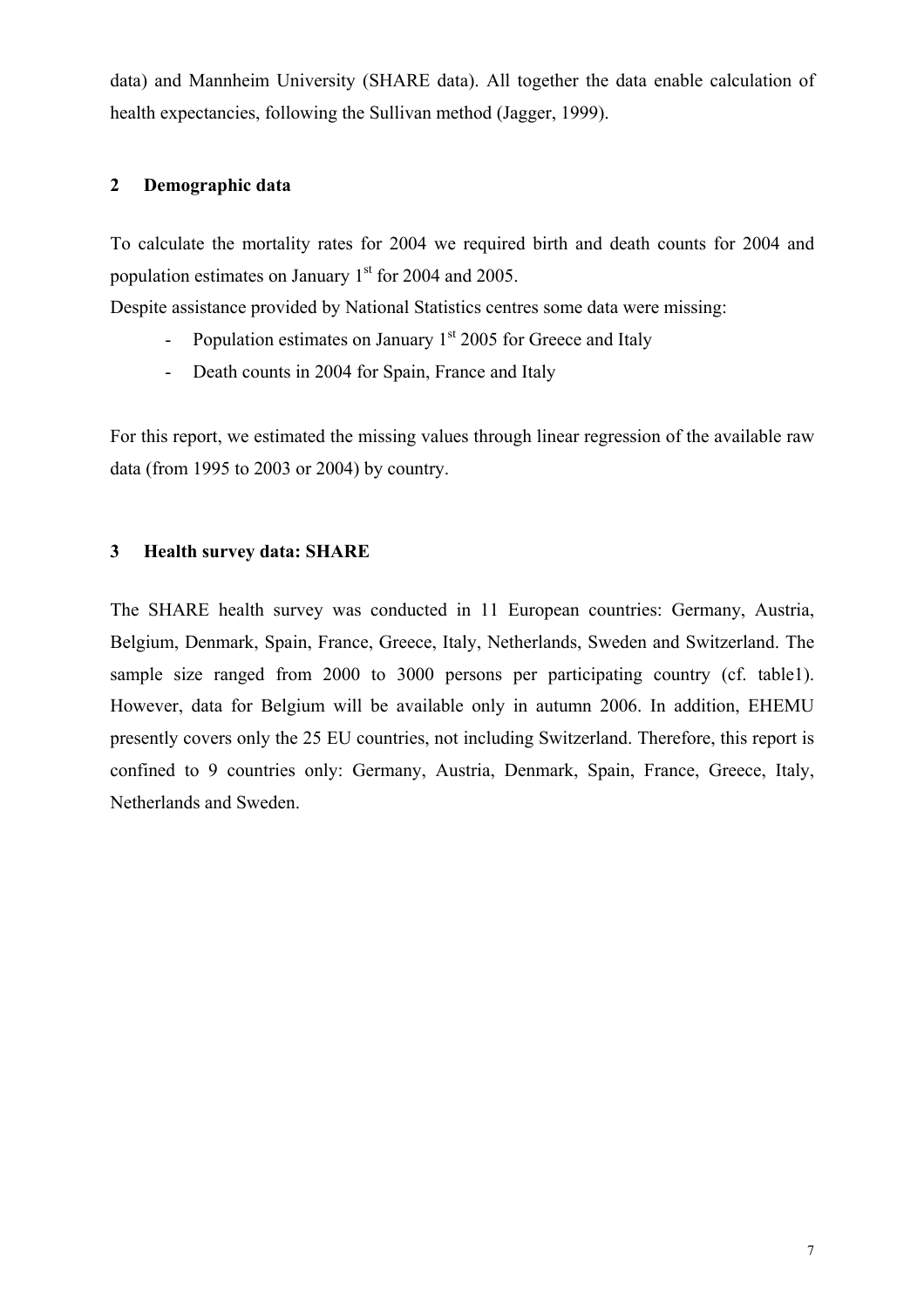data) and Mannheim University (SHARE data). All together the data enable calculation of health expectancies, following the Sullivan method (Jagger, 1999).

## **2 Demographic data**

To calculate the mortality rates for 2004 we required birth and death counts for 2004 and population estimates on January  $1<sup>st</sup>$  for 2004 and 2005.

Despite assistance provided by National Statistics centres some data were missing:

- Population estimates on January  $1<sup>st</sup>$  2005 for Greece and Italy
- Death counts in 2004 for Spain, France and Italy

For this report, we estimated the missing values through linear regression of the available raw data (from 1995 to 2003 or 2004) by country.

## **3 Health survey data: SHARE**

The SHARE health survey was conducted in 11 European countries: Germany, Austria, Belgium, Denmark, Spain, France, Greece, Italy, Netherlands, Sweden and Switzerland. The sample size ranged from 2000 to 3000 persons per participating country (cf. table1). However, data for Belgium will be available only in autumn 2006. In addition, EHEMU presently covers only the 25 EU countries, not including Switzerland. Therefore, this report is confined to 9 countries only: Germany, Austria, Denmark, Spain, France, Greece, Italy, Netherlands and Sweden.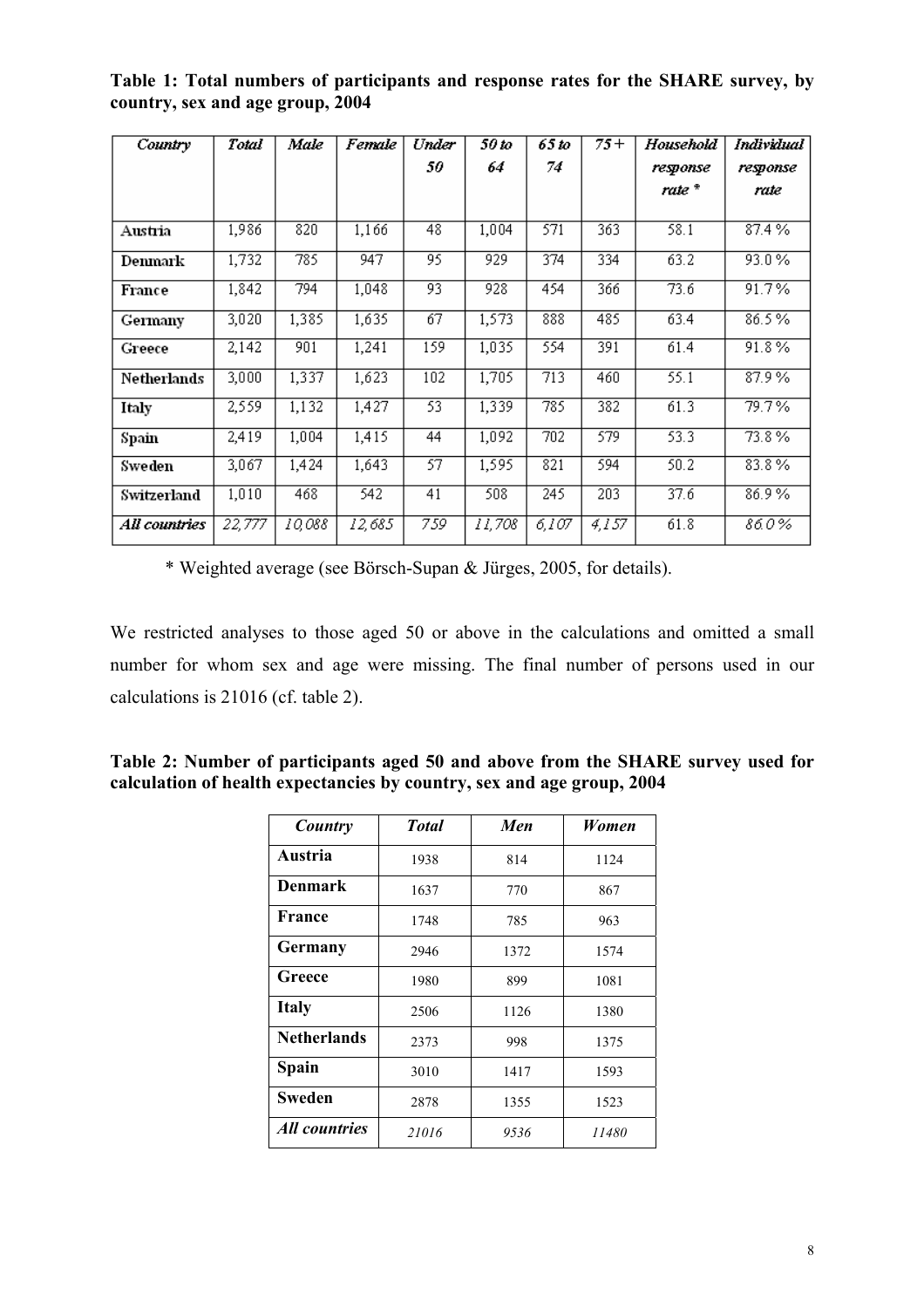| Country       | Total  | Male   | Female | Under | 50 to  | 65 to            | 75+   | Household | Individual |
|---------------|--------|--------|--------|-------|--------|------------------|-------|-----------|------------|
|               |        |        |        | 50    | 64     | 74               |       | response  | response   |
|               |        |        |        |       |        |                  |       | rate *    | rate       |
|               |        |        |        |       |        |                  |       |           |            |
| Austria       | 1,986  | 820    | 1,166  | 48    | 1,004  | 571              | 363   | 58.1      | 87.4%      |
| Denmark       | 1,732  | 785    | 947    | 95    | 929    | 374              | 334   | 63.2      | 93.0%      |
| France        | 1,842  | 794    | 1,048  | 93    | 928    | 454              | 366   | 73.6      | 91.7%      |
| Germany       | 3,020  | 1,385  | 1,635  | 67    | 1,573  | 888              | 485   | 63.4      | 86.5%      |
| Greece        | 2,142  | 901    | 1,241  | 159   | 1,035  | 554              | 391   | 61.4      | 91.8%      |
| Netherlands   | 3,000  | 1,337  | 1,623  | 102   | 1,705  | 713              | 460   | 55.1      | 87.9%      |
| Italy         | 2,559  | 1,132  | 1,427  | 53    | 1,339  | 785              | 382   | 61.3      | 79.7%      |
| Spain         | 2,419  | 1,004  | 1,415  | 44    | 1,092  | $\overline{702}$ | 579   | 53.3      | 73.8%      |
| Sweden        | 3,067  | 1,424  | 1,643  | 57    | 1,595  | 821              | 594   | 50.2      | 83.8%      |
| Switzerland   | 1,010  | 468    | 542    | 41    | 508    | 245              | 203   | 37.6      | 86.9%      |
| All countries | 22,777 | 10,088 | 12,685 | 759   | 11,708 | 6,107            | 4,157 | 61.8      | 86.0%      |

**Table 1: Total numbers of participants and response rates for the SHARE survey, by country, sex and age group, 2004** 

\* Weighted average (see Börsch-Supan & Jürges, 2005, for details).

We restricted analyses to those aged 50 or above in the calculations and omitted a small number for whom sex and age were missing. The final number of persons used in our calculations is 21016 (cf. table 2).

| Table 2: Number of participants aged 50 and above from the SHARE survey used for |  |
|----------------------------------------------------------------------------------|--|
| calculation of health expectancies by country, sex and age group, 2004           |  |

| Country                     | <b>Total</b> | Men  | Women |
|-----------------------------|--------------|------|-------|
| Austria                     | 1938         | 814  | 1124  |
| <b>Denmark</b>              | 1637         | 770  | 867   |
| France                      | 1748         | 785  | 963   |
| Germany                     | 2946         | 1372 | 1574  |
| Greece                      | 1980         | 899  | 1081  |
| <b>Italy</b>                | 2506         | 1126 | 1380  |
| <b>Netherlands</b>          | 2373         | 998  | 1375  |
| <b>Spain</b>                | 3010         | 1417 | 1593  |
| <b>Sweden</b>               | 2878         | 1355 | 1523  |
| <i><b>All countries</b></i> | 21016        | 9536 | 11480 |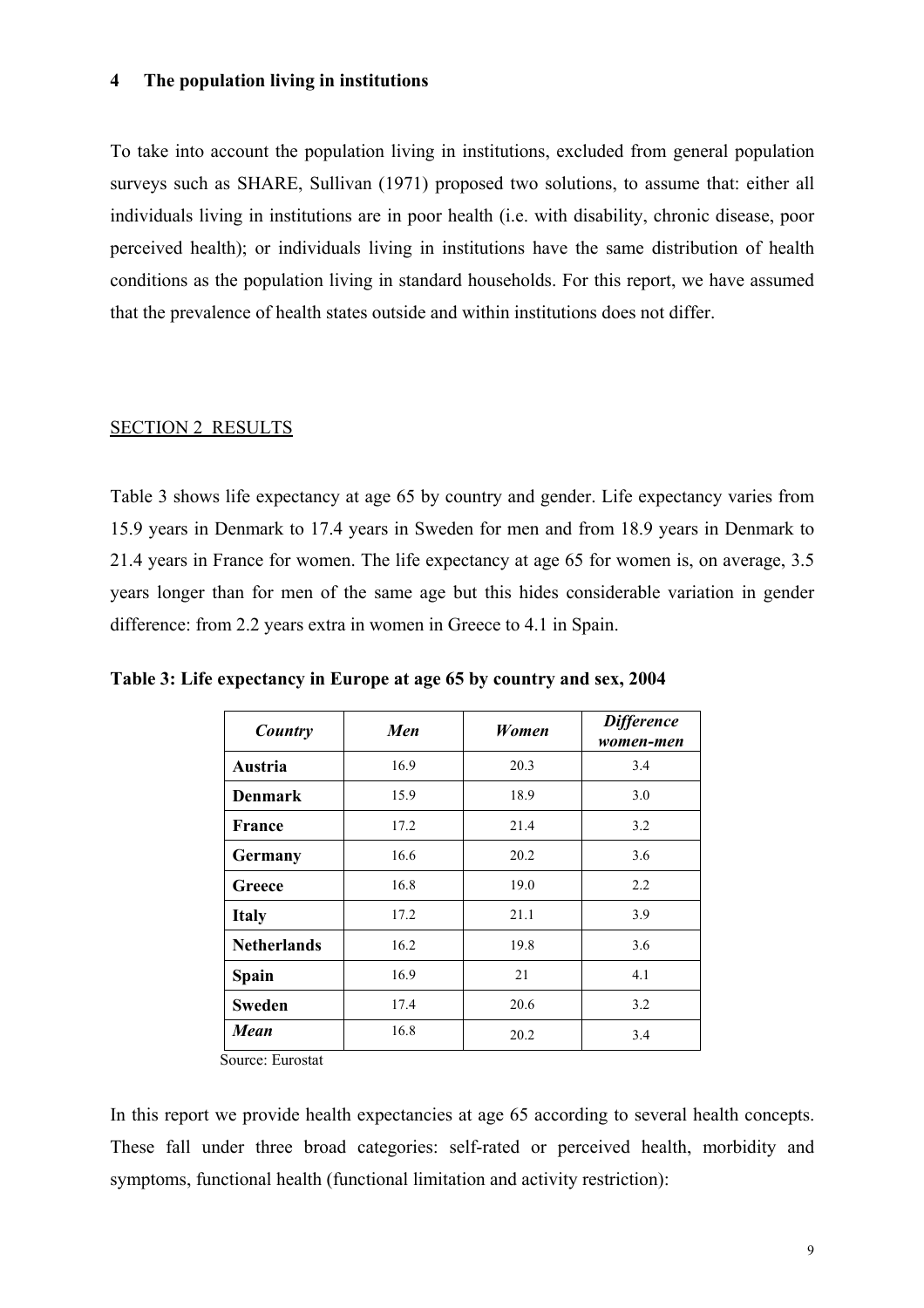#### **4 The population living in institutions**

To take into account the population living in institutions, excluded from general population surveys such as SHARE, Sullivan (1971) proposed two solutions, to assume that: either all individuals living in institutions are in poor health (i.e. with disability, chronic disease, poor perceived health); or individuals living in institutions have the same distribution of health conditions as the population living in standard households. For this report, we have assumed that the prevalence of health states outside and within institutions does not differ.

#### SECTION 2 RESULTS

Table 3 shows life expectancy at age 65 by country and gender. Life expectancy varies from 15.9 years in Denmark to 17.4 years in Sweden for men and from 18.9 years in Denmark to 21.4 years in France for women. The life expectancy at age 65 for women is, on average, 3.5 years longer than for men of the same age but this hides considerable variation in gender difference: from 2.2 years extra in women in Greece to 4.1 in Spain.

| Men  | Women | <b>Difference</b><br>women-men |
|------|-------|--------------------------------|
| 16.9 | 20.3  | 3.4                            |
| 15.9 | 18.9  | 3.0                            |
| 17.2 | 21.4  | 3.2                            |
| 16.6 | 20.2  | 3.6                            |
| 16.8 | 19.0  | 2.2                            |
| 17.2 | 21.1  | 3.9                            |
| 16.2 | 19.8  | 3.6                            |
| 16.9 | 21    | 4.1                            |
| 17.4 | 20.6  | 3.2                            |
| 16.8 | 20.2  | 3.4                            |
|      |       |                                |

**Table 3: Life expectancy in Europe at age 65 by country and sex, 2004** 

Source: Eurostat

In this report we provide health expectancies at age 65 according to several health concepts. These fall under three broad categories: self-rated or perceived health, morbidity and symptoms, functional health (functional limitation and activity restriction):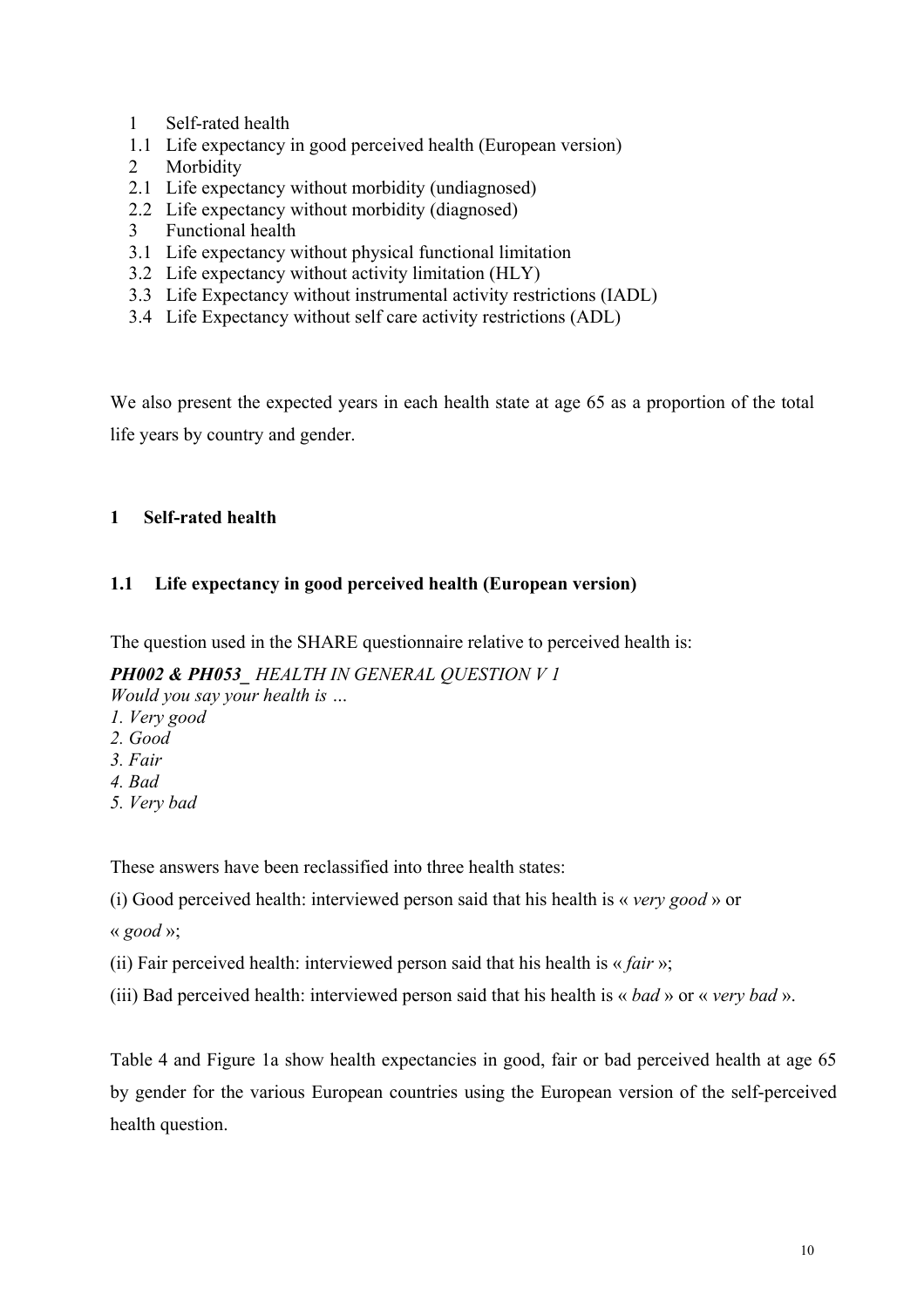- 1 Self-rated health
- 1.1 Life expectancy in good perceived health (European version)
- 2 Morbidity
- 2.1 Life expectancy without morbidity (undiagnosed)
- 2.2 Life expectancy without morbidity (diagnosed)
- 3 Functional health
- 3.1 Life expectancy without physical functional limitation
- 3.2 Life expectancy without activity limitation (HLY)
- 3.3 Life Expectancy without instrumental activity restrictions (IADL)
- 3.4 Life Expectancy without self care activity restrictions (ADL)

We also present the expected years in each health state at age 65 as a proportion of the total life years by country and gender.

## **1 Self-rated health**

## **1.1 Life expectancy in good perceived health (European version)**

The question used in the SHARE questionnaire relative to perceived health is:

## *PH002 & PH053\_ HEALTH IN GENERAL QUESTION V 1*

*Would you say your health is …*

- *1. Very good*
- *2. Good*
- *3. Fair*
- *4. Bad*
- *5. Very bad*

These answers have been reclassified into three health states:

(i) Good perceived health: interviewed person said that his health is « *very good* » or

« *good* »;

- (ii) Fair perceived health: interviewed person said that his health is « *fair* »;
- (iii) Bad perceived health: interviewed person said that his health is « *bad* » or « *very bad* ».

Table 4 and Figure 1a show health expectancies in good, fair or bad perceived health at age 65 by gender for the various European countries using the European version of the self-perceived health question.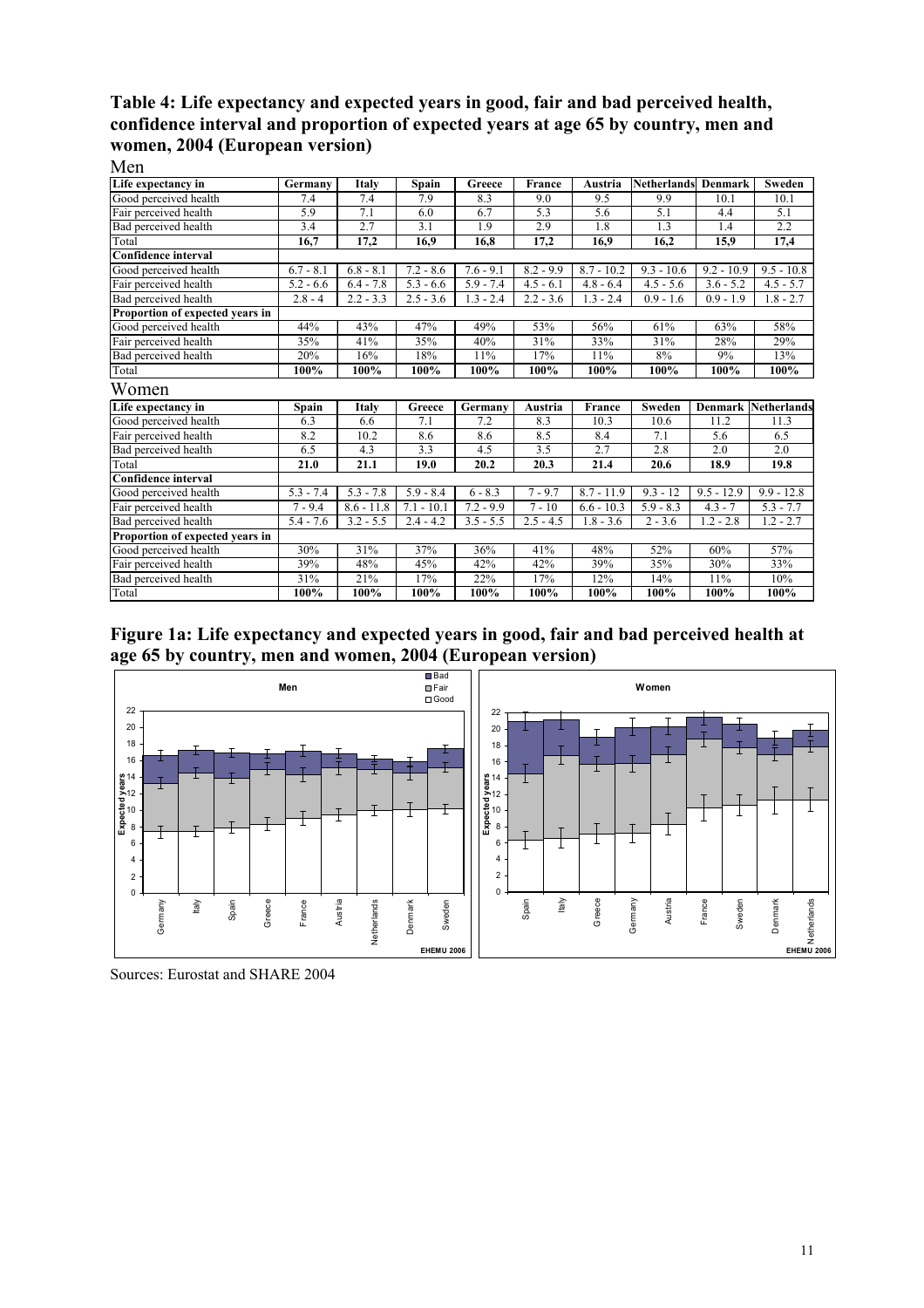#### **Table 4: Life expectancy and expected years in good, fair and bad perceived health, confidence interval and proportion of expected years at age 65 by country, men and women, 2004 (European version)**  Men

| Life expectancy in              | Germany     | Italy        | Spain        | Greece      | France      | Austria      | <b>Netherlands</b> | Denmark      | Sweden             |
|---------------------------------|-------------|--------------|--------------|-------------|-------------|--------------|--------------------|--------------|--------------------|
| Good perceived health           | 7.4         | 7.4          | 7.9          | 8.3         | 9.0         | 9.5          | 9.9                | 10.1         | 10.1               |
| Fair perceived health           | 5.9         | 7.1          | 6.0          | 6.7         | 5.3         | 5.6          | 5.1                | 4.4          | 5.1                |
| Bad perceived health            | 3.4         | 2.7          | 3.1          | 1.9         | 2.9         | 1.8          | 1.3                | 1.4          | 2.2                |
| Total                           | 16,7        | 17,2         | 16,9         | 16,8        | 17,2        | 16,9         | 16,2               | 15,9         | 17,4               |
| <b>Confidence interval</b>      |             |              |              |             |             |              |                    |              |                    |
| Good perceived health           | $6.7 - 8.1$ | $6.8 - 8.1$  | $7.2 - 8.6$  | $7.6 - 9.1$ | $8.2 - 9.9$ | $8.7 - 10.2$ | $9.3 - 10.6$       | $9.2 - 10.9$ | $9.5 - 10.8$       |
| Fair perceived health           | $5.2 - 6.6$ | $6.4 - 7.8$  | $5.3 - 6.6$  | $5.9 - 7.4$ | $4.5 - 6.1$ | $4.8 - 6.4$  | $4.5 - 5.6$        | $3.6 - 5.2$  | $4.5 - 5.7$        |
| Bad perceived health            | $2.8 - 4$   | $2.2 - 3.3$  | $2.5 - 3.6$  | $1.3 - 2.4$ | $2.2 - 3.6$ | $1.3 - 2.4$  | $0.9 - 1.6$        | $0.9 - 1.9$  | $1.8 - 2.7$        |
| Proportion of expected years in |             |              |              |             |             |              |                    |              |                    |
| Good perceived health           | 44%         | 43%          | 47%          | 49%         | 53%         | 56%          | 61%                | 63%          | 58%                |
| Fair perceived health           | 35%         | 41%          | 35%          | 40%         | 31%         | 33%          | 31%                | 28%          | 29%                |
| Bad perceived health            | 20%         | 16%          | 18%          | 11%         | 17%         | 11%          | 8%                 | 9%           | 13%                |
| Total                           | 100%        | 100%         | 100%         | 100%        | 100%        | 100%         | 100%               | 100%         | 100%               |
| Women                           |             |              |              |             |             |              |                    |              |                    |
| Life expectancy in              | Spain       | Italy        | Greece       | Germany     | Austria     | France       | Sweden             | Denmark      | <b>Netherlands</b> |
| Good perceived health           | 6.3         | 6.6          | 7.1          | 7.2         | 8.3         | 10.3         | 10.6               | 11.2         | 11.3               |
| Fair perceived health           | 8.2         | 10.2         | 8.6          | 8.6         | 8.5         | 8.4          | 7.1                | 5.6          | 6.5                |
| Bad perceived health            | 6.5         | 4.3          | 3.3          | 4.5         | 3.5         | 2.7          | 2.8                | 2.0          | 2.0                |
| Total                           | 21.0        | 21.1         | 19.0         | 20.2        | 20.3        | 21.4         | 20.6               | 18.9         | 19.8               |
| <b>Confidence interval</b>      |             |              |              |             |             |              |                    |              |                    |
| Good perceived health           | $5.3 - 7.4$ | $5.3 - 7.8$  | $5.9 - 8.4$  | $6 - 8.3$   | $7 - 9.7$   | $8.7 - 11.9$ | $9.3 - 12$         | $9.5 - 12.9$ | $9.9 - 12.8$       |
| Fair perceived health           | $7 - 9.4$   | $8.6 - 11.8$ | $7.1 - 10.1$ | $7.2 - 9.9$ | $7 - 10$    | $6.6 - 10.3$ | $5.9 - 8.3$        | $4.3 - 7$    | $5.3 - 7.7$        |
| Bad perceived health            | $5.4 - 7.6$ | $3.2 - 5.5$  | $2.4 - 4.2$  | $3.5 - 5.5$ | $2.5 - 4.5$ | $1.8 - 3.6$  | $2 - 3.6$          | $1.2 - 2.8$  | $1.2 - 2.7$        |
| Proportion of expected years in |             |              |              |             |             |              |                    |              |                    |
| Good perceived health           | 30%         | 31%          | 37%          | 36%         | 41%         | 48%          | 52%                | 60%          | 57%                |
| Fair perceived health           | 39%         | 48%          | 45%          | 42%         | 42%         | 39%          | 35%                | 30%          | 33%                |
| Bad perceived health            | 31%         | 21%          | 17%          | 22%         | 17%         | 12%          | 14%                | 11%          | 10%                |
| Total                           | 100%        | 100%         | 100%         | 100%        | 100%        | 100%         | 100%               | 100%         | 100%               |

**Figure 1a: Life expectancy and expected years in good, fair and bad perceived health at age 65 by country, men and women, 2004 (European version)** 



Sources: Eurostat and SHARE 2004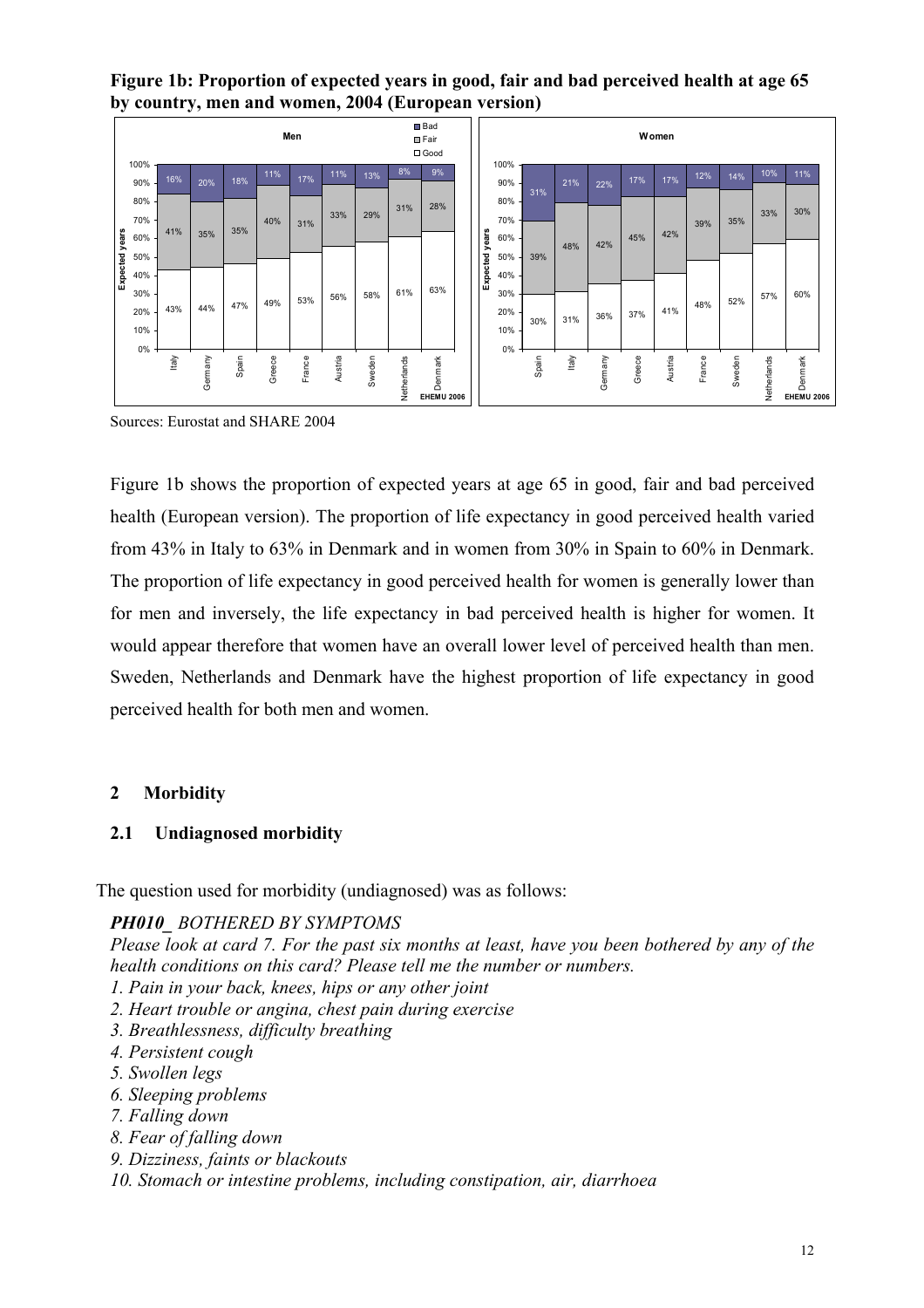**Figure 1b: Proportion of expected years in good, fair and bad perceived health at age 65 by country, men and women, 2004 (European version)** 

|                |             |       |         |       |        | Men    |         |        |             | <b>Bad</b><br><b>E</b> Fair<br>$\square$ Good |          |             |       |       |         |        | Women   |        |        |             |                              |  |
|----------------|-------------|-------|---------|-------|--------|--------|---------|--------|-------------|-----------------------------------------------|----------|-------------|-------|-------|---------|--------|---------|--------|--------|-------------|------------------------------|--|
|                | 100%<br>90% | 16%   | 20%     | 18%   | 11%    | 17%    | 11%     | 13%    | 8%          | 9%                                            |          | 100%<br>90% |       | 21%   | 22%     | 17%    | 17%     | 12%    | 14%    | 10%         | 11%                          |  |
|                | 80% -       |       |         |       |        |        |         |        |             | 28%                                           |          | 80%         | 31%   |       |         |        |         |        |        |             |                              |  |
|                | 70% -       |       |         |       | 40%    | 31%    | 33%     | 29%    | 31%         |                                               |          | 70%         |       |       |         |        |         | 39%    | 35%    | 33%         | 30%                          |  |
|                | 60%         | 41%   | 35%     | 35%   |        |        |         |        |             |                                               | years    | 60%         |       | 48%   | 42%     | 45%    | 42%     |        |        |             |                              |  |
| Expected years | 50%         |       |         |       |        |        |         |        |             |                                               |          | 50%         | 39%   |       |         |        |         |        |        |             |                              |  |
|                | 40% -       |       |         |       |        |        |         |        |             |                                               | Expected | 40%         |       |       |         |        |         |        |        |             |                              |  |
|                | 30%         |       |         | 47%   | 49%    | 53%    | 56%     | 58%    | 61%         | 63%                                           |          | 30%         |       |       |         |        |         | 48%    | 52%    | 57%         | 60%                          |  |
|                | 20%         | 43%   | 44%     |       |        |        |         |        |             |                                               |          | 20%         | 30%   | 31%   | 36%     | 37%    | 41%     |        |        |             |                              |  |
|                | 10%         |       |         |       |        |        |         |        |             |                                               |          | 10%         |       |       |         |        |         |        |        |             |                              |  |
|                | $0\%$       | Italy | Germany | Spain | Greece | France | Austria | Sweden | Netherlands | Denmark<br><b>EHEMU 2006</b>                  |          | 0%          | Spain | ltaly | Germany | Greece | Austria | France | Sweden | Netherlands | Denmark<br><b>EHEMU 2006</b> |  |

Sources: Eurostat and SHARE 2004

Figure 1b shows the proportion of expected years at age 65 in good, fair and bad perceived health (European version). The proportion of life expectancy in good perceived health varied from 43% in Italy to 63% in Denmark and in women from 30% in Spain to 60% in Denmark. The proportion of life expectancy in good perceived health for women is generally lower than for men and inversely, the life expectancy in bad perceived health is higher for women. It would appear therefore that women have an overall lower level of perceived health than men. Sweden, Netherlands and Denmark have the highest proportion of life expectancy in good perceived health for both men and women.

#### **2 Morbidity**

#### **2.1 Undiagnosed morbidity**

The question used for morbidity (undiagnosed) was as follows:

*PH010\_ BOTHERED BY SYMPTOMS* 

*Please look at card 7. For the past six months at least, have you been bothered by any of the health conditions on this card? Please tell me the number or numbers.* 

- *1. Pain in your back, knees, hips or any other joint*
- *2. Heart trouble or angina, chest pain during exercise*
- *3. Breathlessness, difficulty breathing*
- *4. Persistent cough*
- *5. Swollen legs*
- *6. Sleeping problems*
- *7. Falling down*
- *8. Fear of falling down*
- *9. Dizziness, faints or blackouts*
- *10. Stomach or intestine problems, including constipation, air, diarrhoea*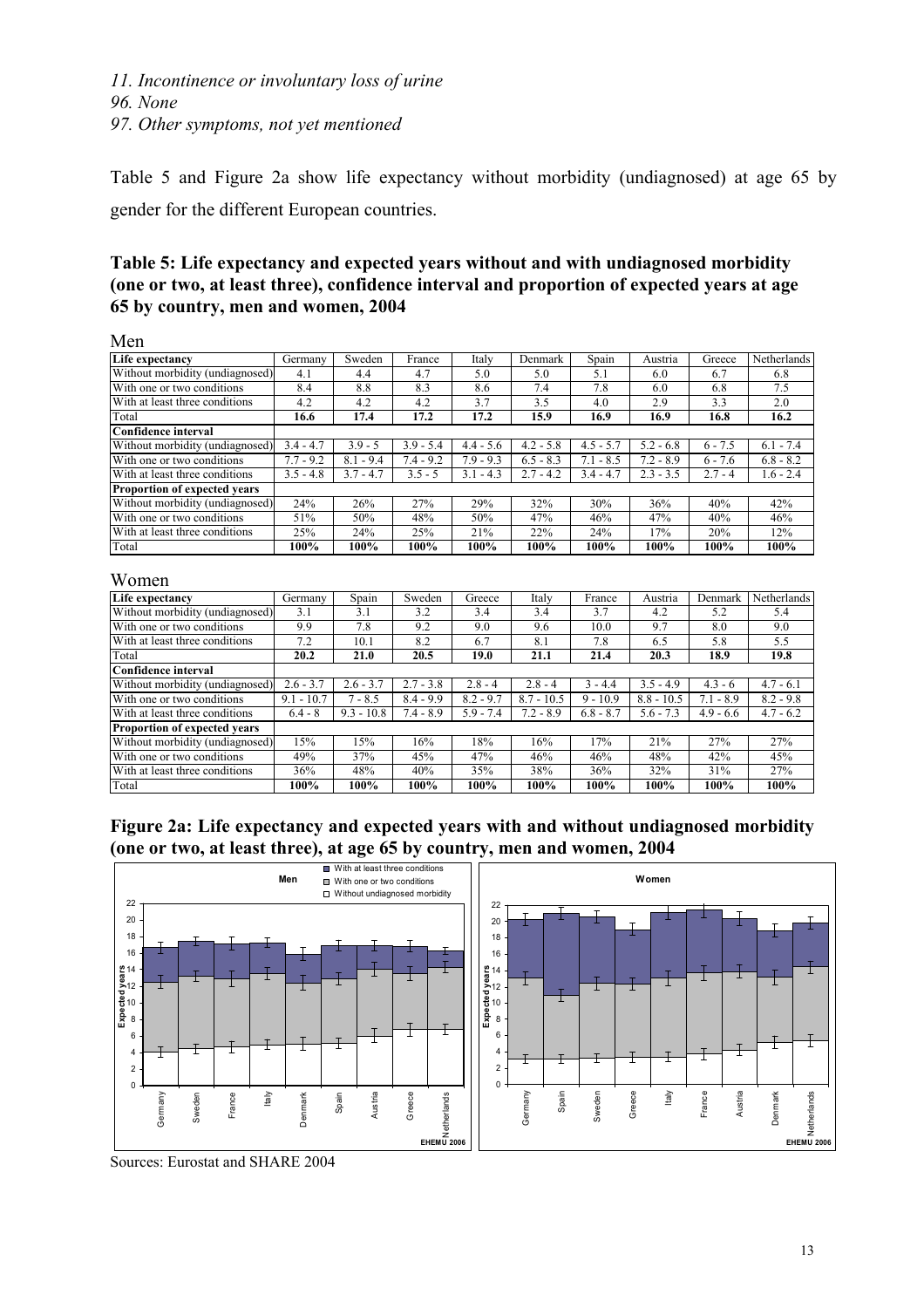Table 5 and Figure 2a show life expectancy without morbidity (undiagnosed) at age 65 by gender for the different European countries.

#### **Table 5: Life expectancy and expected years without and with undiagnosed morbidity (one or two, at least three), confidence interval and proportion of expected years at age 65 by country, men and women, 2004**

Men Life expectancy **Germany | Sweden | France | Italy | Denmark | Spain | Austria | Greece | Netherlands** Without morbidity (undiagnosed) 4.1 4.4 4.7 5.0 5.0 5.1 6.0 6.7 6.8 With one or two conditions 8.4 8.8 8.3 8.6 7.4 7.8 6.0 6.8 7.5<br>With at least three conditions 4.2 4.2 4.2 3.7 3.5 4.0 2.9 3.3 2.0 With at least three conditions <br>
Total 16.6 17.4 17.2 17.2 15.9 16.9 16.9 16.9 16.9 Total **16.6 17.4 17.2 17.2 15.9 16.9 16.9 16.8 16.2 Confidence interval** Without morbidity (undiagnosed) 3.4 - 4.7 3.9 - 5 3.9 - 5.4 4.4 - 5.6 4.2 - 5.8 4.5 - 5.7 5.2 - 6.8 6 - 7.5 6.1 - 7.4 With one or two conditions 7.7 - 9.2 8.1 - 9.4 7.4 - 9.2 7.9 - 9.3 6.5 - 8.3 7.1 - 8.5 7.2 - 8.9 6 - 7.6 6.8 - 8.2 With at least three conditions 3.5 - 4.8 3.7 - 4.7 3.5 - 5 3.1 - 4.3 2.7 - 4.2 3.4 - 4.7 2.3 - 3.5 2.7 - 4 1.6 - 2.4 **Proportion of expected years** Without morbidity (undiagnosed) 24% 26% 27% 29% 32% 30% 36% 40% 42% With one or two conditions 51% 50% 48% 50% 47% 46% 47% 40% 40% 46% With at least three conditions 25% 24% 25% 21% 22% 24% 17% 20% 12% Total **100% 100% 100% 100% 100% 100% 100% 100% 100%**

#### Women

| ,, , , , , , , ,                    |              |              |             |             |              |             |              |             |             |
|-------------------------------------|--------------|--------------|-------------|-------------|--------------|-------------|--------------|-------------|-------------|
| Life expectancy                     | Germany      | Spain        | Sweden      | Greece      | Italy        | France      | Austria      | Denmark     | Netherlands |
| Without morbidity (undiagnosed)     | 3.1          | 3.1          | 3.2         | 3.4         | 3.4          | 3.7         | 4.2          | 5.2         | 5.4         |
| With one or two conditions          | 9.9          | 7.8          | 9.2         | 9.0         | 9.6          | 10.0        | 9.7          | 8.0         | 9.0         |
| With at least three conditions      | 7.2          | 10.1         | 8.2         | 6.7         | 8.1          | 7.8         | 6.5          | 5.8         | 5.5         |
| Total                               | 20.2         | 21.0         | 20.5        | 19.0        | 21.1         | 21.4        | 20.3         | 18.9        | 19.8        |
| Confidence interval                 |              |              |             |             |              |             |              |             |             |
| Without morbidity (undiagnosed)     | $2.6 - 3.7$  | $2.6 - 3.7$  | $2.7 - 3.8$ | $2.8 - 4$   | $2.8 - 4$    | $3 - 4.4$   | $3.5 - 4.9$  | $4.3 - 6$   | $4.7 - 6.1$ |
| With one or two conditions          | $9.1 - 10.7$ | $7 - 8.5$    | $8.4 - 9.9$ | $8.2 - 9.7$ | $8.7 - 10.5$ | $9 - 10.9$  | $8.8 - 10.5$ | $7.1 - 8.9$ | $8.2 - 9.8$ |
| With at least three conditions      | $6.4 - 8$    | $9.3 - 10.8$ | $7.4 - 8.9$ | $5.9 - 7.4$ | $7.2 - 8.9$  | $6.8 - 8.7$ | $5.6 - 7.3$  | $4.9 - 6.6$ | $4.7 - 6.2$ |
| <b>Proportion of expected vears</b> |              |              |             |             |              |             |              |             |             |
| Without morbidity (undiagnosed)     | 15%          | 15%          | 16%         | 18%         | 16%          | 17%         | 21%          | 27%         | 27%         |
| With one or two conditions          | 49%          | 37%          | 45%         | 47%         | 46%          | 46%         | 48%          | 42%         | 45%         |
| With at least three conditions      | 36%          | 48%          | 40%         | 35%         | 38%          | 36%         | 32%          | 31%         | 27%         |
| Total                               | 100%         | 100%         | 100%        | 100%        | 100%         | 100%        | 100%         | 100%        | 100%        |

**Figure 2a: Life expectancy and expected years with and without undiagnosed morbidity (one or two, at least three), at age 65 by country, men and women, 2004** 



Sources: Eurostat and SHARE 2004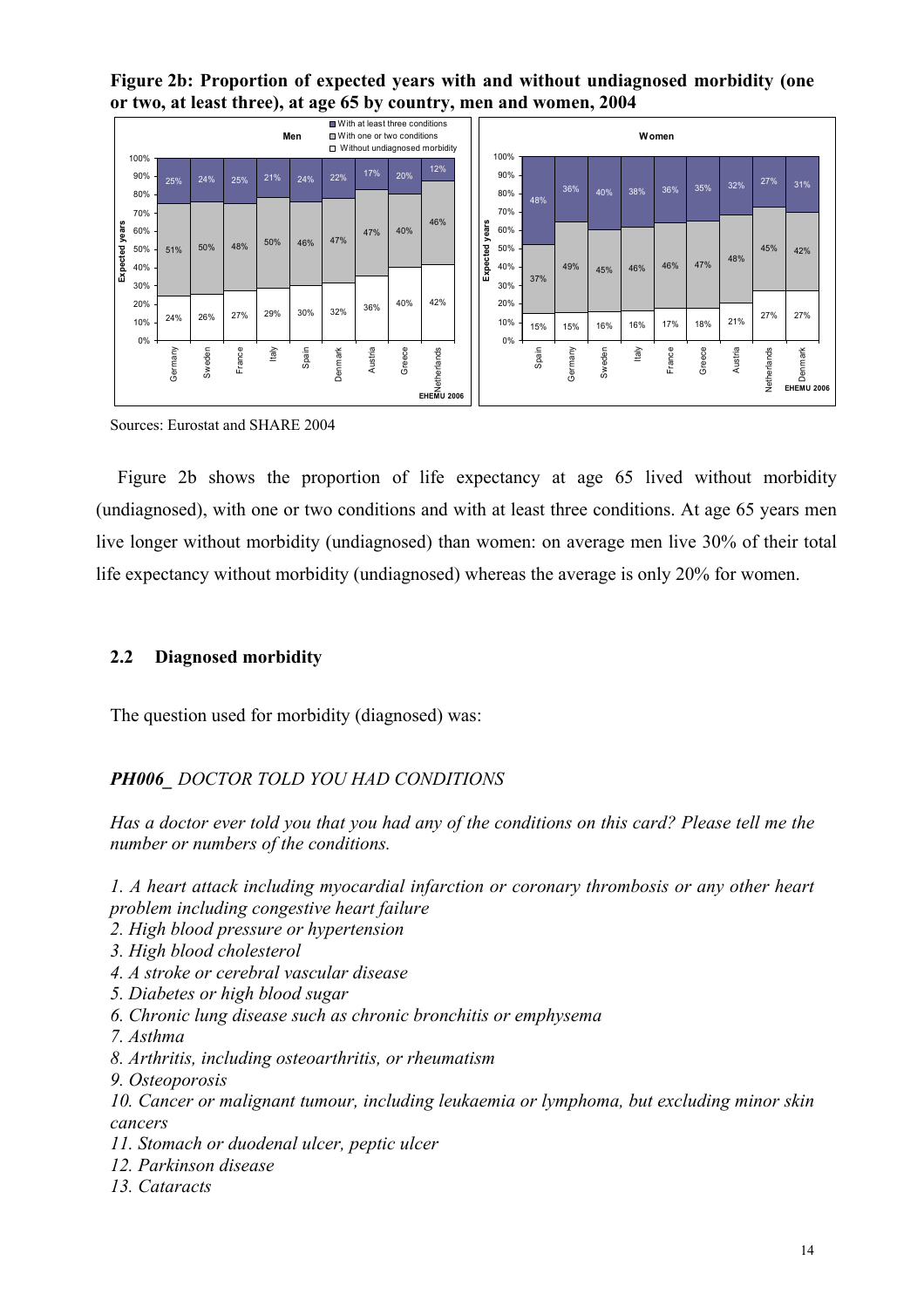**Figure 2b: Proportion of expected years with and without undiagnosed morbidity (one or two, at least three), at age 65 by country, men and women, 2004** 

|          | 100%                |         |        |        |      | Men   |         | ■ With at least three conditions<br>■ With one or two conditions |        | □ Without undiagnosed morbidity |          | 100%              |       |         |        |       | Women  |        |         |             |                              |
|----------|---------------------|---------|--------|--------|------|-------|---------|------------------------------------------------------------------|--------|---------------------------------|----------|-------------------|-------|---------|--------|-------|--------|--------|---------|-------------|------------------------------|
|          | 90%<br>80%          | 25%     | 24%    | 25%    | 21%  | 24%   | 22%     | 17%                                                              | 20%    | 12%                             |          | 90%<br>80%        | 48%   | 36%     | 40%    | 38%   | 36%    | 35%    | 32%     | 27%         | 31%                          |
| years    | 70% -<br>60%<br>50% | 51%     | 50%    | 48%    | 50%  | 46%   | 47%     | 47%                                                              | 40%    | 46%                             | years    | 70%<br>60%<br>50% |       |         |        |       |        |        | 48%     | 45%         | 42%                          |
| Expected | 40%<br>30%<br>20%   |         |        |        |      |       |         |                                                                  | 40%    | 42%                             | Expected | 40%<br>30%<br>20% | 37%   | 49%     | 45%    | 46%   | 46%    | 47%    |         |             |                              |
|          | 10%<br>$0\%$        | 24%     | 26%    | 27%    | 29%  | 30%   | 32%     | 36%                                                              |        |                                 |          | 10%<br>$0\%$      | 15%   | 15%     | 16%    | 16%   | 17%    | 18%    | 21%     | 27%         | 27%                          |
|          |                     | Germany | Sweden | France | taly | Spain | Denmark | Austria                                                          | Greece | EHEMU 2006                      |          |                   | Spain | Germany | Sweden | ltaly | France | Greece | Austria | Netherlands | Denmark<br><b>EHEMU 2006</b> |

Sources: Eurostat and SHARE 2004

 Figure 2b shows the proportion of life expectancy at age 65 lived without morbidity (undiagnosed), with one or two conditions and with at least three conditions. At age 65 years men live longer without morbidity (undiagnosed) than women: on average men live 30% of their total life expectancy without morbidity (undiagnosed) whereas the average is only 20% for women.

#### **2.2 Diagnosed morbidity**

The question used for morbidity (diagnosed) was:

#### *PH006\_ DOCTOR TOLD YOU HAD CONDITIONS*

*Has a doctor ever told you that you had any of the conditions on this card? Please tell me the number or numbers of the conditions.* 

*1. A heart attack including myocardial infarction or coronary thrombosis or any other heart problem including congestive heart failure* 

- *2. High blood pressure or hypertension*
- *3. High blood cholesterol*
- *4. A stroke or cerebral vascular disease*
- *5. Diabetes or high blood sugar*
- *6. Chronic lung disease such as chronic bronchitis or emphysema*
- *7. Asthma*
- *8. Arthritis, including osteoarthritis, or rheumatism*
- *9. Osteoporosis*
- *10. Cancer or malignant tumour, including leukaemia or lymphoma, but excluding minor skin cancers*
- *11. Stomach or duodenal ulcer, peptic ulcer*
- *12. Parkinson disease*
- *13. Cataracts*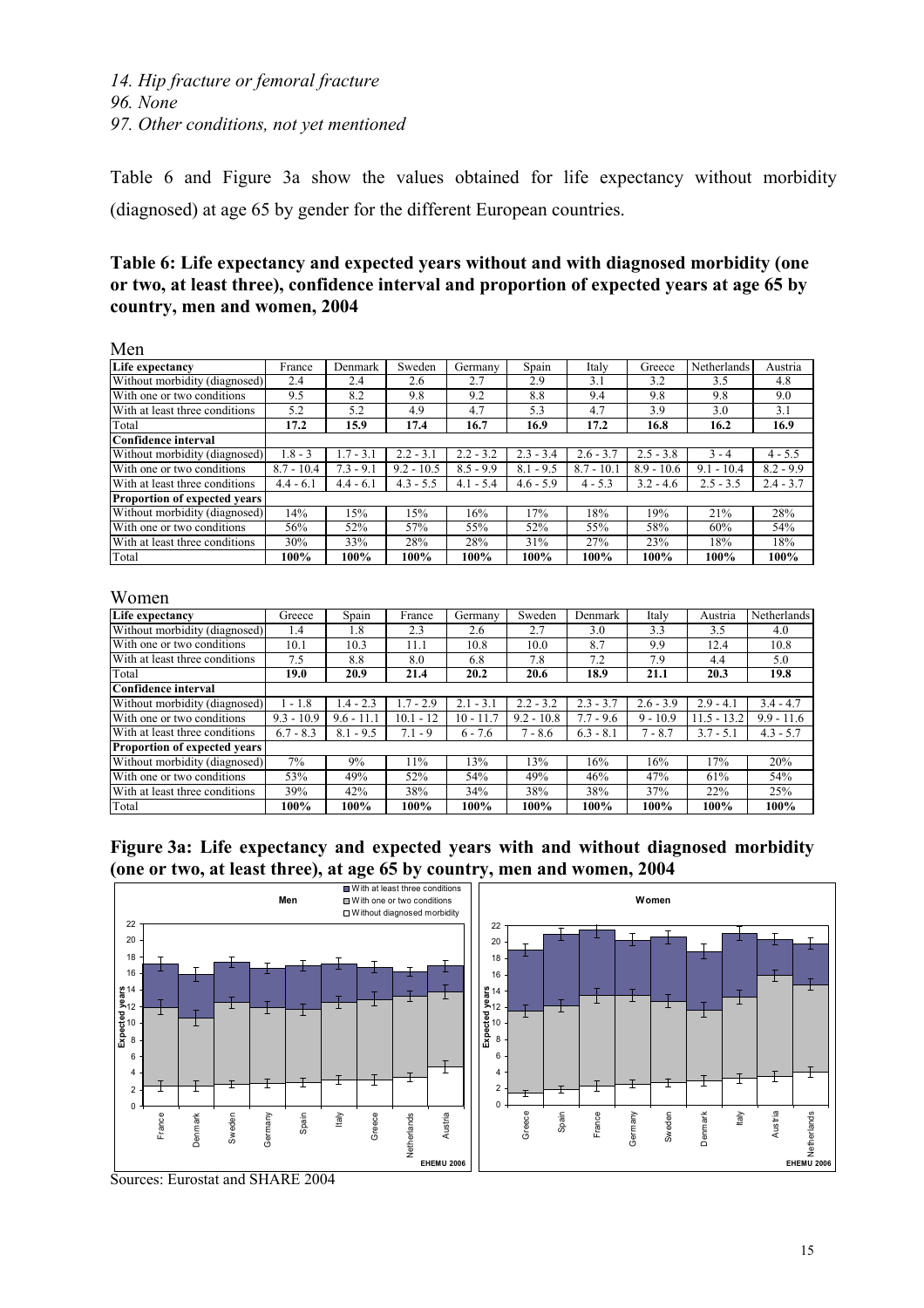Table 6 and Figure 3a show the values obtained for life expectancy without morbidity (diagnosed) at age 65 by gender for the different European countries.

## **Table 6: Life expectancy and expected years without and with diagnosed morbidity (one or two, at least three), confidence interval and proportion of expected years at age 65 by country, men and women, 2004**

Men

| 171V.II                             |              |             |              |             |             |              |              |              |             |
|-------------------------------------|--------------|-------------|--------------|-------------|-------------|--------------|--------------|--------------|-------------|
| Life expectancy                     | France       | Denmark     | Sweden       | Germany     | Spain       | Italy        | Greece       | Netherlands  | Austria     |
| Without morbidity (diagnosed)       | 2.4          | 2.4         | 2.6          | 2.7         | 2.9         | 3.1          | 3.2          | 3.5          | 4.8         |
| With one or two conditions          | 9.5          | 8.2         | 9.8          | 9.2         | 8.8         | 9.4          | 9.8          | 9.8          | 9.0         |
| With at least three conditions      | 5.2          | 5.2         | 4.9          | 4.7         | 5.3         | 4.7          | 3.9          | 3.0          | 3.1         |
| Total                               | 17.2         | 15.9        | 17.4         | 16.7        | 16.9        | 17.2         | 16.8         | 16.2         | 16.9        |
| Confidence interval                 |              |             |              |             |             |              |              |              |             |
| Without morbidity (diagnosed)       | $1.8 - 3$    | $1.7 - 3.1$ | $2.2 - 3.1$  | $2.2 - 3.2$ | $2.3 - 3.4$ | $2.6 - 3.7$  | $2.5 - 3.8$  | $3 - 4$      | $4 - 5.5$   |
| With one or two conditions          | $8.7 - 10.4$ | $7.3 - 9.1$ | $9.2 - 10.5$ | $8.5 - 9.9$ | $8.1 - 9.5$ | $8.7 - 10.1$ | $8.9 - 10.6$ | $9.1 - 10.4$ | $8.2 - 9.9$ |
| With at least three conditions      | $4.4 - 6.1$  | $4.4 - 6.1$ | $4.3 - 5.5$  | $4.1 - 5.4$ | $4.6 - 5.9$ | $4 - 5.3$    | $3.2 - 4.6$  | $2.5 - 3.5$  | $2.4 - 3.7$ |
| <b>Proportion of expected years</b> |              |             |              |             |             |              |              |              |             |
| Without morbidity (diagnosed)       | 14%          | 15%         | 15%          | 16%         | 17%         | 18%          | 19%          | 21%          | 28%         |
| With one or two conditions          | 56%          | 52%         | 57%          | 55%         | 52%         | 55%          | 58%          | 60%          | 54%         |
| With at least three conditions      | 30%          | 33%         | 28%          | 28%         | 31%         | 27%          | 23%          | 18%          | 18%         |
| Total                               | 100%         | 100%        | 100%         | 100%        | 100%        | 100%         | 100%         | 100%         | 100%        |

#### Women

| Life expectancy                     | Greece       | Spain        | France      | Germany     | Sweden       | Denmark     | Italy       | Austria       | Netherlands  |
|-------------------------------------|--------------|--------------|-------------|-------------|--------------|-------------|-------------|---------------|--------------|
| Without morbidity (diagnosed)       | 1.4          | 1.8          | 2.3         | 2.6         | 2.7          | 3.0         | 3.3         | 3.5           | 4.0          |
| With one or two conditions          | 10.1         | 10.3         | 11.1        | 10.8        | 10.0         | 8.7         | 9.9         | 12.4          | 10.8         |
| With at least three conditions      | 7.5          | 8.8          | 8.0         | 6.8         | 7.8          | 7.2         | 7.9         | 4.4           | 5.0          |
| Total                               | 19.0         | 20.9         | 21.4        | 20.2        | 20.6         | 18.9        | 21.1        | 20.3          | 19.8         |
| Confidence interval                 |              |              |             |             |              |             |             |               |              |
| Without morbidity (diagnosed)       | $-1.8$       | $.4 - 2.3$   | $1.7 - 2.9$ | $2.1 - 3.1$ | $2.2 - 3.2$  | $2.3 - 3.7$ | $2.6 - 3.9$ | $2.9 - 4.1$   | $3.4 - 4.7$  |
| With one or two conditions          | $9.3 - 10.9$ | $9.6 - 11.1$ | 10.1 - 12   | $10 - 11.7$ | $9.2 - 10.8$ | $7.7 - 9.6$ | $9 - 10.9$  | $11.5 - 13.2$ | $9.9 - 11.6$ |
| With at least three conditions      | $6.7 - 8.3$  | $8.1 - 9.5$  | $7.1 - 9$   | $6 - 7.6$   | $7 - 8.6$    | $6.3 - 8.1$ | $7 - 8.7$   | $3.7 - 5.1$   | $4.3 - 5.7$  |
| <b>Proportion of expected years</b> |              |              |             |             |              |             |             |               |              |
| Without morbidity (diagnosed)       | 7%           | 9%           | 11%         | 13%         | 13%          | 16%         | 16%         | 17%           | 20%          |
| With one or two conditions          | 53%          | 49%          | 52%         | 54%         | 49%          | 46%         | 47%         | 61%           | 54%          |
| With at least three conditions      | 39%          | 42%          | 38%         | 34%         | 38%          | 38%         | 37%         | 22%           | 25%          |
| Total                               | 100%         | 100%         | 100%        | 100%        | 100%         | 100%        | 100%        | 100%          | 100%         |

**Figure 3a: Life expectancy and expected years with and without diagnosed morbidity (one or two, at least three), at age 65 by country, men and women, 2004** 



Sources: Eurostat and SHARE 2004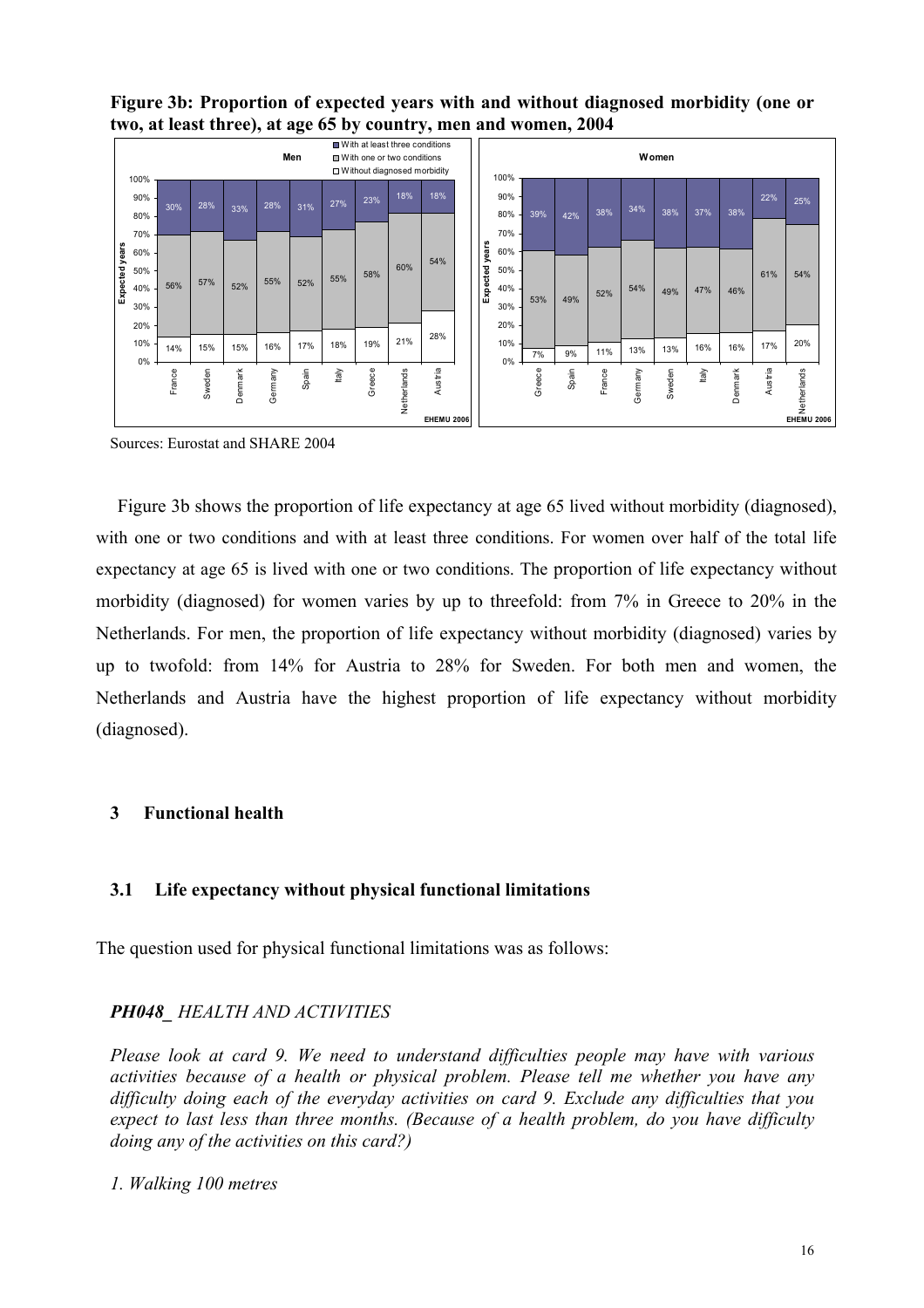**Figure 3b: Proportion of expected years with and without diagnosed morbidity (one or two, at least three), at age 65 by country, men and women, 2004** 

|          | 100%              |        |        |         |         | Men   |       | ■ With one or two conditions<br>□ Without diagnosed morbidity |             | ■ With at least three conditions |          | 100%              |        |       |        |         | Women  |       |         |         |                                  |
|----------|-------------------|--------|--------|---------|---------|-------|-------|---------------------------------------------------------------|-------------|----------------------------------|----------|-------------------|--------|-------|--------|---------|--------|-------|---------|---------|----------------------------------|
|          | 90%<br>80%        | 30%    | 28%    | 33%     | 28%     | 31%   | 27%   | 23%                                                           | 18%         | 18%                              |          | 90%<br>80%        | 39%    | 42%   | 38%    | 34%     | 38%    | 37%   | 38%     | 22%     | 25%                              |
| years    | 70%<br>60%        |        |        |         |         |       |       |                                                               |             |                                  | years    | 70%<br>60%        |        |       |        |         |        |       |         |         |                                  |
| Expected | 50%<br>40%<br>30% | 56%    | 57%    | 52%     | 55%     | 52%   | 55%   | 58%                                                           | 60%         | 54%                              | Expected | 50%<br>40%<br>30% | 53%    | 49%   | 52%    | 54%     | 49%    | 47%   | 46%     | 61%     | 54%                              |
|          | 20%               |        |        |         |         |       |       |                                                               | 21%         | 28%                              |          | 20%               |        |       |        |         |        |       |         |         |                                  |
|          | 10% -<br>0%       | 14%    | 15%    | 15%     | 16%     | 17%   | 18%   | 19%                                                           |             |                                  |          | 10%<br>0%         | 7%     | 9%    | 11%    | 13%     | 13%    | 16%   | 16%     | 17%     | 20%                              |
|          |                   | France | Sweden | Denmark | Germany | Spain | Italy | Greece                                                        | Netherlands | Austria<br><b>EHEMU 2006</b>     |          |                   | Greece | Spain | France | Germany | Sweden | ltaly | Denmark | Austria | Netherlands<br><b>EHEMU 2006</b> |

Sources: Eurostat and SHARE 2004

 Figure 3b shows the proportion of life expectancy at age 65 lived without morbidity (diagnosed), with one or two conditions and with at least three conditions. For women over half of the total life expectancy at age 65 is lived with one or two conditions. The proportion of life expectancy without morbidity (diagnosed) for women varies by up to threefold: from 7% in Greece to 20% in the Netherlands. For men, the proportion of life expectancy without morbidity (diagnosed) varies by up to twofold: from 14% for Austria to 28% for Sweden. For both men and women, the Netherlands and Austria have the highest proportion of life expectancy without morbidity (diagnosed).

#### **3 Functional health**

#### **3.1 Life expectancy without physical functional limitations**

The question used for physical functional limitations was as follows:

#### *PH048\_ HEALTH AND ACTIVITIES*

*Please look at card 9. We need to understand difficulties people may have with various activities because of a health or physical problem. Please tell me whether you have any difficulty doing each of the everyday activities on card 9. Exclude any difficulties that you expect to last less than three months. (Because of a health problem, do you have difficulty doing any of the activities on this card?)* 

*1. Walking 100 metres*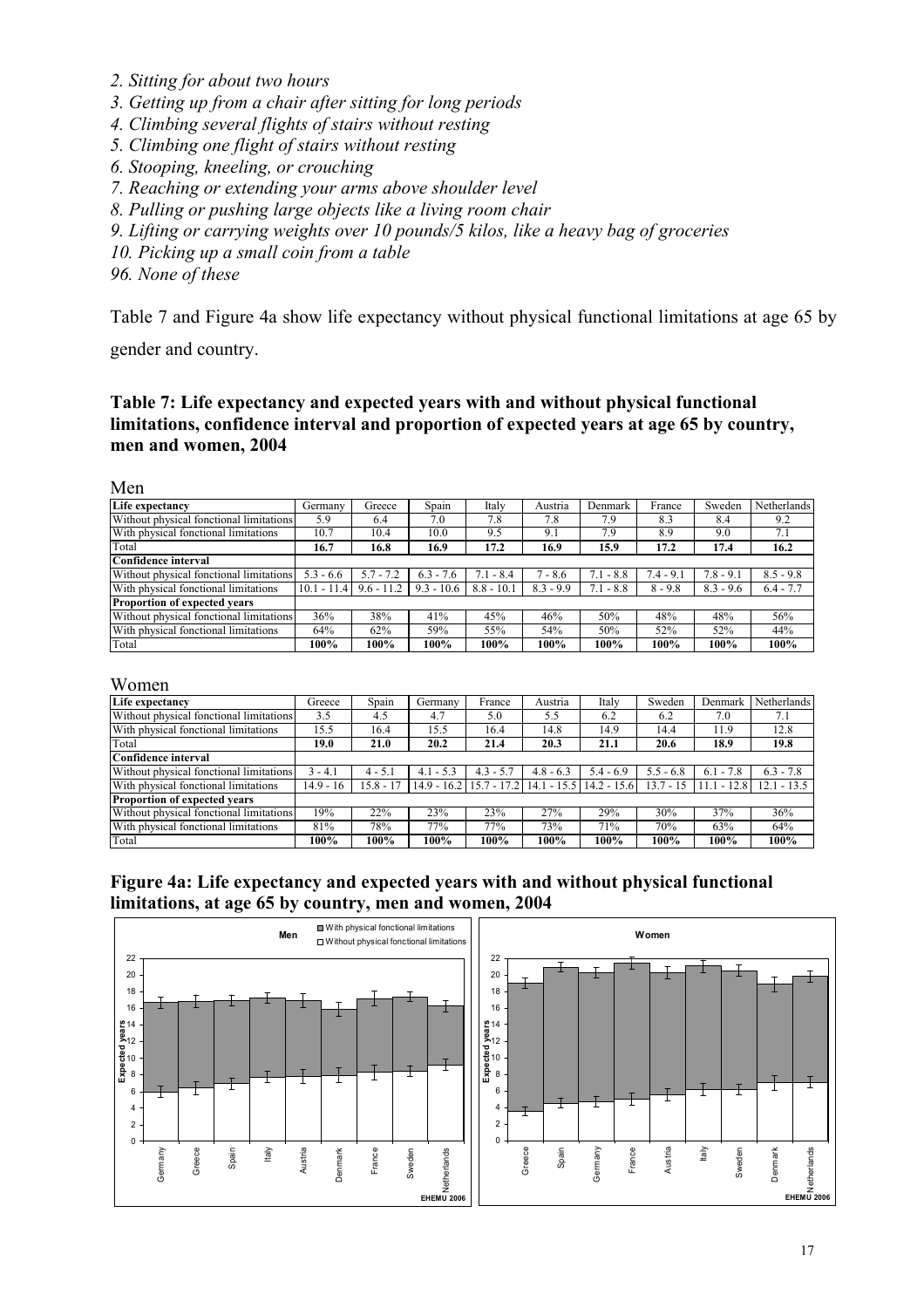- *2. Sitting for about two hours*
- *3. Getting up from a chair after sitting for long periods*
- *4. Climbing several flights of stairs without resting*
- *5. Climbing one flight of stairs without resting*
- *6. Stooping, kneeling, or crouching*
- *7. Reaching or extending your arms above shoulder level*
- *8. Pulling or pushing large objects like a living room chair*
- *9. Lifting or carrying weights over 10 pounds/5 kilos, like a heavy bag of groceries*
- *10. Picking up a small coin from a table*

*96. None of these* 

Table 7 and Figure 4a show life expectancy without physical functional limitations at age 65 by

gender and country.

#### **Table 7: Life expectancy and expected years with and without physical functional limitations, confidence interval and proportion of expected years at age 65 by country, men and women, 2004**

#### Men

| Life expectancy                         | Germany       | Greece       | Spain            | Italy         | Austria     | Denmark     | France      | Sweden      | Netherlands |
|-----------------------------------------|---------------|--------------|------------------|---------------|-------------|-------------|-------------|-------------|-------------|
| Without physical fonctional limitations | 5.9           | 6.4          | 7.0              | 7.8           | 7.8         | 7.9         | 8.3         | 8.4         | 9.2         |
| With physical fonctional limitations    | 10.7          | 10.4         | 10.0             | 9.5           | 9.1         | 7.9         | 8.9         | 9.0         | 7.1         |
| Total                                   | 16.7          | 16.8         | 16.9             | 17.2          | 16.9        | 15.9        | 17.2        | 17.4        | 16.2        |
| lConfidence interval                    |               |              |                  |               |             |             |             |             |             |
| Without physical fonctional limitations | $5.3 - 6.6$   | $5.7 - 7.2$  | $6.3 - 7$<br>1.6 | 7.1<br>$-8.4$ | $7 - 8.6$   | $7.1 - 8.8$ | $7.4 - 9.1$ | $7.8 - 9.1$ | $8.5 - 9.8$ |
| With physical fonctional limitations    | $10.1 - 11.4$ | $9.6 - 11.2$ | $9.3 - 10.6$     | $8.8 - 10.1$  | $8.3 - 9.9$ | $7.1 - 8.8$ | $8 - 9.8$   | $8.3 - 9.6$ | $6.4 - 7.7$ |
| <b>Proportion of expected years</b>     |               |              |                  |               |             |             |             |             |             |
| Without physical fonctional limitations | 36%           | 38%          | 41%              | 45%           | 46%         | 50%         | 48%         | 48%         | 56%         |
| With physical fonctional limitations    | 64%           | 62%          | 59%              | 55%           | 54%         | 50%         | 52%         | 52%         | 44%         |
| Total                                   | 100%          | 100%         | 100%             | 100%          | 100%        | 100%        | 100%        | 100%        | 100%        |

#### Women

| 11 VIIIVII                              |             |             |             |             |             |                                                       |             |               |               |
|-----------------------------------------|-------------|-------------|-------------|-------------|-------------|-------------------------------------------------------|-------------|---------------|---------------|
| Life expectancy                         | Greece      | Spain       | Germany     | France      | Austria     | Italy                                                 | Sweden      | Denmark       | Netherlands   |
| Without physical fonctional limitations | 3.5         | 4.5         | 4.7         | 5.0         | 5.5         | 6.2                                                   | 6.2         | 7.0           | 7.1           |
| With physical fonctional limitations    | 15.5        | 16.4        | 15.5        | 16.4        | 14.8        | 14.9                                                  | 14.4        | 11.9          | 12.8          |
| Total                                   | 19.0        | 21.0        | 20.2        | 21.4        | 20.3        | 21.1                                                  | 20.6        | 18.9          | 19.8          |
| Confidence interval                     |             |             |             |             |             |                                                       |             |               |               |
| Without physical fonctional limitations | $3 - 4.1$   | $4 - 5.1$   | $4.1 - 5.3$ | $4.3 - 5.7$ | $4.8 - 6.3$ | $5.4 - 6.9$                                           | $5.5 - 6.8$ | $-7.8$<br>6.1 | $6.3 - 7.8$   |
| With physical fonctional limitations    | $14.9 - 16$ | $15.8 - 17$ |             |             |             | 14.9 - 16.2   15.7 - 17.2   14.1 - 15.5   14.2 - 15.6 | $13.7 - 15$ | $11.1 - 12.8$ | $12.1 - 13.5$ |
| Proportion of expected years            |             |             |             |             |             |                                                       |             |               |               |
| Without physical fonctional limitations | 19%         | 22%         | 23%         | 23%         | 27%         | 29%                                                   | 30%         | 37%           | 36%           |
| With physical fonctional limitations    | 81%         | 78%         | 77%         | 77%         | 73%         | 71%                                                   | 70%         | 63%           | 64%           |
| Total                                   | 100%        | 100%        | 100%        | 100%        | 100%        | 100%                                                  | 100%        | 100%          | 100%          |

#### **Figure 4a: Life expectancy and expected years with and without physical functional limitations, at age 65 by country, men and women, 2004**

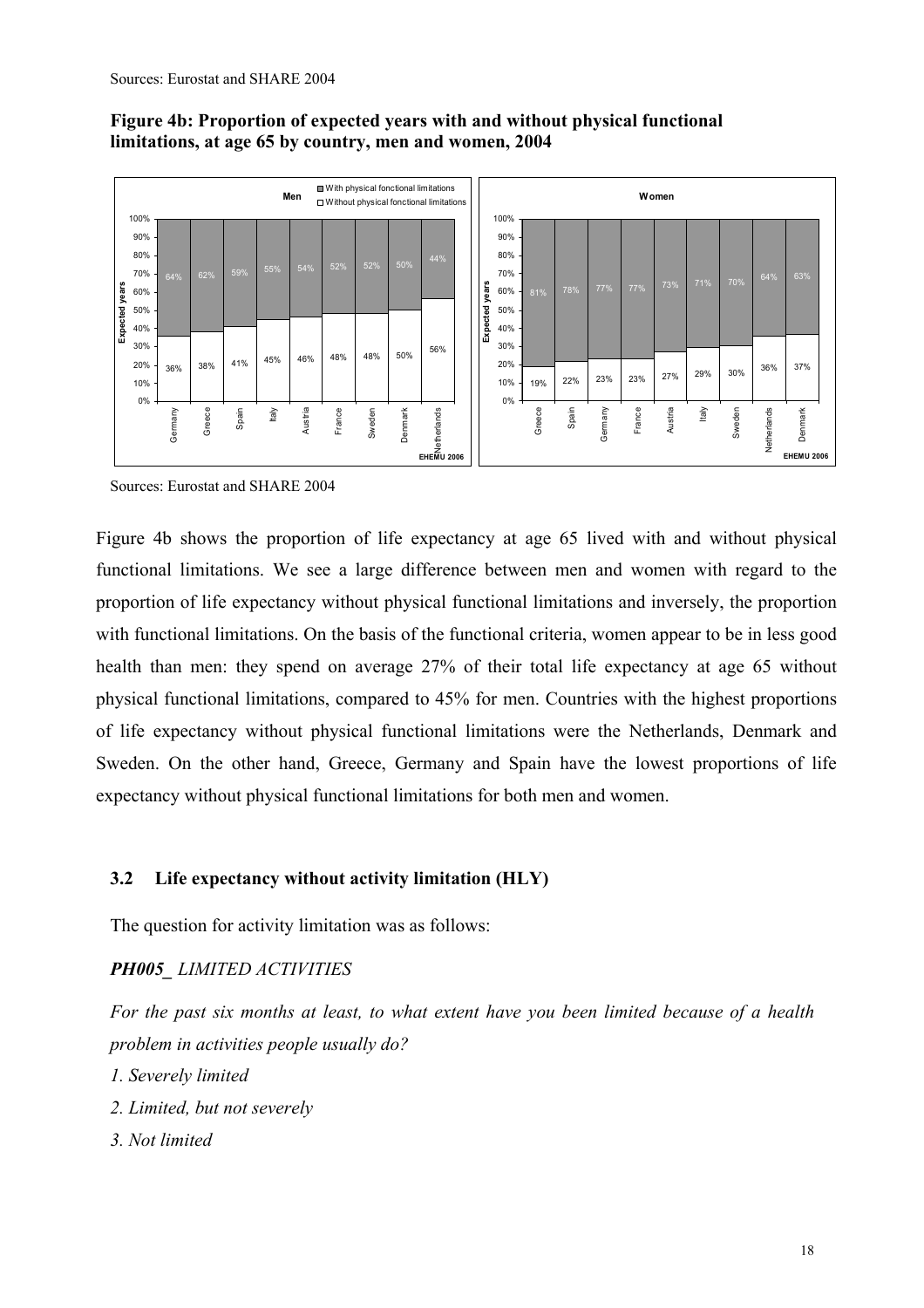## **Figure 4b: Proportion of expected years with and without physical functional limitations, at age 65 by country, men and women, 2004**



Sources: Eurostat and SHARE 2004

Figure 4b shows the proportion of life expectancy at age 65 lived with and without physical functional limitations. We see a large difference between men and women with regard to the proportion of life expectancy without physical functional limitations and inversely, the proportion with functional limitations. On the basis of the functional criteria, women appear to be in less good health than men: they spend on average 27% of their total life expectancy at age 65 without physical functional limitations, compared to 45% for men. Countries with the highest proportions of life expectancy without physical functional limitations were the Netherlands, Denmark and Sweden. On the other hand, Greece, Germany and Spain have the lowest proportions of life expectancy without physical functional limitations for both men and women.

## **3.2 Life expectancy without activity limitation (HLY)**

The question for activity limitation was as follows:

## *PH005\_ LIMITED ACTIVITIES*

*For the past six months at least, to what extent have you been limited because of a health problem in activities people usually do?* 

- *1. Severely limited*
- *2. Limited, but not severely*
- *3. Not limited*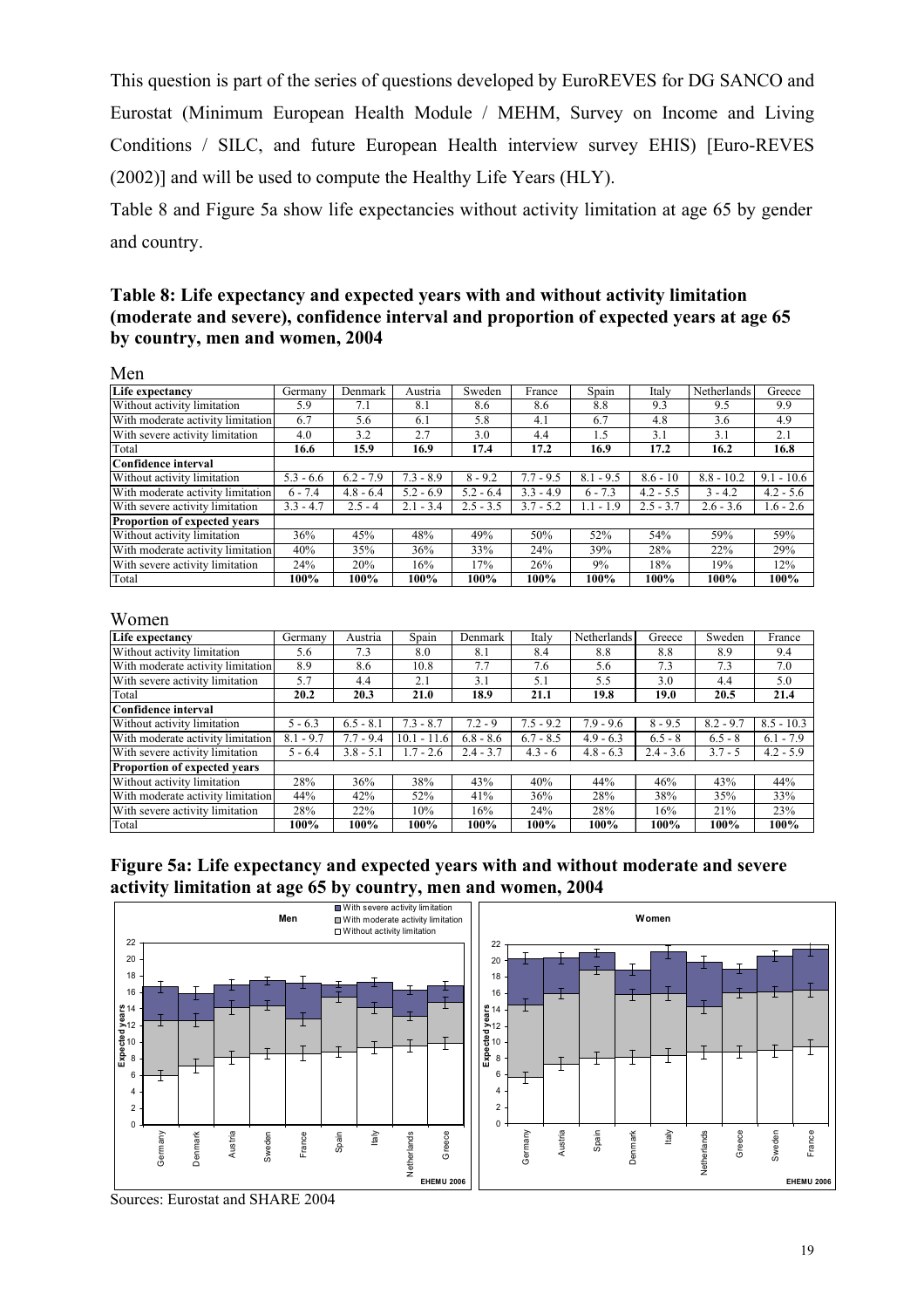This question is part of the series of questions developed by EuroREVES for DG SANCO and Eurostat (Minimum European Health Module / MEHM, Survey on Income and Living Conditions / SILC, and future European Health interview survey EHIS) [Euro-REVES (2002)] and will be used to compute the Healthy Life Years (HLY).

Table 8 and Figure 5a show life expectancies without activity limitation at age 65 by gender and country.

#### **Table 8: Life expectancy and expected years with and without activity limitation (moderate and severe), confidence interval and proportion of expected years at age 65 by country, men and women, 2004**

| Men                                 |             |             |             |             |             |             |             |              |              |
|-------------------------------------|-------------|-------------|-------------|-------------|-------------|-------------|-------------|--------------|--------------|
| Life expectancy                     | Germany     | Denmark     | Austria     | Sweden      | France      | Spain       | Italy       | Netherlands  | Greece       |
| Without activity limitation         | 5.9         | 7.1         | 8.1         | 8.6         | 8.6         | 8.8         | 9.3         | 9.5          | 9.9          |
| With moderate activity limitation   | 6.7         | 5.6         | 6.1         | 5.8         | 4.1         | 6.7         | 4.8         | 3.6          | 4.9          |
| With severe activity limitation     | 4.0         | 3.2         | 2.7         | 3.0         | 4.4         | 1.5         | 3.1         | 3.1          | 2.1          |
| Total                               | 16.6        | 15.9        | 16.9        | 17.4        | 17.2        | 16.9        | 17.2        | 16.2         | 16.8         |
| Confidence interval                 |             |             |             |             |             |             |             |              |              |
| Without activity limitation         | $5.3 - 6.6$ | $6.2 - 7.9$ | $7.3 - 8.9$ | $8 - 9.2$   | $7.7 - 9.5$ | $8.1 - 9.5$ | $8.6 - 10$  | $8.8 - 10.2$ | $9.1 - 10.6$ |
| With moderate activity limitation   | $6 - 7.4$   | $4.8 - 6.4$ | $5.2 - 6.9$ | $5.2 - 6.4$ | $3.3 - 4.9$ | $6 - 7.3$   | $4.2 - 5.5$ | $3 - 4.2$    | $4.2 - 5.6$  |
| With severe activity limitation     | $3.3 - 4.7$ | $2.5 - 4$   | $2.1 - 3.4$ | $2.5 - 3.5$ | $3.7 - 5.2$ | $1.1 - 1.9$ | $2.5 - 3.7$ | $2.6 - 3.6$  | $1.6 - 2.6$  |
| <b>Proportion of expected vears</b> |             |             |             |             |             |             |             |              |              |
| Without activity limitation         | 36%         | 45%         | 48%         | 49%         | 50%         | 52%         | 54%         | 59%          | 59%          |
| With moderate activity limitation   | 40%         | 35%         | 36%         | 33%         | 24%         | 39%         | 28%         | 22%          | 29%          |
| With severe activity limitation     | 24%         | 20%         | 16%         | 17%         | 26%         | 9%          | 18%         | 19%          | 12%          |
| Total                               | 100%        | $100\%$     | 100%        | 100%        | 100%        | 100%        | 100%        | 100%         | 100%         |

#### Women

| Life expectancy                   | Germanv     | Austria     | Spain         | Denmark     | Italy       | Netherlands | Greece      | Sweden      | France       |
|-----------------------------------|-------------|-------------|---------------|-------------|-------------|-------------|-------------|-------------|--------------|
| Without activity limitation       | 5.6         | 7.3         | 8.0           | 8.1         | 8.4         | 8.8         | 8.8         | 8.9         | 9.4          |
| With moderate activity limitation | 8.9         | 8.6         | 10.8          | 7.7         | 7.6         | 5.6         | 7.3         | 7.3         | 7.0          |
| With severe activity limitation   | 5.7         | 4.4         | 2.1           | 3.1         | 5.1         | 5.5         | 3.0         | 4.4         | 5.0          |
| Total                             | 20.2        | 20.3        | 21.0          | 18.9        | 21.1        | 19.8        | 19.0        | 20.5        | 21.4         |
| Confidence interval               |             |             |               |             |             |             |             |             |              |
| Without activity limitation       | $5 - 6.3$   | $6.5 - 8.1$ | $7.3 - 8.7$   | $7.2 - 9$   | $7.5 - 9.2$ | $7.9 - 9.6$ | $8 - 9.5$   | $8.2 - 9.7$ | $8.5 - 10.3$ |
| With moderate activity limitation | $8.1 - 9.7$ | $7.7 - 9.4$ | $10.1 - 11.6$ | $6.8 - 8.6$ | $6.7 - 8.5$ | $4.9 - 6.3$ | $6.5 - 8$   | $6.5 - 8$   | $6.1 - 7.9$  |
| With severe activity limitation   | $5 - 6.4$   | $3.8 - 5.1$ | $1.7 - 2.6$   | $2.4 - 3.7$ | $4.3 - 6$   | $4.8 - 6.3$ | $2.4 - 3.6$ | $3.7 - 5$   | $4.2 - 5.9$  |
| Proportion of expected years      |             |             |               |             |             |             |             |             |              |
| Without activity limitation       | 28%         | 36%         | 38%           | 43%         | 40%         | 44%         | 46%         | 43%         | 44%          |
| With moderate activity limitation | 44%         | 42%         | 52%           | 41%         | 36%         | 28%         | 38%         | 35%         | 33%          |
| With severe activity limitation   | 28%         | 22%         | 10%           | 16%         | 24%         | 28%         | 16%         | 21%         | 23%          |
| Total                             | 100%        | 100%        | 100%          | 100%        | 100%        | 100%        | 100%        | 100%        | 100%         |





Sources: Eurostat and SHARE 2004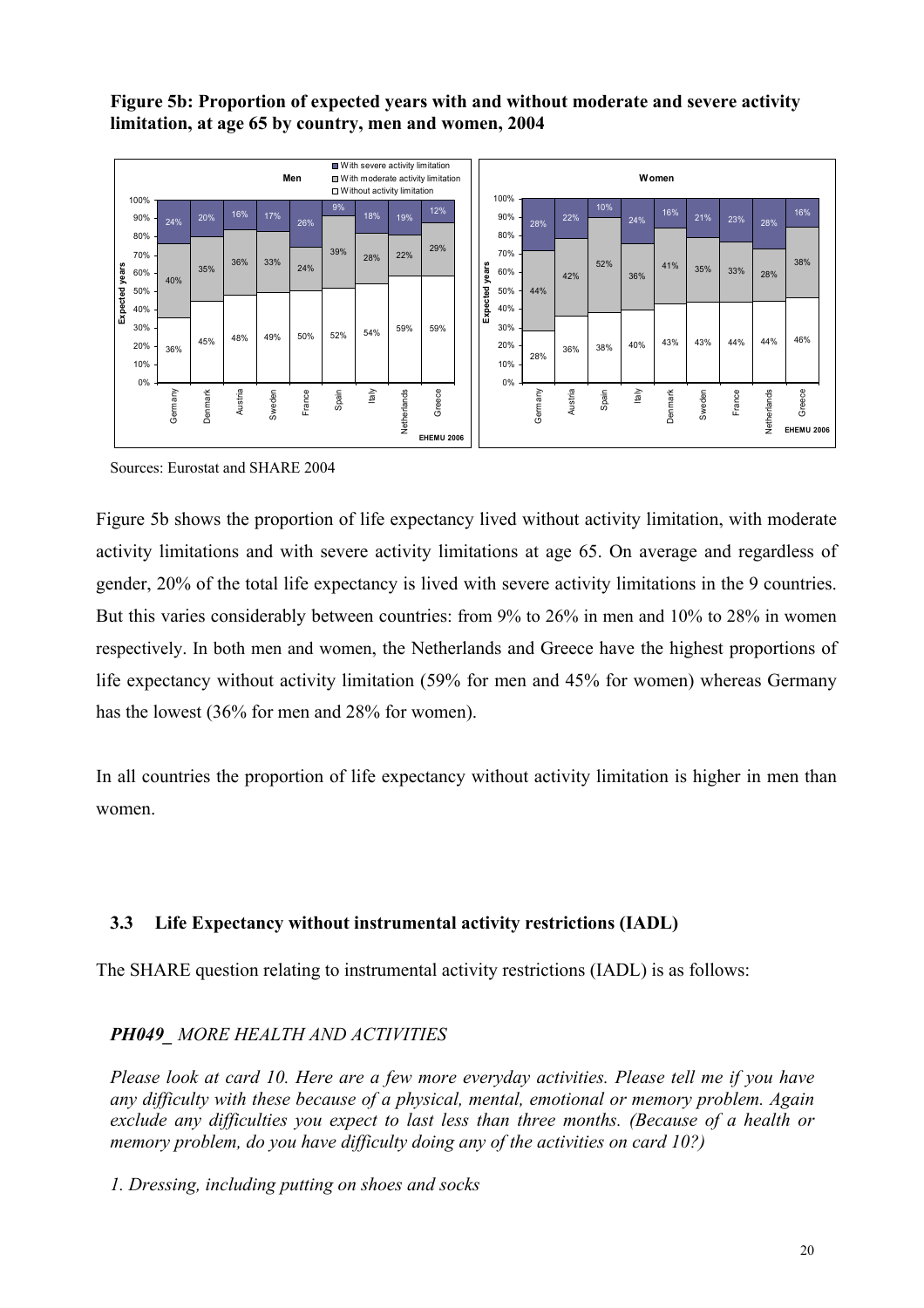## **Figure 5b: Proportion of expected years with and without moderate and severe activity limitation, at age 65 by country, men and women, 2004**



Sources: Eurostat and SHARE 2004

Figure 5b shows the proportion of life expectancy lived without activity limitation, with moderate activity limitations and with severe activity limitations at age 65. On average and regardless of gender, 20% of the total life expectancy is lived with severe activity limitations in the 9 countries. But this varies considerably between countries: from 9% to 26% in men and 10% to 28% in women respectively. In both men and women, the Netherlands and Greece have the highest proportions of life expectancy without activity limitation (59% for men and 45% for women) whereas Germany has the lowest (36% for men and 28% for women).

In all countries the proportion of life expectancy without activity limitation is higher in men than women.

# **3.3 Life Expectancy without instrumental activity restrictions (IADL)**

The SHARE question relating to instrumental activity restrictions (IADL) is as follows:

# *PH049\_ MORE HEALTH AND ACTIVITIES*

*Please look at card 10. Here are a few more everyday activities. Please tell me if you have any difficulty with these because of a physical, mental, emotional or memory problem. Again exclude any difficulties you expect to last less than three months. (Because of a health or memory problem, do you have difficulty doing any of the activities on card 10?)* 

*1. Dressing, including putting on shoes and socks*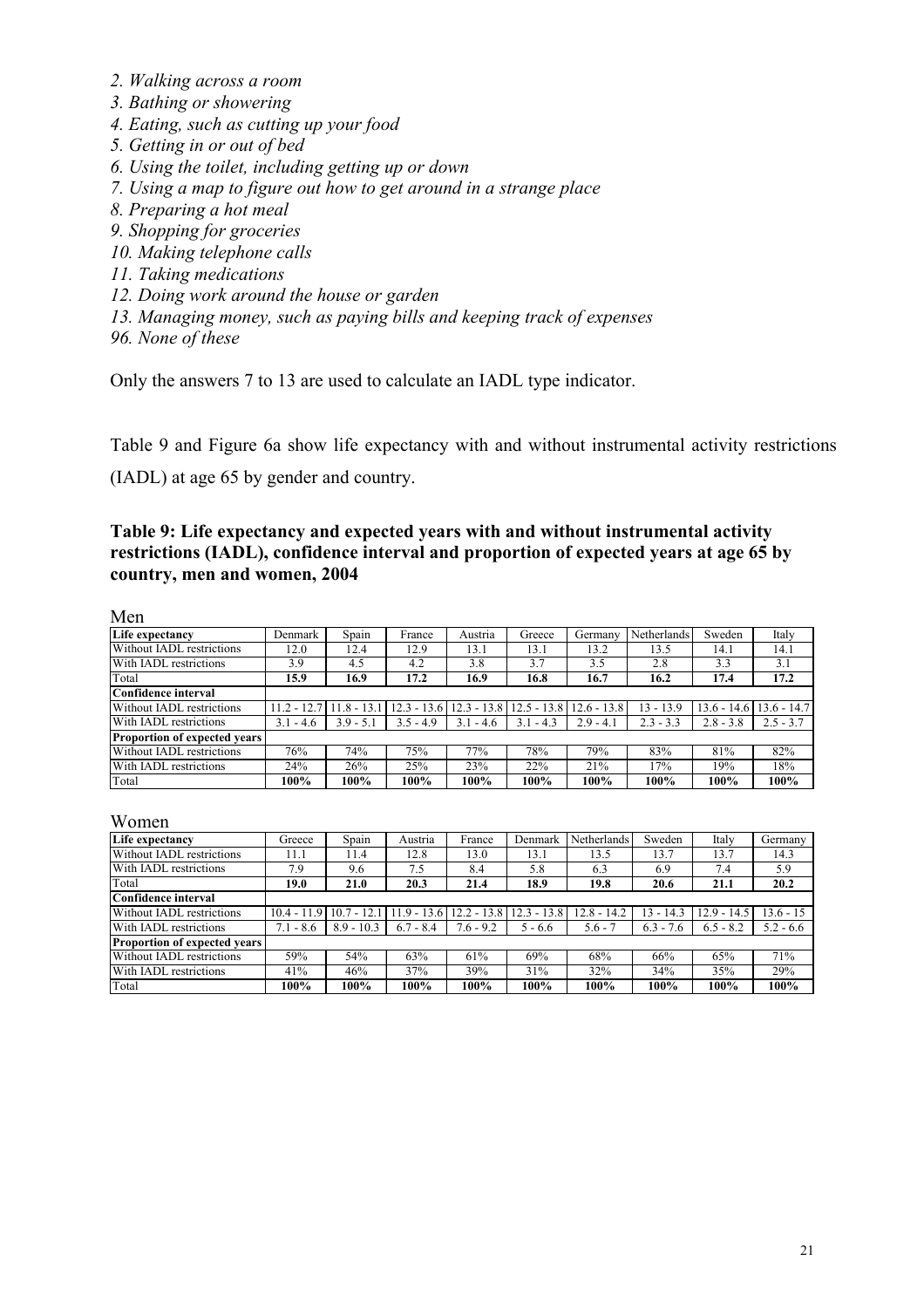- *2. Walking across a room*
- *3. Bathing or showering*
- *4. Eating, such as cutting up your food*
- *5. Getting in or out of bed*
- *6. Using the toilet, including getting up or down*
- *7. Using a map to figure out how to get around in a strange place*
- *8. Preparing a hot meal*
- *9. Shopping for groceries*
- *10. Making telephone calls*
- *11. Taking medications*
- *12. Doing work around the house or garden*
- *13. Managing money, such as paying bills and keeping track of expenses*
- *96. None of these*

Only the answers 7 to 13 are used to calculate an IADL type indicator.

Table 9 and Figure 6a show life expectancy with and without instrumental activity restrictions

(IADL) at age 65 by gender and country.

#### **Table 9: Life expectancy and expected years with and without instrumental activity restrictions (IADL), confidence interval and proportion of expected years at age 65 by country, men and women, 2004**

Men

| TYTOTI                              |               |              |               |               |               |               |             |               |               |
|-------------------------------------|---------------|--------------|---------------|---------------|---------------|---------------|-------------|---------------|---------------|
| Life expectancy                     | Denmark       | Spain        | France        | Austria       | Greece        | Germany       | Netherlands | Sweden        | Italy         |
| Without IADL restrictions           | 12.0          | 12.4         | 12.9          | 13.1          | 13.1          | 13.2          | 13.5        | 14.1          | 14.1          |
| With IADL restrictions              | 3.9           | 4.5          | 4.2           | 3.8           | 3.7           | 3.5           | 2.8         | 3.3           | 3.1           |
| Total                               | 15.9          | 16.9         | 17.2          | 16.9          | 16.8          | 16.7          | 16.2        | 17.4          | 17.2          |
| <b>Confidence interval</b>          |               |              |               |               |               |               |             |               |               |
| Without IADL restrictions           | $11.2 - 12.$  | $11.8 - 13.$ | $12.3 - 13.6$ | $12.3 - 13.8$ | $12.5 - 13.8$ | $12.6 - 13.8$ | 13 - 13.9   | $13.6 - 14.6$ | $13.6 - 14.7$ |
| With IADL restrictions              | 3.1<br>$-4.6$ | $3.9 - 5.1$  | $3.5 - 4.9$   | $3.1 - 4.6$   | $3.1 - 4.3$   | $2.9 - 4.1$   | $2.3 - 3.3$ | $2.8 - 3.8$   | $2.5 - 3.7$   |
| <b>Proportion of expected vears</b> |               |              |               |               |               |               |             |               |               |
| Without IADL restrictions           | 76%           | 74%          | 75%           | 77%           | 78%           | 79%           | 83%         | 81%           | 82%           |
| With IADL restrictions              | 24%           | 26%          | 25%           | 23%           | 22%           | 21%           | 17%         | 19%           | 18%           |
| Total                               | 100%          | 100%         | 100%          | 100%          | 100%          | 100%          | 100%        | 100%          | 100%          |

Women

| Life expectancy                     | Greece        | Spain        | Austria      | France        | Denmark       | Netherlands   | Sweden      | Italy         | Germany     |
|-------------------------------------|---------------|--------------|--------------|---------------|---------------|---------------|-------------|---------------|-------------|
| Without IADL restrictions           | 11.1          | 11.4         | 12.8         | 13.0          | 13.1          | 13.5          | 13.7        | 13.7          | 14.3        |
| With IADL restrictions              | 7.9           | 9.6          | 7.5          | 8.4           | 5.8           | 6.3           | 6.9         | 7.4           | 5.9         |
| Total                               | 19.0          | 21.0         | 20.3         | 21.4          | 18.9          | 19.8          | 20.6        | 21.1          | 20.2        |
| Confidence interval                 |               |              |              |               |               |               |             |               |             |
| Without IADL restrictions           | $10.4 - 11.9$ | $10.7 - 12.$ | 11.9 - 13.6' | $12.2 - 13.8$ | $12.3 - 13.8$ | $12.8 - 14.2$ | $13 - 14.3$ | $12.9 - 14.5$ | $.3.6 - 15$ |
| With IADL restrictions              | $7.1 - 8.6$   | $8.9 - 10.3$ | $6.7 - 8.4$  | $7.6 - 9.2$   | $5 - 6.6$     | $5.6 - 7$     | $6.3 - 7.6$ | $6.5 - 8.2$   | $5.2 - 6.6$ |
| <b>Proportion of expected years</b> |               |              |              |               |               |               |             |               |             |
| Without IADL restrictions           | 59%           | 54%          | 63%          | 61%           | 69%           | 68%           | 66%         | 65%           | 71%         |
| With IADL restrictions              | 41%           | 46%          | 37%          | 39%           | 31%           | 32%           | 34%         | 35%           | 29%         |
| Total                               | 100%          | 100%         | 100%         | 100%          | 100%          | 100%          | 100%        | 100%          | 100%        |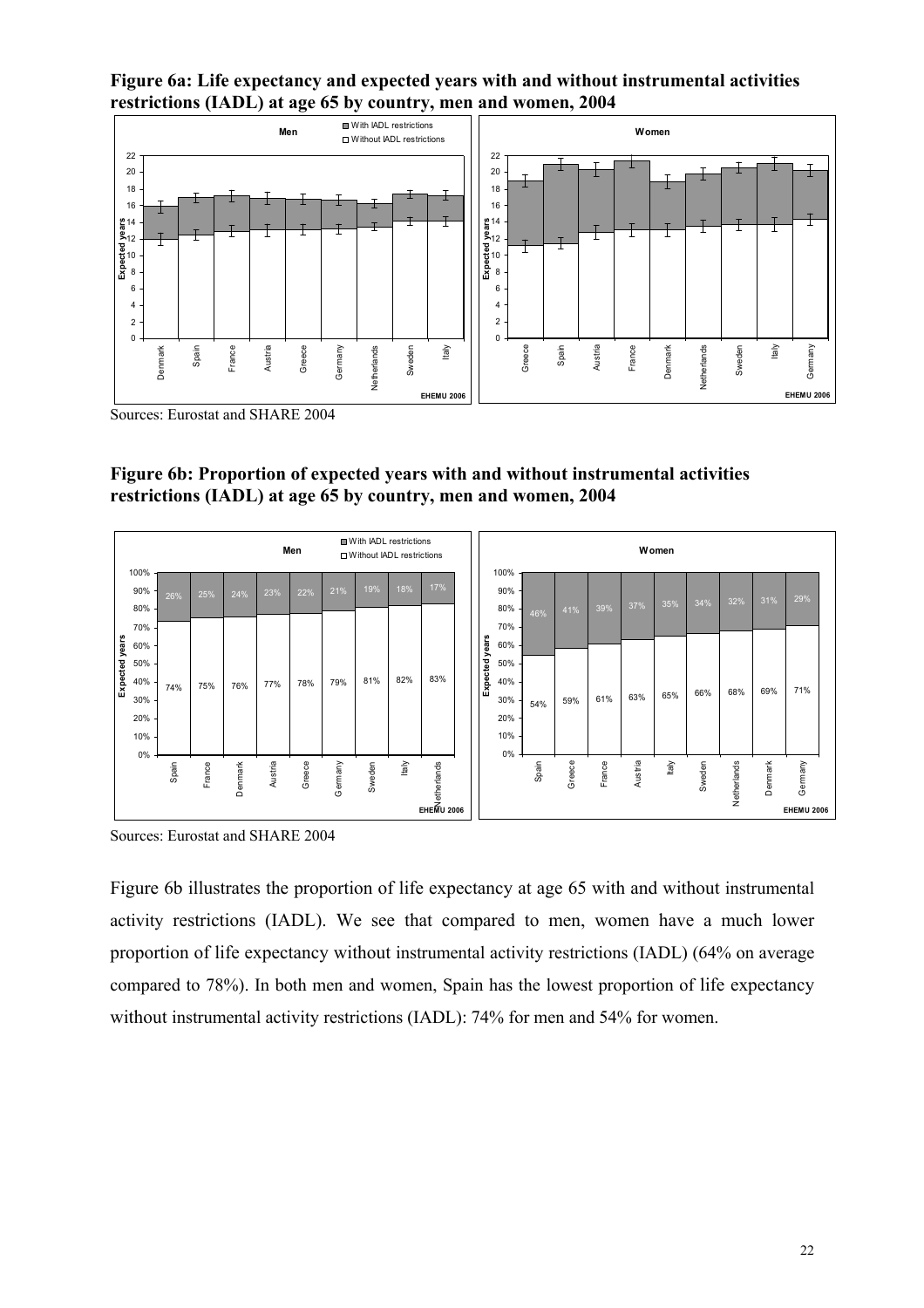**Figure 6a: Life expectancy and expected years with and without instrumental activities restrictions (IADL) at age 65 by country, men and women, 2004** 



Sources: Eurostat and SHARE 2004



|                |                    |       |        |         |         | Men    |         |        | With IADL restrictions<br>□ Without IADL restrictions |            |          |                     |       |        |        |         | Women |        |                   |         |         |
|----------------|--------------------|-------|--------|---------|---------|--------|---------|--------|-------------------------------------------------------|------------|----------|---------------------|-------|--------|--------|---------|-------|--------|-------------------|---------|---------|
|                | 100%<br>90%<br>80% | 26%   | 25%    | 24%     | 23%     | 22%    | 21%     | 19%    | 18%                                                   | 17%        |          | 100%<br>90%<br>80%  |       | 41%    | 39%    | 37%     | 35%   | 34%    | 32%               | 31%     | 29%     |
|                | 70% -<br>60%       |       |        |         |         |        |         |        |                                                       |            |          | 70%<br>years<br>60% | 46%   |        |        |         |       |        |                   |         |         |
| Expected years | 50%<br>40%<br>30%  | 74%   | 75%    | 76%     | 77%     | 78%    | 79%     | 81%    | 82%                                                   | 83%        | Expected | 50%<br>40%<br>30%   | 54%   | 59%    | 61%    | 63%     | 65%   | 66%    | 68%               | 69%     | 71%     |
|                | 20%<br>10%<br>0%   |       |        |         |         |        |         |        |                                                       |            |          | 20%<br>10%<br>0%    |       |        |        |         |       |        |                   |         |         |
|                |                    | Spain | France | Denmark | Austria | Greece | Germany | Sweden | ltaly                                                 | EHEMU 2006 |          |                     | Spain | Greece | France | Austria | ltaly | Sweden | Netherlands       | Denmark | Germany |
|                |                    |       |        |         |         |        |         |        |                                                       |            |          |                     |       |        |        |         |       |        | <b>EHEMU 2006</b> |         |         |

Sources: Eurostat and SHARE 2004

Figure 6b illustrates the proportion of life expectancy at age 65 with and without instrumental activity restrictions (IADL). We see that compared to men, women have a much lower proportion of life expectancy without instrumental activity restrictions (IADL) (64% on average compared to 78%). In both men and women, Spain has the lowest proportion of life expectancy without instrumental activity restrictions (IADL): 74% for men and 54% for women.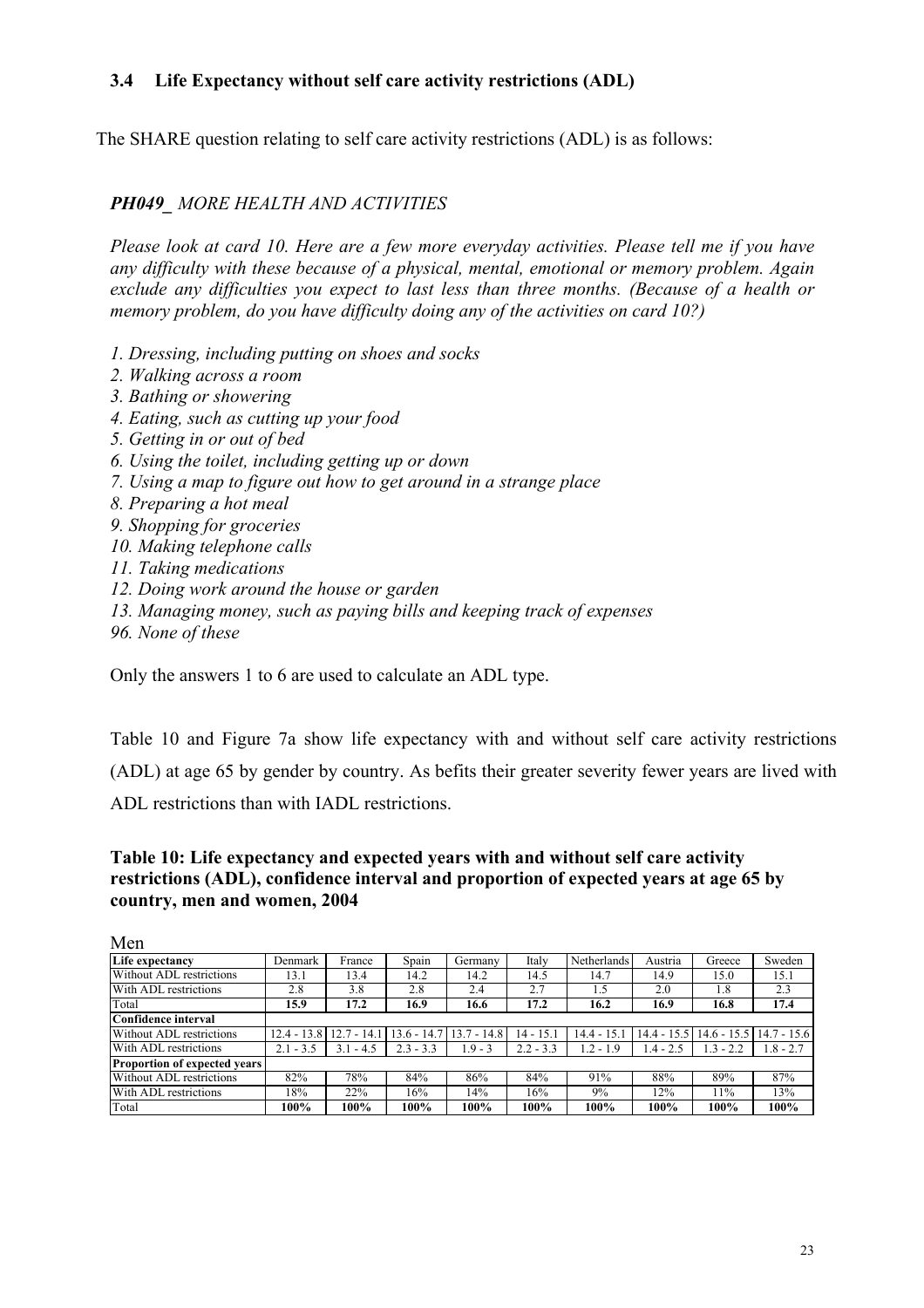## **3.4 Life Expectancy without self care activity restrictions (ADL)**

The SHARE question relating to self care activity restrictions (ADL) is as follows:

## *PH049\_ MORE HEALTH AND ACTIVITIES*

*Please look at card 10. Here are a few more everyday activities. Please tell me if you have any difficulty with these because of a physical, mental, emotional or memory problem. Again exclude any difficulties you expect to last less than three months. (Because of a health or memory problem, do you have difficulty doing any of the activities on card 10?)* 

- *1. Dressing, including putting on shoes and socks*
- *2. Walking across a room*
- *3. Bathing or showering*
- *4. Eating, such as cutting up your food*
- *5. Getting in or out of bed*
- *6. Using the toilet, including getting up or down*
- *7. Using a map to figure out how to get around in a strange place*
- *8. Preparing a hot meal*
- *9. Shopping for groceries*
- *10. Making telephone calls*
- *11. Taking medications*
- *12. Doing work around the house or garden*
- *13. Managing money, such as paying bills and keeping track of expenses*
- *96. None of these*

Only the answers 1 to 6 are used to calculate an ADL type.

Table 10 and Figure 7a show life expectancy with and without self care activity restrictions (ADL) at age 65 by gender by country. As befits their greater severity fewer years are lived with ADL restrictions than with IADL restrictions.

#### **Table 10: Life expectancy and expected years with and without self care activity restrictions (ADL), confidence interval and proportion of expected years at age 65 by country, men and women, 2004**

| Men                                 |               |              |             |              |             |             |             |               |               |
|-------------------------------------|---------------|--------------|-------------|--------------|-------------|-------------|-------------|---------------|---------------|
| Life expectancy                     | Denmark       | France       | Spain       | Germany      | Italv       | Netherlands | Austria     | Greece        | Sweden        |
| Without ADL restrictions            | 13.1          | 13.4         | 14.2        | 14.2         | 14.5        | 14.7        | 14.9        | 15.0          | 15.1          |
| With ADL restrictions               | 2.8           | 3.8          | 2.8         | 2.4          | 2.7         | 1.5         | 2.0         | 1.8           | 2.3           |
| Total                               | 15.9          | 17.2         | 16.9        | 16.6         | 17.2        | 16.2        | 16.9        | 16.8          | 17.4          |
| Confidence interval                 |               |              |             |              |             |             |             |               |               |
| Without ADL restrictions            | $12.4 - 13.8$ | $12.7 - 14.$ | 13.6 - 14.7 | $3.7 - 14.8$ | $14 - 15.1$ | 14.4 - 15.1 | 14.4 - 15.5 | $14.6 - 15.5$ | $14.7 - 15.6$ |
| With ADL restrictions               | $2.1 - 3.5$   | $3.1 - 4.5$  | $2.3 - 3.3$ | 1.9 - 3      | $2.2 - 3.3$ | $1.2 - 1.9$ | $1.4 - 2.5$ | $1.3 - 2.2$   | $1.8 - 2.7$   |
| <b>Proportion of expected years</b> |               |              |             |              |             |             |             |               |               |
| Without ADL restrictions            | 82%           | 78%          | 84%         | 86%          | 84%         | 91%         | 88%         | 89%           | 87%           |
| With ADL restrictions               | 18%           | 22%          | 16%         | 14%          | 16%         | 9%          | 12%         | 11%           | 13%           |
| Total                               | 100%          | $100\%$      | $100\%$     | 100%         | 100%        | 100%        | 100%        | 100%          | $100\%$       |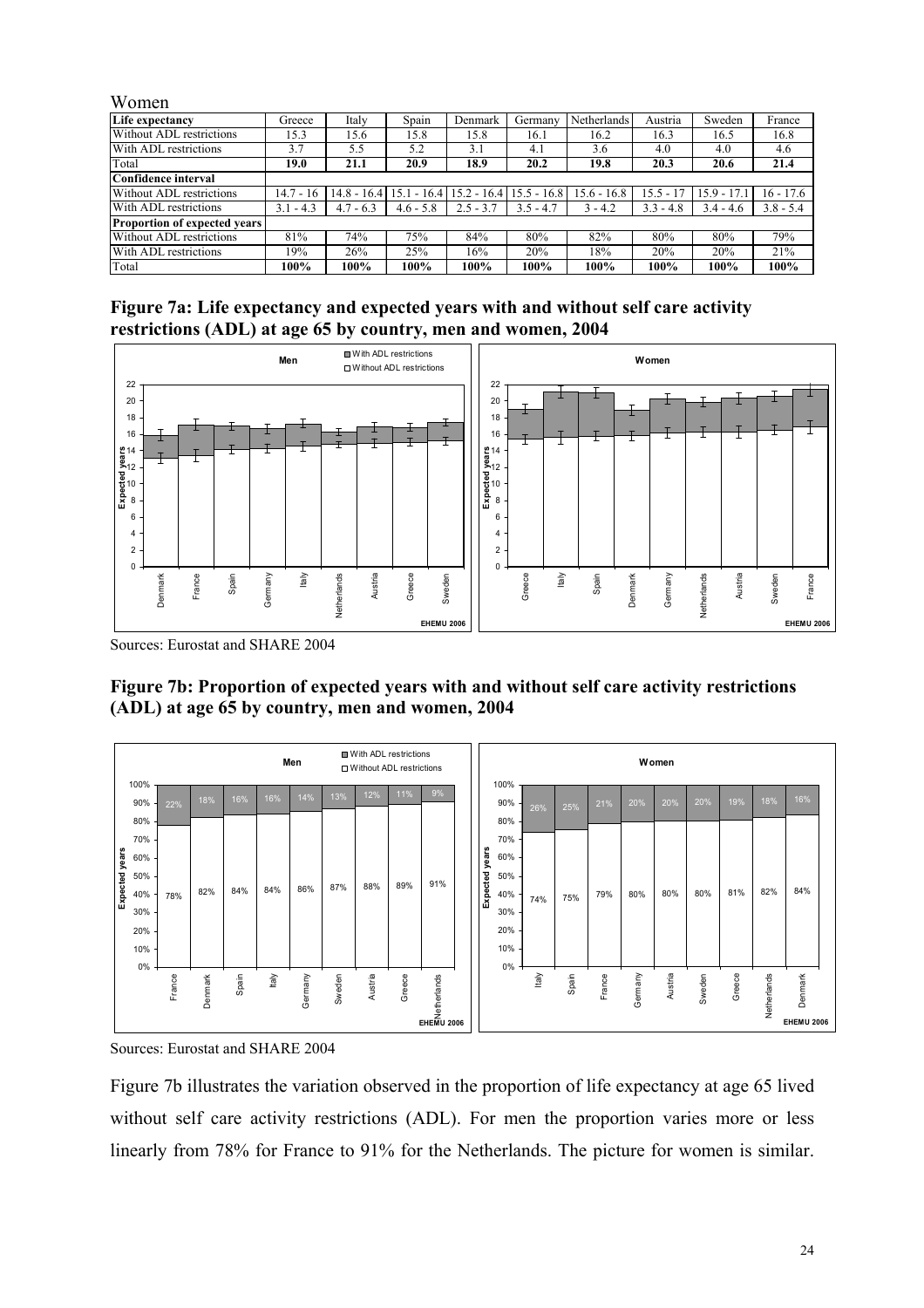| Women                               |             |             |             |                                           |               |                    |             |               |             |
|-------------------------------------|-------------|-------------|-------------|-------------------------------------------|---------------|--------------------|-------------|---------------|-------------|
| Life expectancy                     | Greece      | Italy       | Spain       | Denmark                                   | Germany       | <b>Netherlands</b> | Austria     | Sweden        | France      |
| Without ADL restrictions            | 15.3        | 15.6        | 15.8        | 15.8                                      | 16.1          | 16.2               | 16.3        | 16.5          | 16.8        |
| With ADL restrictions               | 3.7         | 5.5         | 5.2         | 3.1                                       | 4.1           | 3.6                | 4.0         | 4.0           | 4.6         |
| Total                               | 19.0        | 21.1        | 20.9        | 18.9                                      | 20.2          | 19.8               | 20.3        | 20.6          | 21.4        |
| Confidence interval                 |             |             |             |                                           |               |                    |             |               |             |
| Without ADL restrictions            | $14.7 - 16$ |             |             | $14.8 - 16.4$   15.1 - 16.4   15.2 - 16.4 | $15.5 - 16.8$ | $15.6 - 16.8$      | $15.5 - 17$ | $15.9 - 17.1$ | 16 - 17.6   |
| With ADL restrictions               | $3.1 - 4.3$ | $4.7 - 6.3$ | $4.6 - 5.8$ | $2.5 - 3.7$                               | $3.5 - 4.7$   | $3 - 4.2$          | $3.3 - 4.8$ | $3.4 - 4.6$   | $3.8 - 5.4$ |
| <b>Proportion of expected years</b> |             |             |             |                                           |               |                    |             |               |             |
| Without ADL restrictions            | 81%         | 74%         | 75%         | 84%                                       | 80%           | 82%                | 80%         | 80%           | 79%         |
| With ADL restrictions               | 19%         | 26%         | 25%         | 16%                                       | 20%           | 18%                | 20%         | 20%           | 21%         |
| Total                               | 100%        | 100%        | 100%        | 100%                                      | 100%          | $100\%$            | 100%        | 100%          | 100%        |

**Figure 7a: Life expectancy and expected years with and without self care activity restrictions (ADL) at age 65 by country, men and women, 2004** 



Sources: Eurostat and SHARE 2004

**Figure 7b: Proportion of expected years with and without self care activity restrictions (ADL) at age 65 by country, men and women, 2004** 



Sources: Eurostat and SHARE 2004

Figure 7b illustrates the variation observed in the proportion of life expectancy at age 65 lived without self care activity restrictions (ADL). For men the proportion varies more or less linearly from 78% for France to 91% for the Netherlands. The picture for women is similar.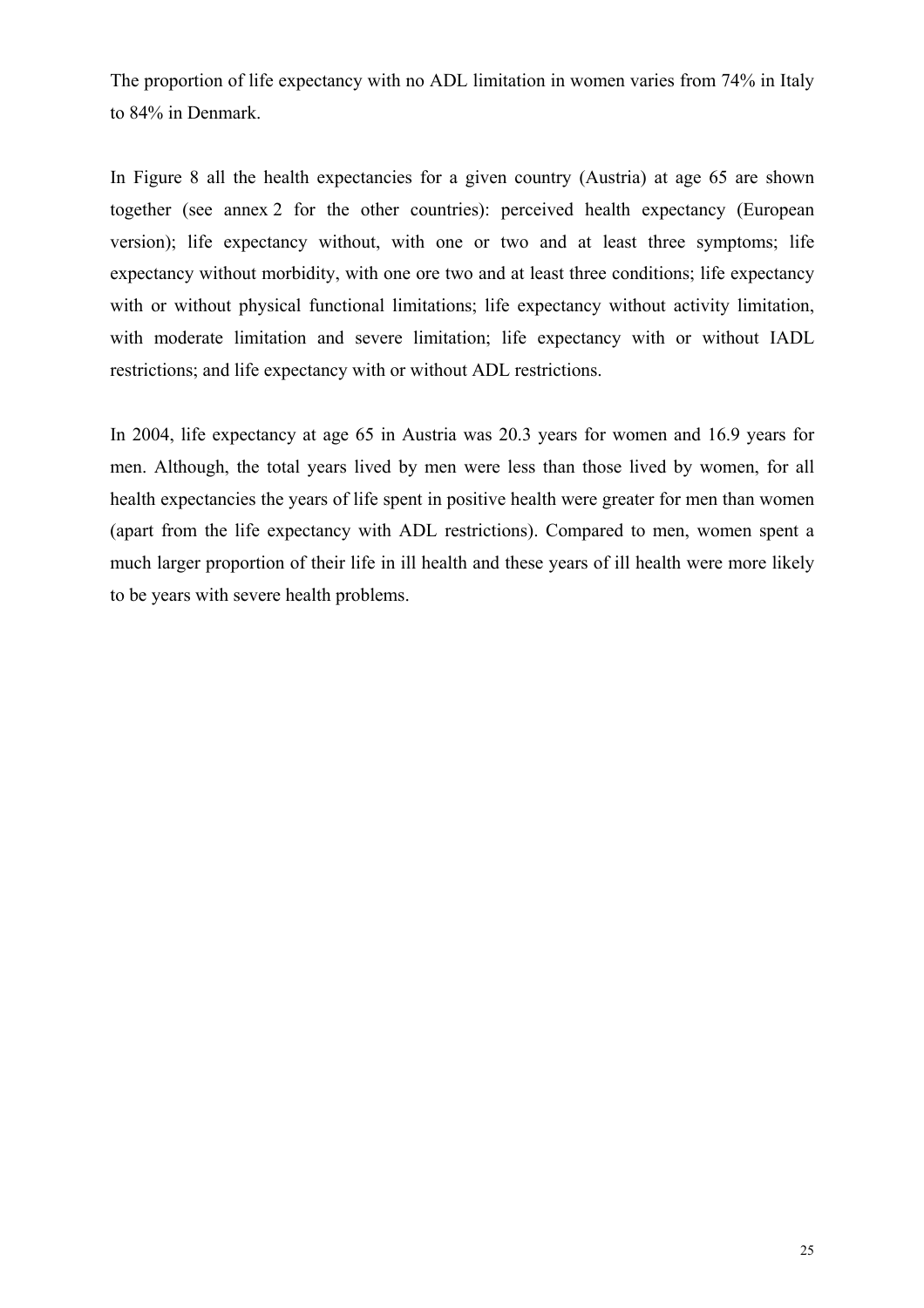The proportion of life expectancy with no ADL limitation in women varies from 74% in Italy to 84% in Denmark.

In Figure 8 all the health expectancies for a given country (Austria) at age 65 are shown together (see annex 2 for the other countries): perceived health expectancy (European version); life expectancy without, with one or two and at least three symptoms; life expectancy without morbidity, with one ore two and at least three conditions; life expectancy with or without physical functional limitations; life expectancy without activity limitation, with moderate limitation and severe limitation; life expectancy with or without IADL restrictions; and life expectancy with or without ADL restrictions.

In 2004, life expectancy at age 65 in Austria was 20.3 years for women and 16.9 years for men. Although, the total years lived by men were less than those lived by women, for all health expectancies the years of life spent in positive health were greater for men than women (apart from the life expectancy with ADL restrictions). Compared to men, women spent a much larger proportion of their life in ill health and these years of ill health were more likely to be years with severe health problems.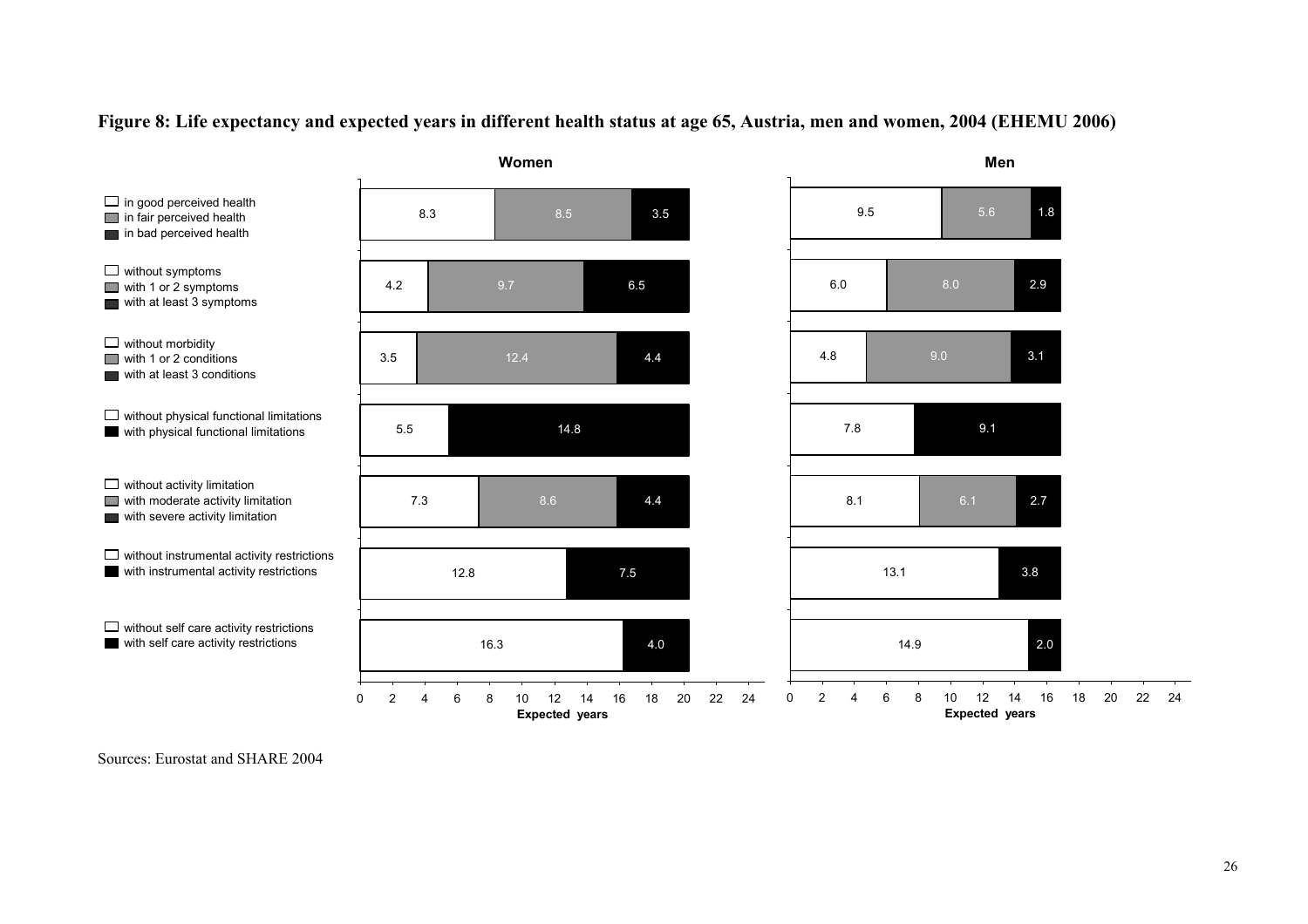



Sources: Eurostat and SHARE 2004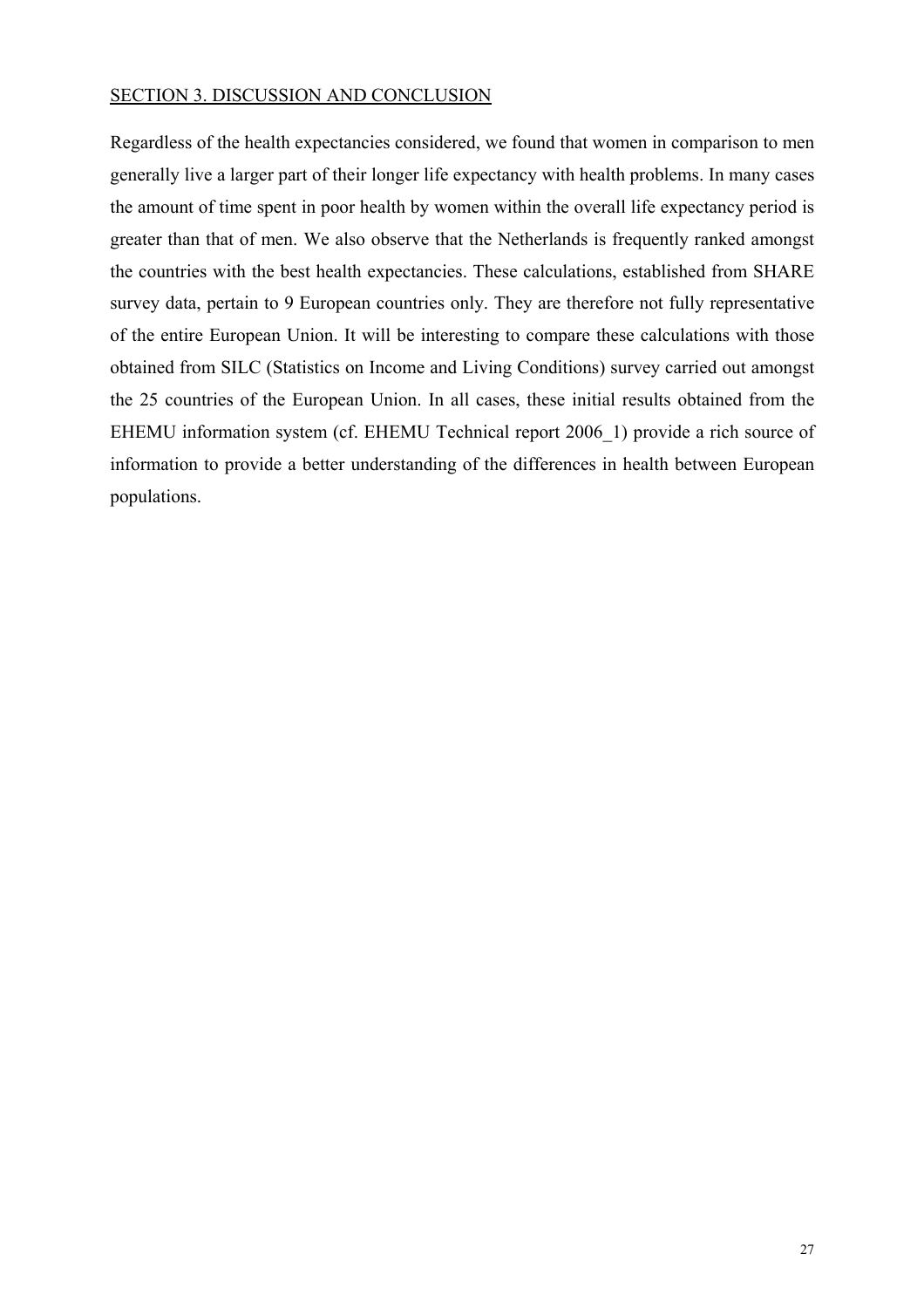#### SECTION 3. DISCUSSION AND CONCLUSION

Regardless of the health expectancies considered, we found that women in comparison to men generally live a larger part of their longer life expectancy with health problems. In many cases the amount of time spent in poor health by women within the overall life expectancy period is greater than that of men. We also observe that the Netherlands is frequently ranked amongst the countries with the best health expectancies. These calculations, established from SHARE survey data, pertain to 9 European countries only. They are therefore not fully representative of the entire European Union. It will be interesting to compare these calculations with those obtained from SILC (Statistics on Income and Living Conditions) survey carried out amongst the 25 countries of the European Union. In all cases, these initial results obtained from the EHEMU information system (cf. EHEMU Technical report 2006\_1) provide a rich source of information to provide a better understanding of the differences in health between European populations.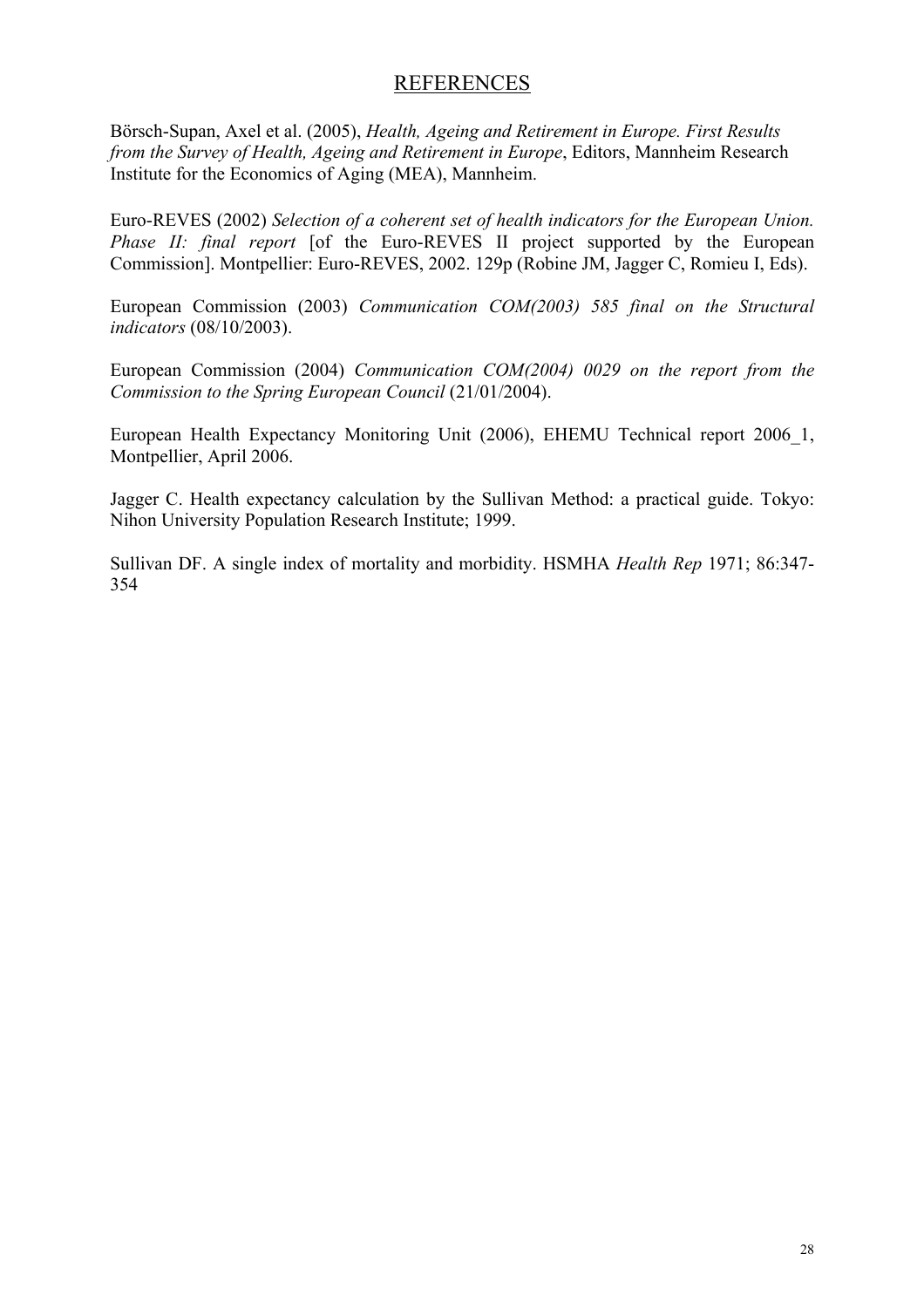# **REFERENCES**

Börsch-Supan, Axel et al. (2005), *Health, Ageing and Retirement in Europe. First Results from the Survey of Health, Ageing and Retirement in Europe*, Editors, Mannheim Research Institute for the Economics of Aging (MEA), Mannheim.

Euro-REVES (2002) *Selection of a coherent set of health indicators for the European Union. Phase II: final report* [of the Euro-REVES II project supported by the European Commission]. Montpellier: Euro-REVES, 2002. 129p (Robine JM, Jagger C, Romieu I, Eds).

European Commission (2003) *Communication COM(2003) 585 final on the Structural indicators* (08/10/2003).

European Commission (2004) *Communication COM(2004) 0029 on the report from the Commission to the Spring European Council* (21/01/2004).

European Health Expectancy Monitoring Unit (2006), EHEMU Technical report 2006\_1, Montpellier, April 2006.

Jagger C. Health expectancy calculation by the Sullivan Method: a practical guide. Tokyo: Nihon University Population Research Institute; 1999.

Sullivan DF. A single index of mortality and morbidity. HSMHA *Health Rep* 1971; 86:347- 354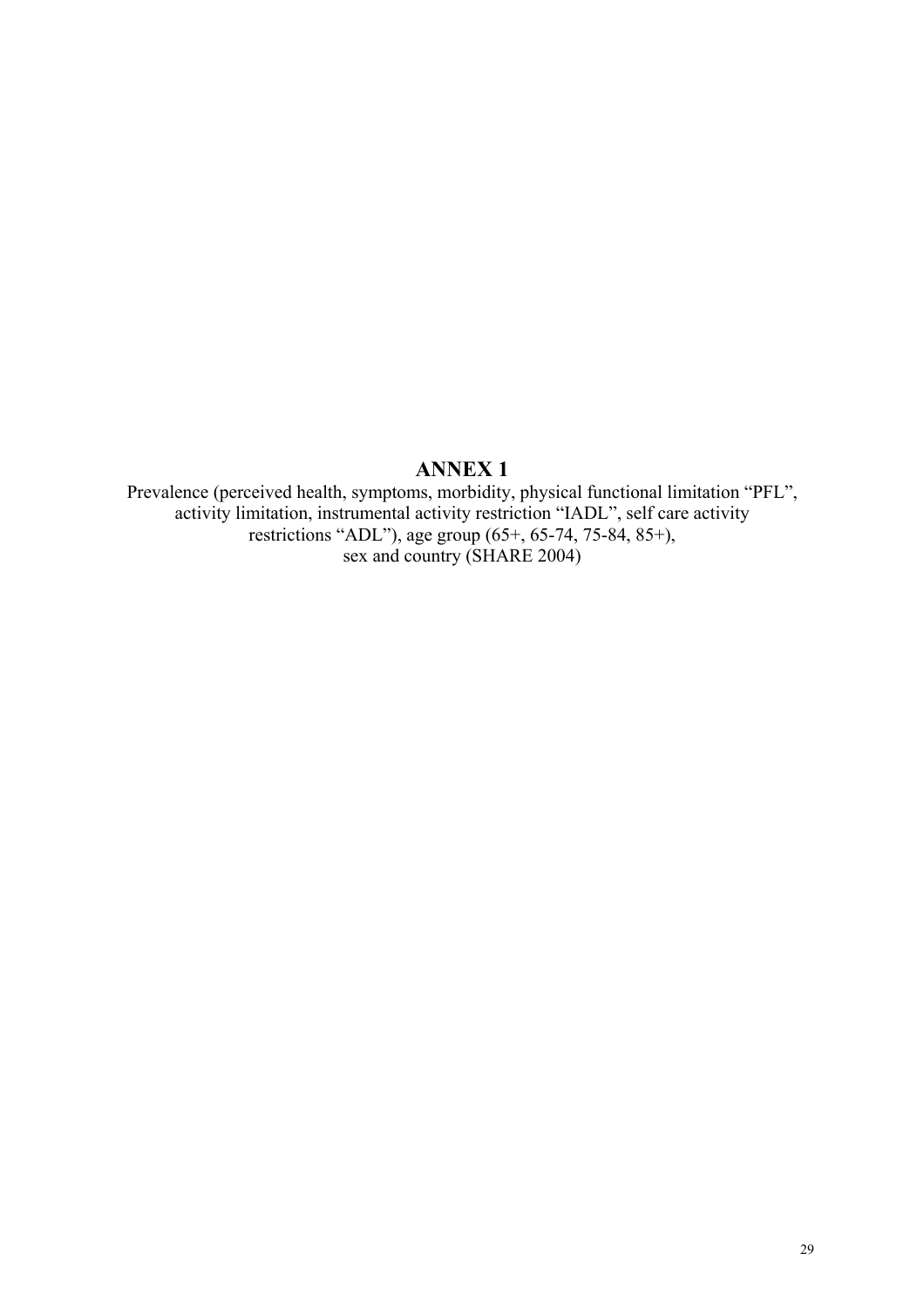# **ANNEX 1**

Prevalence (perceived health, symptoms, morbidity, physical functional limitation "PFL", activity limitation, instrumental activity restriction "IADL", self care activity restrictions "ADL"), age group (65+, 65-74, 75-84, 85+), sex and country (SHARE 2004)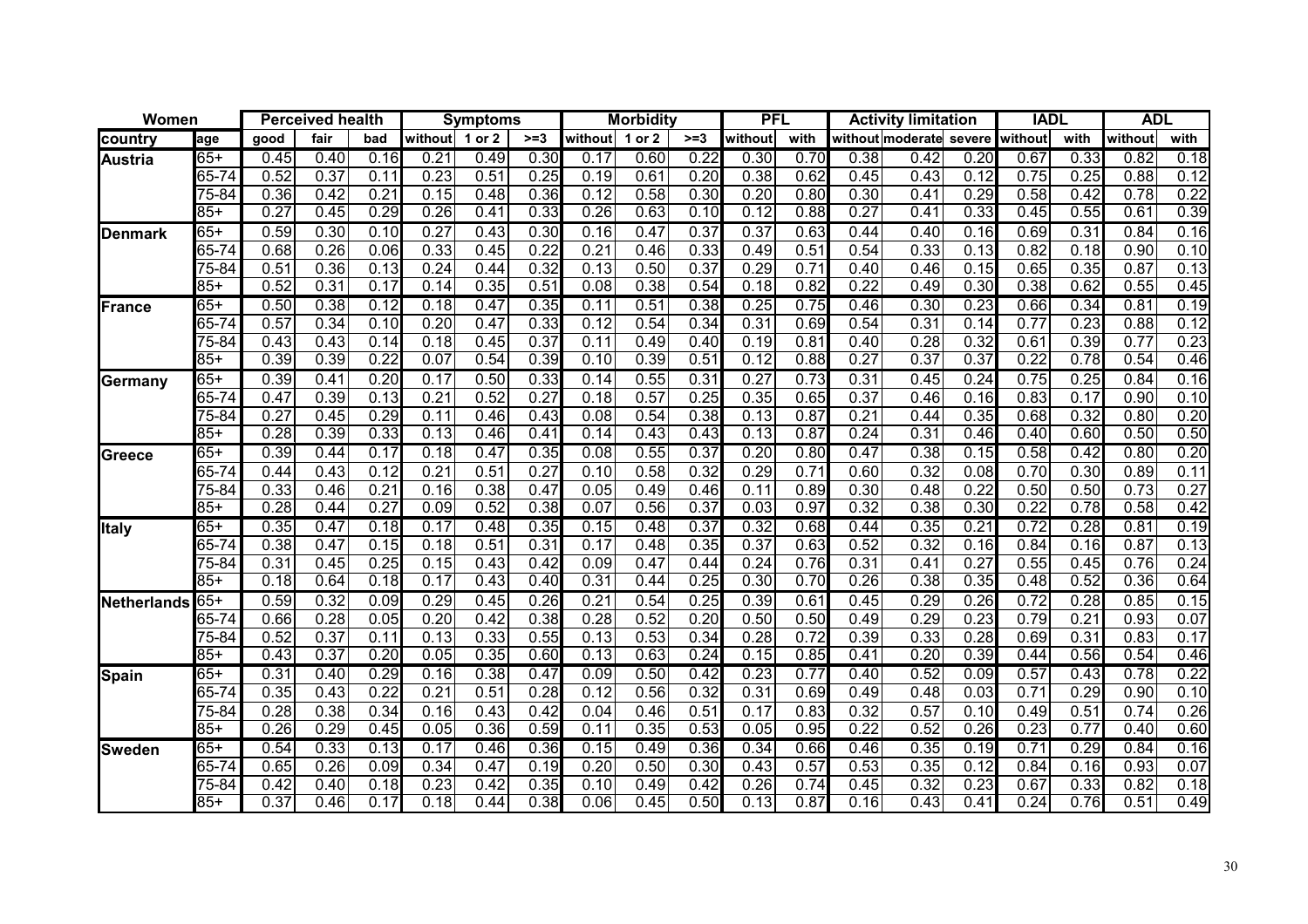| Women          |           |      | <b>Perceived health</b> |      |         | <b>Symptoms</b> |                   |                   | <b>Morbidity</b> |       |         | <b>PFL</b> |                                 | <b>Activity limitation</b> |      | <b>IADL</b> |      | <b>ADL</b> |      |
|----------------|-----------|------|-------------------------|------|---------|-----------------|-------------------|-------------------|------------------|-------|---------|------------|---------------------------------|----------------------------|------|-------------|------|------------|------|
| country        | age       | good | fair                    | bad  | without | 1 or 2          | $>= 3$            | without           | 1 or 2           | $>=3$ | without | with       | without moderate severe without |                            |      |             | with | without    | with |
| <b>Austria</b> | $65+$     | 0.45 | $\overline{0.40}$       | 0.16 | 0.21    | 0.49            | 0.30              | 0.17              | 0.60             | 0.22  | 0.30    | 0.70       | 0.38                            | 0.42                       | 0.20 | 0.67        | 0.33 | 0.82       | 0.18 |
|                | $65 - 74$ | 0.52 | 0.37                    | 0.11 | 0.23    | 0.51            | 0.25              | 0.19              | 0.61             | 0.20  | 0.38    | 0.62       | 0.45                            | 0.43                       | 0.12 | 0.75        | 0.25 | 0.88       | 0.12 |
|                | $75 - 84$ | 0.36 | 0.42                    | 0.21 | 0.15    | 0.48            | 0.36              | 0.12              | 0.58             | 0.30  | 0.20    | 0.80       | 0.30                            | 0.41                       | 0.29 | 0.58        | 0.42 | 0.78       | 0.22 |
|                | $85+$     | 0.27 | 0.45                    | 0.29 | 0.26    | 0.41            | 0.33              | 0.26              | 0.63             | 0.10  | 0.12    | 0.88       | 0.27                            | 0.41                       | 0.33 | 0.45        | 0.55 | 0.61       | 0.39 |
| <b>Denmark</b> | $65+$     | 0.59 | 0.30                    | 0.10 | 0.27    | 0.43            | 0.30              | 0.16              | 0.47             | 0.37  | 0.37    | 0.63       | 0.44                            | 0.40                       | 0.16 | 0.69        | 0.31 | 0.84       | 0.16 |
|                | 65-74     | 0.68 | 0.26                    | 0.06 | 0.33    | 0.45            | 0.22              | $\overline{0.21}$ | 0.46             | 0.33  | 0.49    | 0.51       | 0.54                            | 0.33                       | 0.13 | 0.82        | 0.18 | 0.90       | 0.10 |
|                | 75-84     | 0.51 | 0.36                    | 0.13 | 0.24    | 0.44            | 0.32              | 0.13              | 0.50             | 0.37  | 0.29    | 0.71       | 0.40                            | 0.46                       | 0.15 | 0.65        | 0.35 | 0.87       | 0.13 |
|                | 85+       | 0.52 | 0.31                    | 0.17 | 0.14    | 0.35            | 0.51              | 0.08              | 0.38             | 0.54  | 0.18    | 0.82       | 0.22                            | 0.49                       | 0.30 | 0.38        | 0.62 | 0.55       | 0.45 |
| France         | $65+$     | 0.50 | 0.38                    | 0.12 | 0.18    | 0.47            | 0.35              | 0.11              | 0.51             | 0.38  | 0.25    | 0.75       | 0.46                            | 0.30                       | 0.23 | 0.66        | 0.34 | 0.81       | 0.19 |
|                | 65-74     | 0.57 | 0.34                    | 0.10 | 0.20    | 0.47            | 0.33              | 0.12              | 0.54             | 0.34  | 0.31    | 0.69       | 0.54                            | 0.31                       | 0.14 | 0.77        | 0.23 | 0.88       | 0.12 |
|                | $75 - 84$ | 0.43 | 0.43                    | 0.14 | 0.18    | 0.45            | 0.37              | 0.11              | 0.49             | 0.40  | 0.19    | 0.81       | 0.40                            | 0.28                       | 0.32 | 0.61        | 0.39 | 0.77       | 0.23 |
|                | $85+$     | 0.39 | 0.39                    | 0.22 | 0.07    | 0.54            | 0.39              | 0.10              | 0.39             | 0.51  | 0.12    | 0.88       | 0.27                            | 0.37                       | 0.37 | 0.22        | 0.78 | 0.54       | 0.46 |
| Germany        | $65+$     | 0.39 | 0.41                    | 0.20 | 0.17    | 0.50            | 0.33              | 0.14              | 0.55             | 0.31  | 0.27    | 0.73       | 0.31                            | 0.45                       | 0.24 | 0.75        | 0.25 | 0.84       | 0.16 |
|                | 65-74     | 0.47 | 0.39                    | 0.13 | 0.21    | 0.52            | $\overline{0.27}$ | 0.18              | 0.57             | 0.25  | 0.35    | 0.65       | 0.37                            | 0.46                       | 0.16 | 0.83        | 0.17 | 0.90       | 0.10 |
|                | $75 - 84$ | 0.27 | 0.45                    | 0.29 | 0.11    | 0.46            | 0.43              | 0.08              | 0.54             | 0.38  | 0.13    | 0.87       | $\overline{0.21}$               | 0.44                       | 0.35 | 0.68        | 0.32 | 0.80       | 0.20 |
|                | $85 +$    | 0.28 | 0.39                    | 0.33 | 0.13    | 0.46            | 0.41              | 0.14              | 0.43             | 0.43  | 0.13    | 0.87       | 0.24                            | 0.31                       | 0.46 | 0.40        | 0.60 | 0.50       | 0.50 |
| Greece         | 65+       | 0.39 | 0.44                    | 0.17 | 0.18    | 0.47            | 0.35              | 0.08              | 0.55             | 0.37  | 0.20    | 0.80       | 0.47                            | 0.38                       | 0.15 | 0.58        | 0.42 | 0.80       | 0.20 |
|                | 65-74     | 0.44 | 0.43                    | 0.12 | 0.21    | 0.51            | 0.27              | 0.10              | 0.58             | 0.32  | 0.29    | 0.71       | 0.60                            | 0.32                       | 0.08 | 0.70        | 0.30 | 0.89       | 0.11 |
|                | 75-84     | 0.33 | 0.46                    | 0.21 | 0.16    | 0.38            | 0.47              | 0.05              | 0.49             | 0.46  | 0.11    | 0.89       | 0.30                            | 0.48                       | 0.22 | 0.50        | 0.50 | 0.73       | 0.27 |
|                | $85+$     | 0.28 | 0.44                    | 0.27 | 0.09    | 0.52            | 0.38              | 0.07              | 0.56             | 0.37  | 0.03    | 0.97       | 0.32                            | 0.38                       | 0.30 | 0.22        | 0.78 | 0.58       | 0.42 |
| <b>Italy</b>   | $65+$     | 0.35 | 0.47                    | 0.18 | 0.17    | 0.48            | 0.35              | 0.15              | 0.48             | 0.37  | 0.32    | 0.68       | 0.44                            | 0.35                       | 0.21 | 0.72        | 0.28 | 0.81       | 0.19 |
|                | 65-74     | 0.38 | 0.47                    | 0.15 | 0.18    | 0.51            | 0.31              | 0.17              | 0.48             | 0.35  | 0.37    | 0.63       | 0.52                            | 0.32                       | 0.16 | 0.84        | 0.16 | 0.87       | 0.13 |
|                | $75 - 84$ | 0.31 | 0.45                    | 0.25 | 0.15    | 0.43            | 0.42              | 0.09              | 0.47             | 0.44  | 0.24    | 0.76       | 0.31                            | 0.41                       | 0.27 | 0.55        | 0.45 | 0.76       | 0.24 |
|                | $85+$     | 0.18 | 0.64                    | 0.18 | 0.17    | 0.43            | 0.40              | 0.31              | 0.44             | 0.25  | 0.30    | 0.70       | 0.26                            | 0.38                       | 0.35 | 0.48        | 0.52 | 0.36       | 0.64 |
| Netherlands    | $65+$     | 0.59 | 0.32                    | 0.09 | 0.29    | 0.45            | 0.26              | 0.21              | 0.54             | 0.25  | 0.39    | 0.61       | 0.45                            | 0.29                       | 0.26 | 0.72        | 0.28 | 0.85       | 0.15 |
|                | 65-74     | 0.66 | 0.28                    | 0.05 | 0.20    | 0.42            | 0.38              | 0.28              | 0.52             | 0.20  | 0.50    | 0.50       | 0.49                            | 0.29                       | 0.23 | 0.79        | 0.21 | 0.93       | 0.07 |
|                | 75-84     | 0.52 | 0.37                    | 0.11 | 0.13    | 0.33            | 0.55              | 0.13              | 0.53             | 0.34  | 0.28    | 0.72       | 0.39                            | 0.33                       | 0.28 | 0.69        | 0.31 | 0.83       | 0.17 |
|                | $85+$     | 0.43 | 0.37                    | 0.20 | 0.05    | 0.35            | 0.60              | 0.13              | 0.63             | 0.24  | 0.15    | 0.85       | 0.41                            | 0.20                       | 0.39 | 0.44        | 0.56 | 0.54       | 0.46 |
| Spain          | $65+$     | 0.31 | 0.40                    | 0.29 | 0.16    | 0.38            | 0.47              | 0.09              | 0.50             | 0.42  | 0.23    | 0.77       | 0.40                            | 0.52                       | 0.09 | 0.57        | 0.43 | 0.78       | 0.22 |
|                | 65-74     | 0.35 | 0.43                    | 0.22 | 0.21    | 0.51            | 0.28              | 0.12              | 0.56             | 0.32  | 0.31    | 0.69       | 0.49                            | 0.48                       | 0.03 | 0.71        | 0.29 | 0.90       | 0.10 |
|                | 75-84     | 0.28 | 0.38                    | 0.34 | 0.16    | 0.43            | 0.42              | 0.04              | 0.46             | 0.51  | 0.17    | 0.83       | 0.32                            | 0.57                       | 0.10 | 0.49        | 0.51 | 0.74       | 0.26 |
|                | $85+$     | 0.26 | 0.29                    | 0.45 | 0.05    | 0.36            | 0.59              | 0.11              | 0.35             | 0.53  | 0.05    | 0.95       | 0.22                            | 0.52                       | 0.26 | 0.23        | 0.77 | 0.40       | 0.60 |
| <b>Sweden</b>  | $65+$     | 0.54 | 0.33                    | 0.13 | 0.17    | 0.46            | 0.36              | 0.15              | 0.49             | 0.36  | 0.34    | 0.66       | 0.46                            | 0.35                       | 0.19 | 0.71        | 0.29 | 0.84       | 0.16 |
|                | 65-74     | 0.65 | 0.26                    | 0.09 | 0.34    | 0.47            | 0.19              | 0.20              | 0.50             | 0.30  | 0.43    | 0.57       | 0.53                            | 0.35                       | 0.12 | 0.84        | 0.16 | 0.93       | 0.07 |
|                | 75-84     | 0.42 | 0.40                    | 0.18 | 0.23    | 0.42            | 0.35              | 0.10              | 0.49             | 0.42  | 0.26    | 0.74       | 0.45                            | 0.32                       | 0.23 | 0.67        | 0.33 | 0.82       | 0.18 |
|                | $85+$     | 0.37 | 0.46                    | 0.17 | 0.18    | 0.44            | 0.38              | 0.06              | 0.45             | 0.50  | 0.13    | 0.87       | 0.16                            | 0.43                       | 0.41 | 0.24        | 0.76 | 0.51       | 0.49 |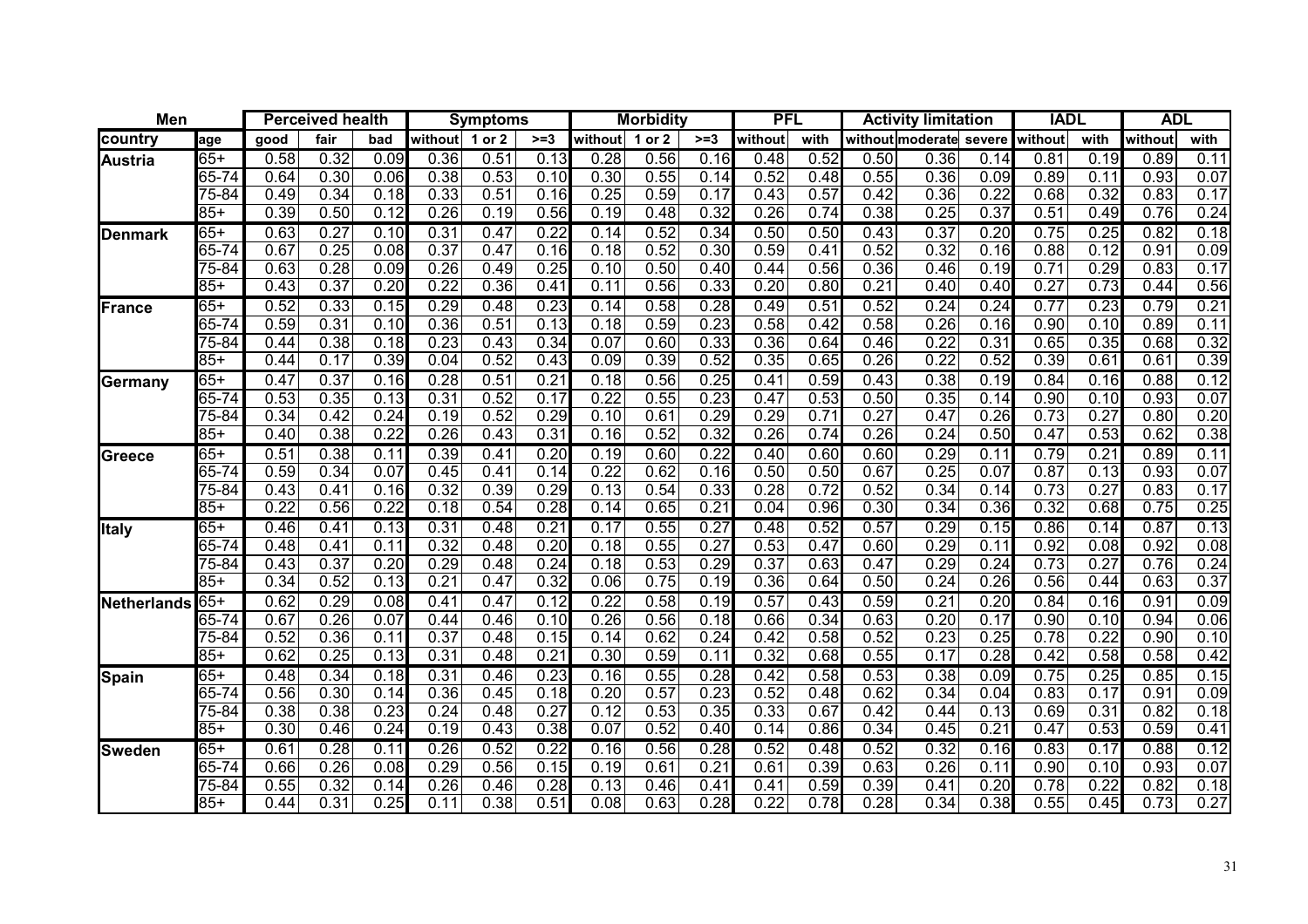| Men            |           | <b>Perceived health</b> |      |                   | <b>Symptoms</b> |        | <b>Morbidity</b> |         |        | <b>PFL</b> |         | <b>Activity limitation</b> |      |                         | <b>IADL</b> |         | <b>ADL</b>       |         |      |
|----------------|-----------|-------------------------|------|-------------------|-----------------|--------|------------------|---------|--------|------------|---------|----------------------------|------|-------------------------|-------------|---------|------------------|---------|------|
| country        | age       | good                    | fair | bad               | without         | 1 or 2 | $>=3$            | without | 1 or 2 | $>=3$      | without | with                       |      | without moderate severe |             | without | with             | without | with |
| <b>Austria</b> | $65+$     | 0.58                    | 0.32 | 0.09              | 0.36            | 0.51   | 0.13             | 0.28    | 0.56   | 0.16       | 0.48    | 0.52                       | 0.50 | 0.36                    | 0.14        | 0.81    | 0.19             | 0.89    | 0.11 |
|                | 65-74     | 0.64                    | 0.30 | 0.06              | 0.38            | 0.53   | 0.10             | 0.30    | 0.55   | 0.14       | 0.52    | 0.48                       | 0.55 | 0.36                    | 0.09        | 0.89    | 0.11             | 0.93    | 0.07 |
|                | $75 - 84$ | 0.49                    | 0.34 | 0.18              | 0.33            | 0.51   | 0.16             | 0.25    | 0.59   | 0.17       | 0.43    | 0.57                       | 0.42 | 0.36                    | 0.22        | 0.68    | 0.32             | 0.83    | 0.17 |
|                | $85+$     | 0.39                    | 0.50 | 0.12              | 0.26            | 0.19   | 0.56             | 0.19    | 0.48   | 0.32       | 0.26    | 0.74                       | 0.38 | 0.25                    | 0.37        | 0.51    | 0.49             | 0.76    | 0.24 |
| Denmark        | $65+$     | 0.63                    | 0.27 | 0.10              | 0.31            | 0.47   | 0.22             | 0.14    | 0.52   | 0.34       | 0.50    | 0.50                       | 0.43 | 0.37                    | 0.20        | 0.75    | 0.25             | 0.82    | 0.18 |
|                | 65-74     | 0.67                    | 0.25 | 0.08              | 0.37            | 0.47   | 0.16             | 0.18    | 0.52   | 0.30       | 0.59    | 0.41                       | 0.52 | 0.32                    | 0.16        | 0.88    | 0.12             | 0.91    | 0.09 |
|                | $75 - 84$ | 0.63                    | 0.28 | 0.09              | 0.26            | 0.49   | 0.25             | 0.10    | 0.50   | 0.40       | 0.44    | 0.56                       | 0.36 | 0.46                    | 0.19        | 0.71    | 0.29             | 0.83    | 0.17 |
|                | $85+$     | 0.43                    | 0.37 | 0.20              | 0.22            | 0.36   | 0.41             | 0.11    | 0.56   | 0.33       | 0.20    | 0.80                       | 0.21 | 0.40                    | 0.40        | 0.27    | 0.73             | 0.44    | 0.56 |
| France         | $65+$     | 0.52                    | 0.33 | 0.15              | 0.29            | 0.48   | 0.23             | 0.14    | 0.58   | 0.28       | 0.49    | 0.51                       | 0.52 | 0.24                    | 0.24        | 0.77    | 0.23             | 0.79    | 0.21 |
|                | $65 - 74$ | 0.59                    | 0.31 | 0.10              | 0.36            | 0.51   | 0.13             | 0.18    | 0.59   | 0.23       | 0.58    | 0.42                       | 0.58 | 0.26                    | 0.16        | 0.90    | 0.10             | 0.89    | 0.11 |
|                | $75 - 84$ | 0.44                    | 0.38 | 0.18              | 0.23            | 0.43   | 0.34             | 0.07    | 0.60   | 0.33       | 0.36    | 0.64                       | 0.46 | 0.22                    | 0.31        | 0.65    | 0.35             | 0.68    | 0.32 |
|                | $85+$     | 0.44                    | 0.17 | 0.39              | 0.04            | 0.52   | 0.43             | 0.09    | 0.39   | 0.52       | 0.35    | 0.65                       | 0.26 | 0.22                    | 0.52        | 0.39    | 0.6 <sup>7</sup> | 0.61    | 0.39 |
| Germany        | $65+$     | 0.47                    | 0.37 | 0.16              | 0.28            | 0.51   | 0.21             | 0.18    | 0.56   | 0.25       | 0.41    | 0.59                       | 0.43 | 0.38                    | 0.19        | 0.84    | 0.16             | 0.88    | 0.12 |
|                | 65-74     | 0.53                    | 0.35 | 0.13              | 0.31            | 0.52   | 0.17             | 0.22    | 0.55   | 0.23       | 0.47    | 0.53                       | 0.50 | 0.35                    | 0.14        | 0.90    | 0.10             | 0.93    | 0.07 |
|                | $75 - 84$ | 0.34                    | 0.42 | 0.24              | 0.19            | 0.52   | 0.29             | 0.10    | 0.61   | 0.29       | 0.29    | 0.71                       | 0.27 | 0.47                    | 0.26        | 0.73    | 0.27             | 0.80    | 0.20 |
|                | $85+$     | 0.40                    | 0.38 | 0.22              | 0.26            | 0.43   | 0.31             | 0.16    | 0.52   | 0.32       | 0.26    | 0.74                       | 0.26 | 0.24                    | 0.50        | 0.47    | 0.53             | 0.62    | 0.38 |
| Greece         | $65+$     | 0.51                    | 0.38 | 0.11              | 0.39            | 0.41   | 0.20             | 0.19    | 0.60   | 0.22       | 0.40    | 0.60                       | 0.60 | 0.29                    | 0.11        | 0.79    | 0.21             | 0.89    | 0.11 |
|                | $65 - 74$ | 0.59                    | 0.34 | 0.07              | 0.45            | 0.41   | 0.14             | 0.22    | 0.62   | 0.16       | 0.50    | 0.50                       | 0.67 | 0.25                    | 0.07        | 0.87    | 0.13             | 0.93    | 0.07 |
|                | $75 - 84$ | 0.43                    | 0.41 | 0.16              | 0.32            | 0.39   | 0.29             | 0.13    | 0.54   | 0.33       | 0.28    | 0.72                       | 0.52 | 0.34                    | 0.14        | 0.73    | 0.27             | 0.83    | 0.17 |
|                | $85+$     | 0.22                    | 0.56 | $\overline{0.22}$ | 0.18            | 0.54   | 0.28             | 0.14    | 0.65   | 0.21       | 0.04    | 0.96                       | 0.30 | 0.34                    | 0.36        | 0.32    | 0.68             | 0.75    | 0.25 |
| <b>Italy</b>   | $65+$     | 0.46                    | 0.41 | 0.13              | 0.31            | 0.48   | 0.21             | 0.17    | 0.55   | 0.27       | 0.48    | 0.52                       | 0.57 | 0.29                    | 0.15        | 0.86    | 0.14             | 0.87    | 0.13 |
|                | $65 - 74$ | 0.48                    | 0.41 | 0.11              | 0.32            | 0.48   | 0.20             | 0.18    | 0.55   | 0.27       | 0.53    | 0.47                       | 0.60 | 0.29                    | 0.11        | 0.92    | 0.08             | 0.92    | 0.08 |
|                | $75 - 84$ | 0.43                    | 0.37 | 0.20              | 0.29            | 0.48   | 0.24             | 0.18    | 0.53   | 0.29       | 0.37    | 0.63                       | 0.47 | 0.29                    | 0.24        | 0.73    | 0.27             | 0.76    | 0.24 |
|                | $85+$     | 0.34                    | 0.52 | 0.13              | 0.21            | 0.47   | 0.32             | 0.06    | 0.75   | 0.19       | 0.36    | 0.64                       | 0.50 | 0.24                    | 0.26        | 0.56    | 0.44             | 0.63    | 0.37 |
| Netherlands    | $65+$     | 0.62                    | 0.29 | 0.08              | 0.41            | 0.47   | 0.12             | 0.22    | 0.58   | 0.19       | 0.57    | 0.43                       | 0.59 | 0.21                    | 0.20        | 0.84    | 0.16             | 0.91    | 0.09 |
|                | 65-74     | 0.67                    | 0.26 | 0.07              | 0.44            | 0.46   | 0.10             | 0.26    | 0.56   | 0.18       | 0.66    | 0.34                       | 0.63 | 0.20                    | 0.17        | 0.90    | 0.10             | 0.94    | 0.06 |
|                | $75 - 84$ | 0.52                    | 0.36 | 0.11              | 0.37            | 0.48   | 0.15             | 0.14    | 0.62   | 0.24       | 0.42    | 0.58                       | 0.52 | 0.23                    | 0.25        | 0.78    | 0.22             | 0.90    | 0.10 |
|                | $85+$     | 0.62                    | 0.25 | 0.13              | 0.31            | 0.48   | 0.21             | 0.30    | 0.59   | 0.11       | 0.32    | 0.68                       | 0.55 | 0.17                    | 0.28        | 0.42    | 0.58             | 0.58    | 0.42 |
| Spain          | $65+$     | 0.48                    | 0.34 | 0.18              | 0.31            | 0.46   | 0.23             | 0.16    | 0.55   | 0.28       | 0.42    | 0.58                       | 0.53 | 0.38                    | 0.09        | 0.75    | 0.25             | 0.85    | 0.15 |
|                | $65 - 74$ | 0.56                    | 0.30 | 0.14              | 0.36            | 0.45   | 0.18             | 0.20    | 0.57   | 0.23       | 0.52    | 0.48                       | 0.62 | 0.34                    | 0.04        | 0.83    | 0.17             | 0.91    | 0.09 |
|                | $75 - 84$ | 0.38                    | 0.38 | 0.23              | 0.24            | 0.48   | 0.27             | 0.12    | 0.53   | 0.35       | 0.33    | 0.67                       | 0.42 | 0.44                    | 0.13        | 0.69    | 0.31             | 0.82    | 0.18 |
|                | $85+$     | 0.30                    | 0.46 | 0.24              | 0.19            | 0.43   | 0.38             | 0.07    | 0.52   | 0.40       | 0.14    | 0.86                       | 0.34 | 0.45                    | 0.21        | 0.47    | 0.53             | 0.59    | 0.41 |
| <b>Sweden</b>  | $65+$     | 0.61                    | 0.28 | 0.11              | 0.26            | 0.52   | 0.22             | 0.16    | 0.56   | 0.28       | 0.52    | 0.48                       | 0.52 | 0.32                    | 0.16        | 0.83    | 0.17             | 0.88    | 0.12 |
|                | $65 - 74$ | 0.66                    | 0.26 | 0.08              | 0.29            | 0.56   | 0.15             | 0.19    | 0.61   | 0.21       | 0.61    | 0.39                       | 0.63 | 0.26                    | 0.11        | 0.90    | 0.10             | 0.93    | 0.07 |
|                | $75 - 84$ | 0.55                    | 0.32 | 0.14              | 0.26            | 0.46   | 0.28             | 0.13    | 0.46   | 0.41       | 0.41    | 0.59                       | 0.39 | 0.41                    | 0.20        | 0.78    | 0.22             | 0.82    | 0.18 |
|                | $85+$     | 0.44                    | 0.31 | 0.25              | 0.11            | 0.38   | 0.51             | 0.08    | 0.63   | 0.28       | 0.22    | 0.78                       | 0.28 | 0.34                    | 0.38        | 0.55    | 0.45             | 0.73    | 0.27 |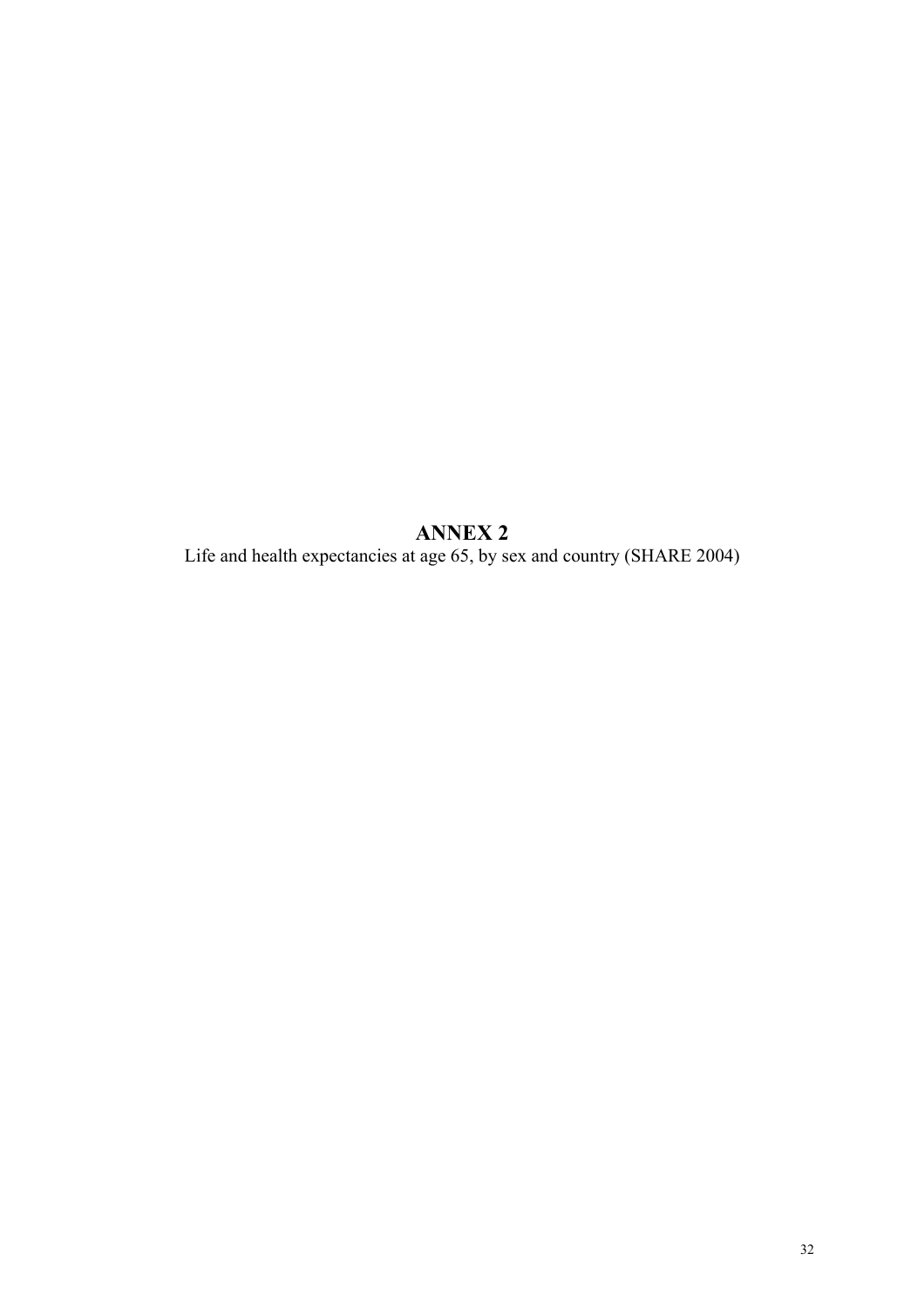**ANNEX 2**  Life and health expectancies at age 65, by sex and country (SHARE 2004)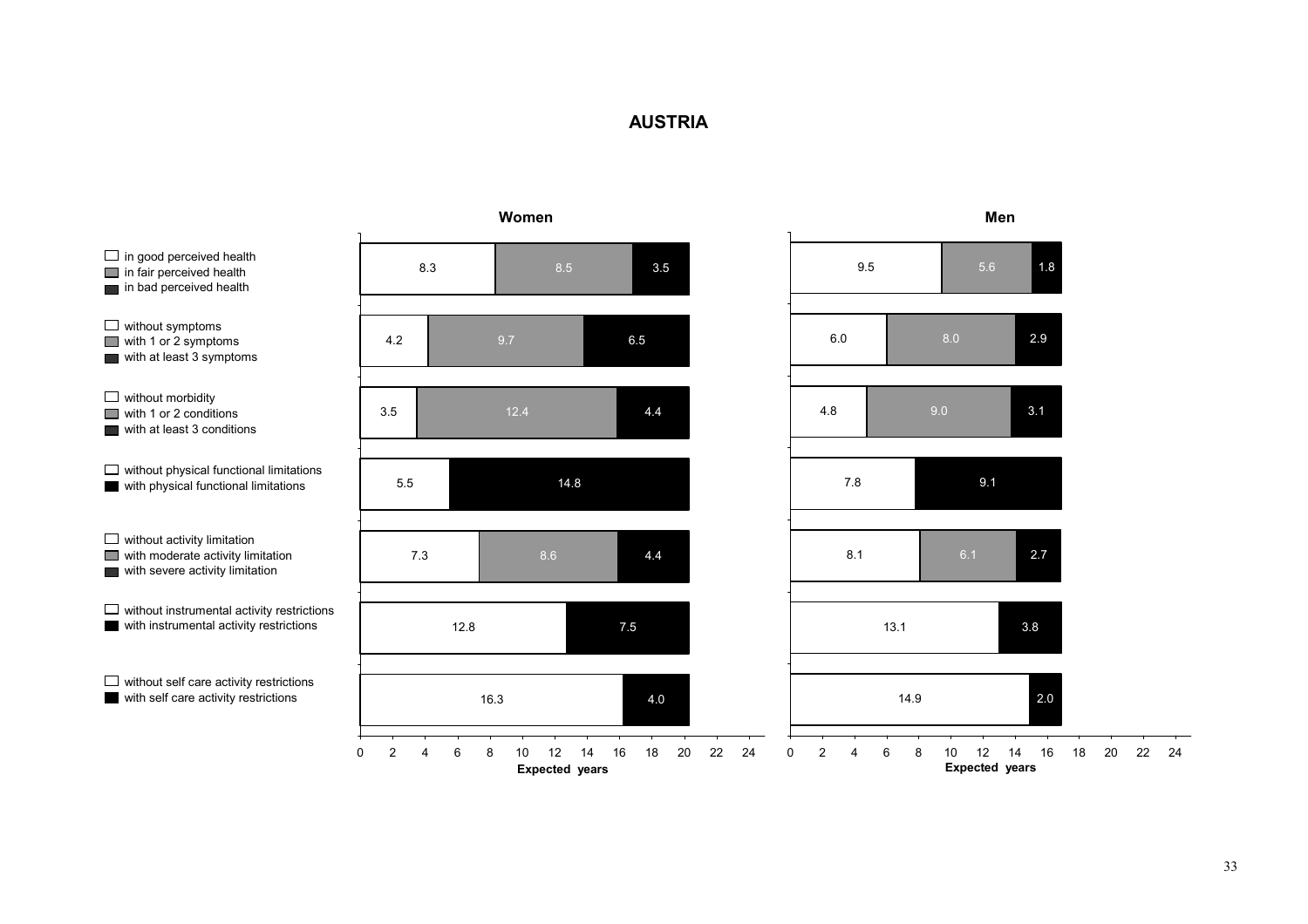## **AUSTRIA**

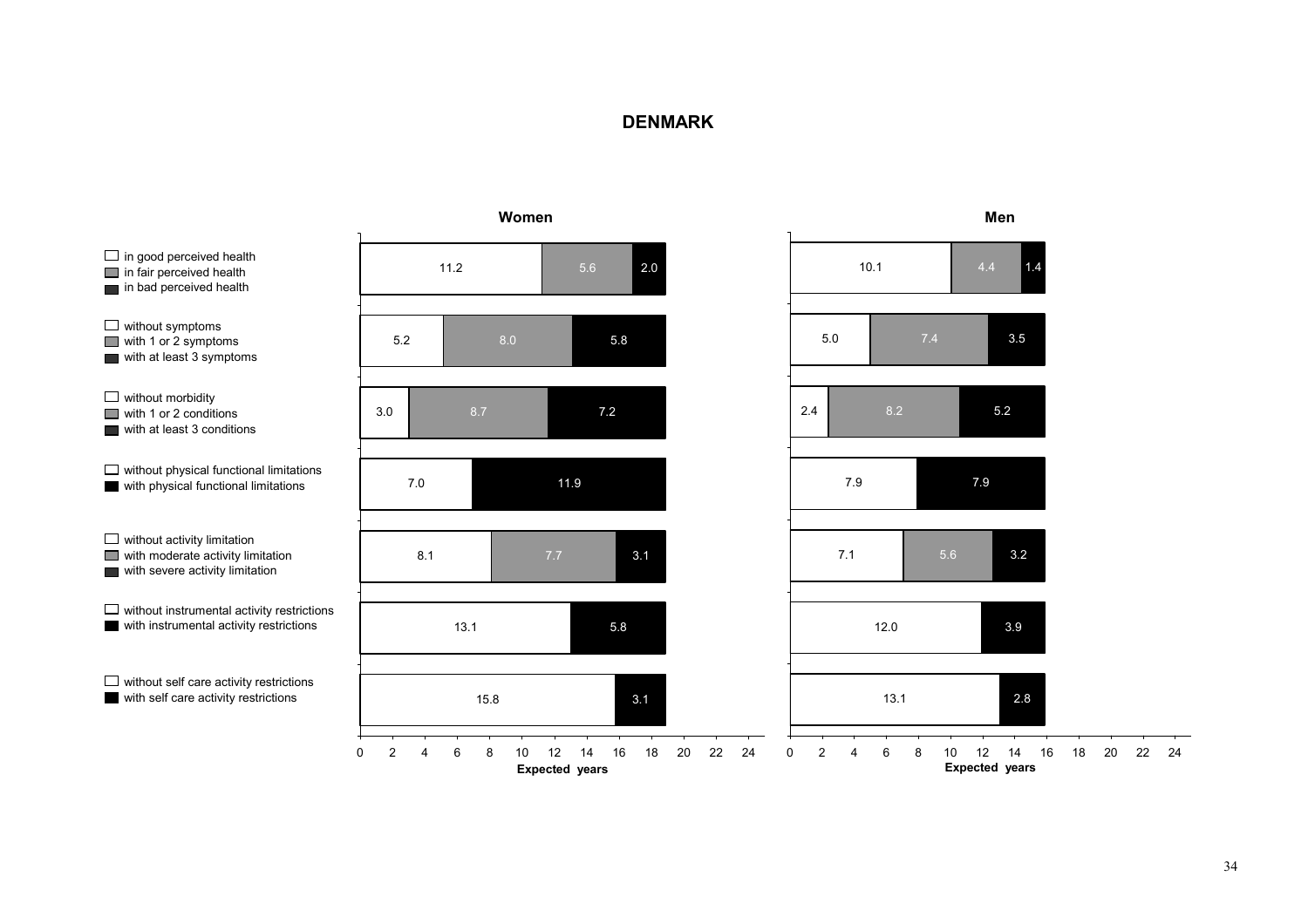#### **DENMARK**

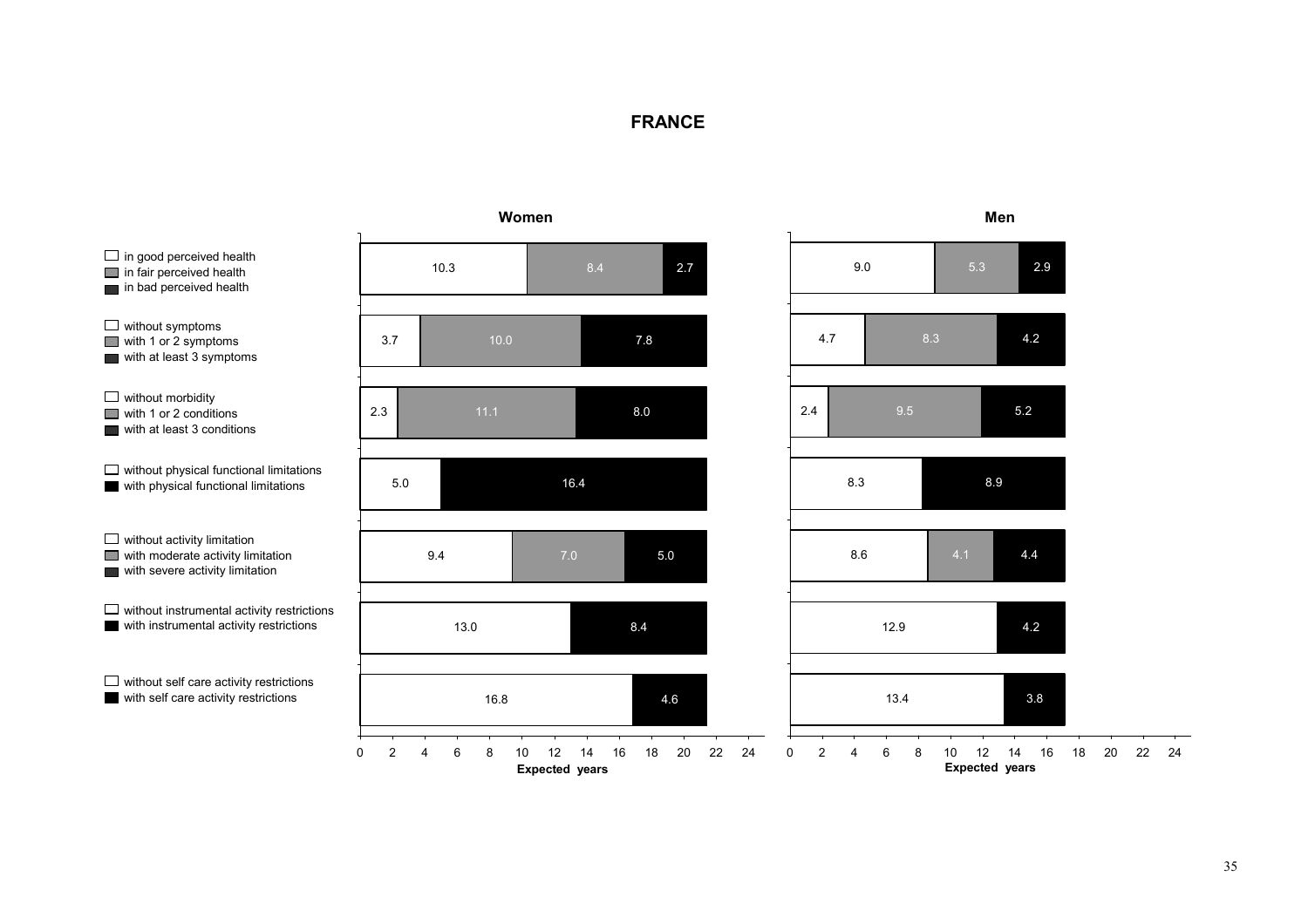# **FRANCE**

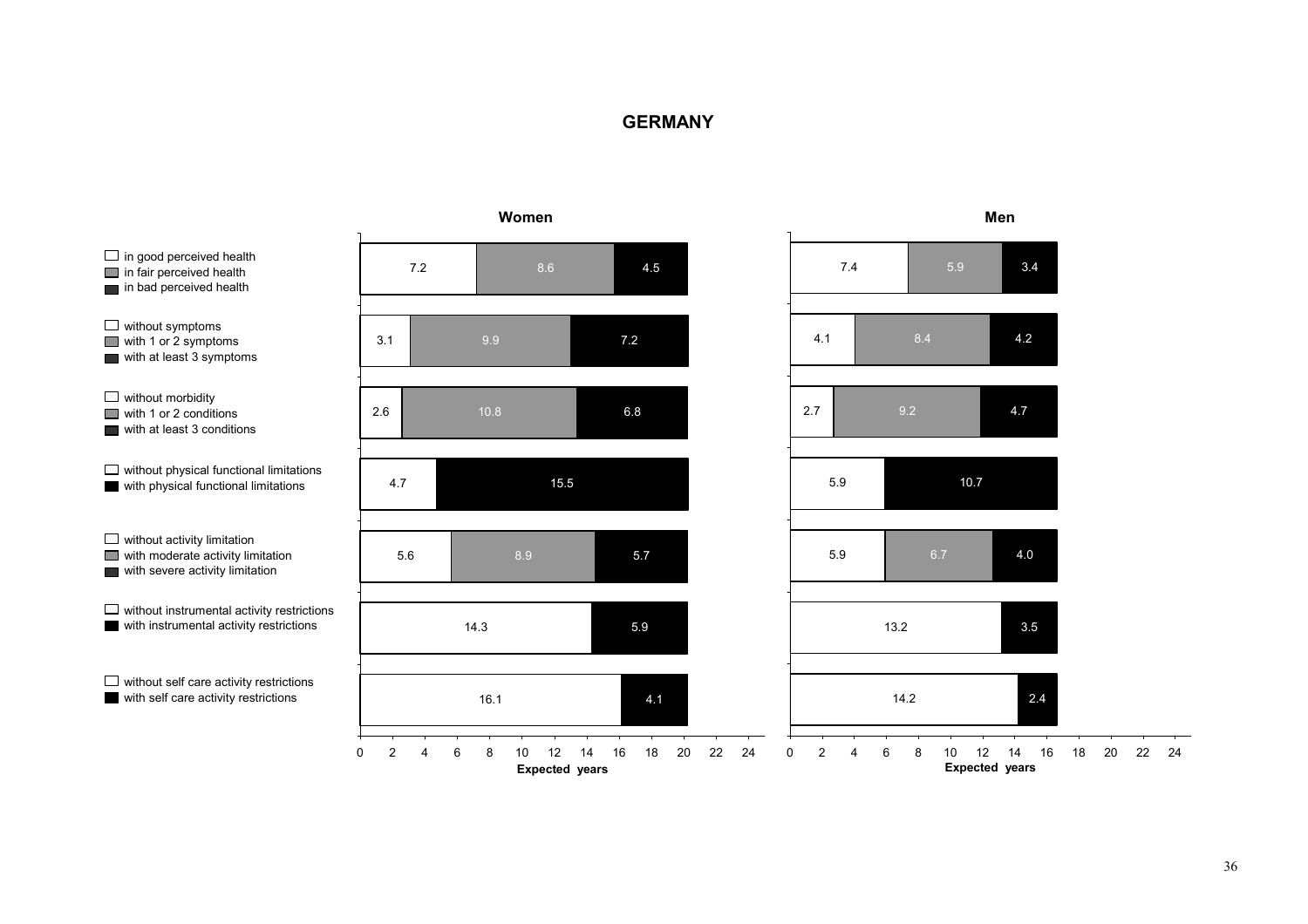#### **GERMANY**

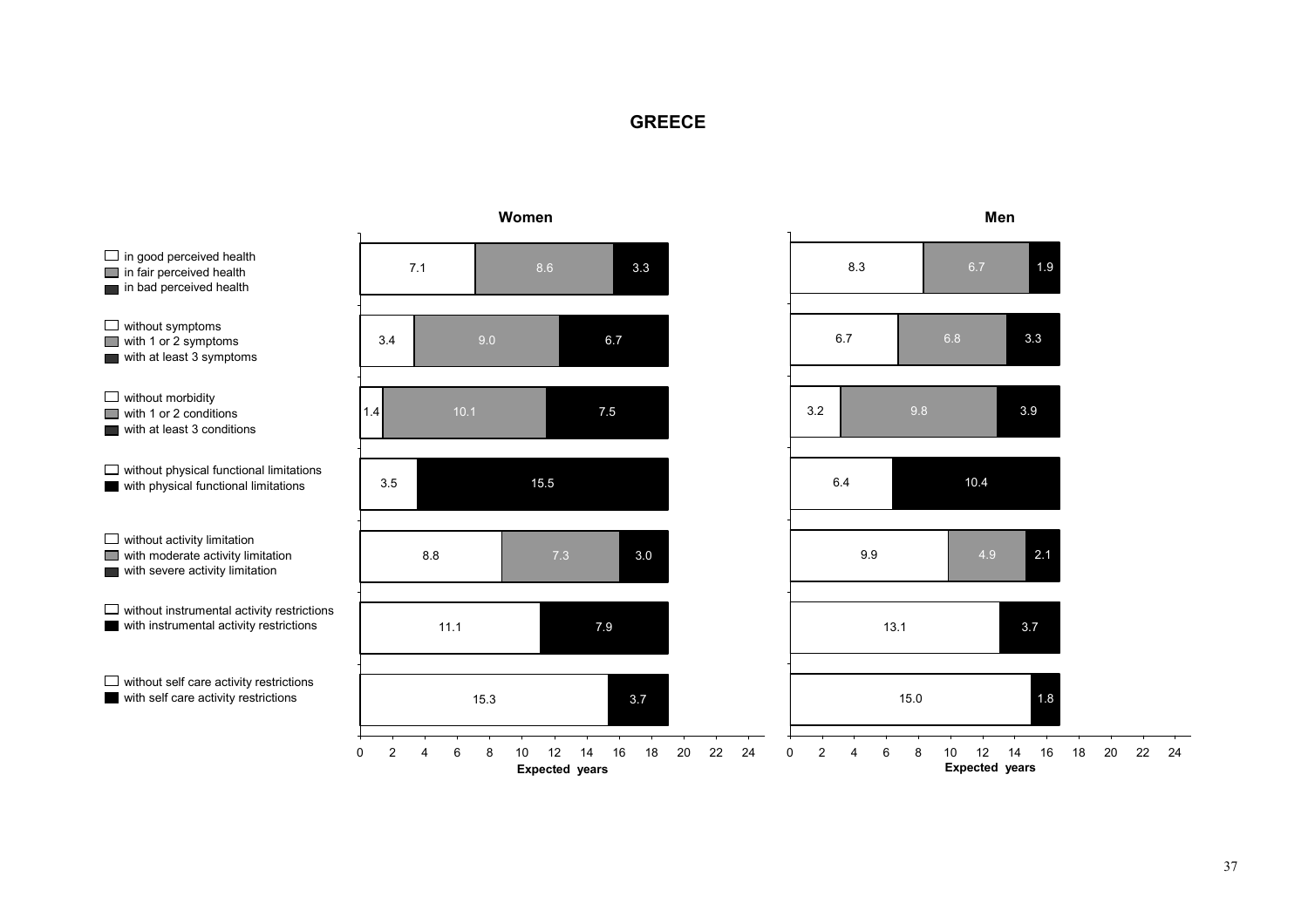## **GREECE**

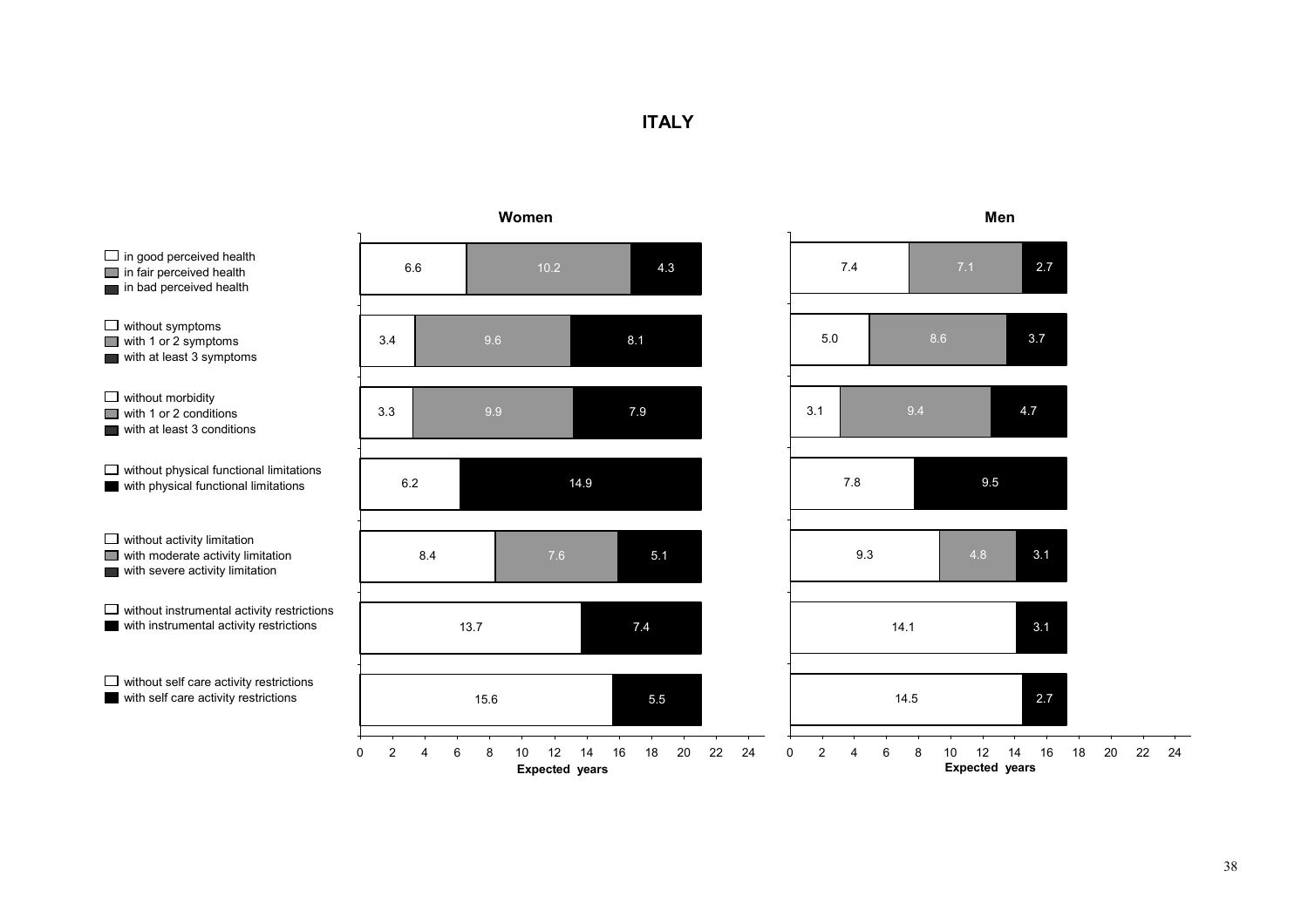## **ITALY**

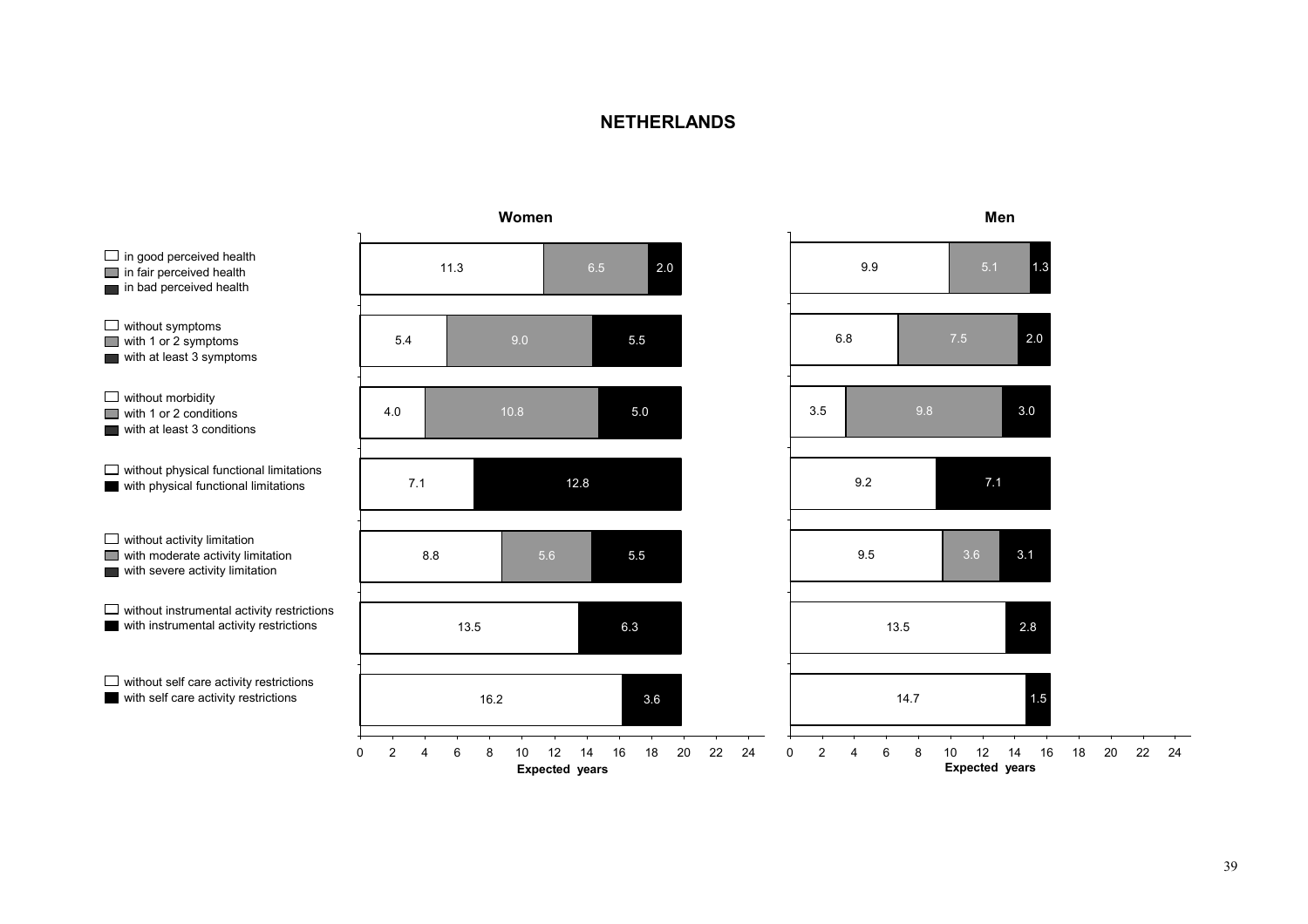#### **NETHERLANDS**

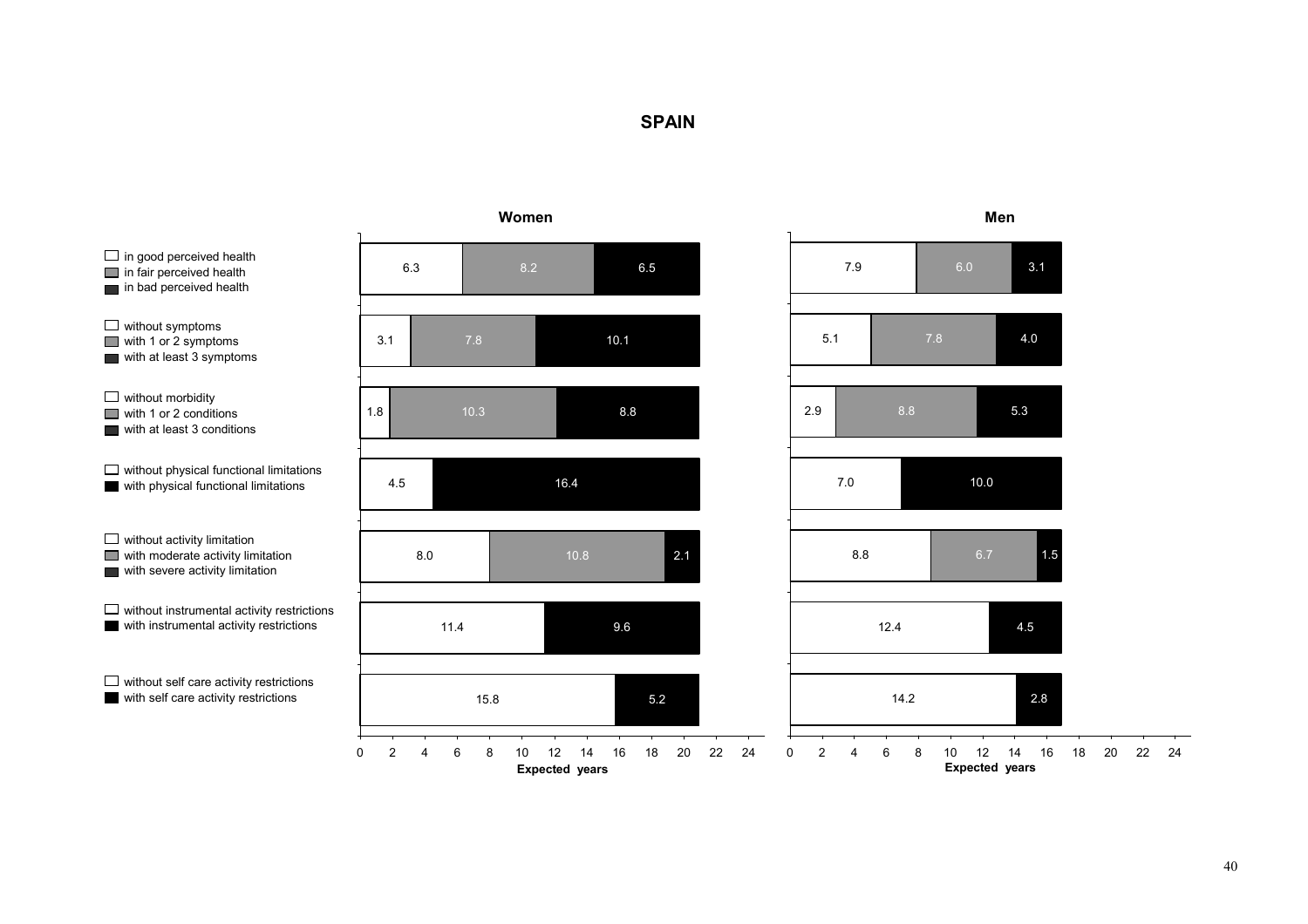## **SPAIN**



40